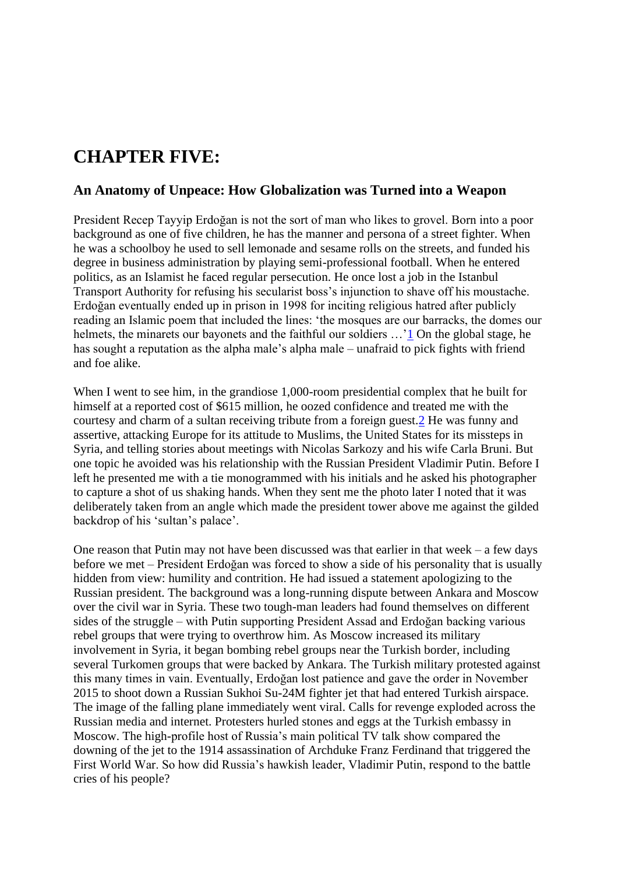# **CHAPTER FIVE:**

### **An Anatomy of Unpeace: How Globalization was Turned into a Weapon**

President Recep Tayyip Erdoğan is not the sort of man who likes to grovel. Born into a poor background as one of five children, he has the manner and persona of a street fighter. When he was a schoolboy he used to sell lemonade and sesame rolls on the streets, and funded his degree in business administration by playing semi-professional football. When he entered politics, as an Islamist he faced regular persecution. He once lost a job in the Istanbul Transport Authority for refusing his secularist boss's injunction to shave off his moustache. Erdoğan eventually ended up in prison in 1998 for inciting religious hatred after publicly reading an Islamic poem that included the lines: 'the mosques are our barracks, the domes our helmets, the minarets our bayonets and the faithful our soldiers ...' 1 On the global stage, he has sought a reputation as the alpha male's alpha male – unafraid to pick fights with friend and foe alike.

When I went to see him, in the grandiose 1,000-room presidential complex that he built for himself at a reported cost of \$615 million, he oozed confidence and treated me with the courtesy and charm of a sultan receiving tribute from a foreign guest[.2](javascript:void(0)) He was funny and assertive, attacking Europe for its attitude to Muslims, the United States for its missteps in Syria, and telling stories about meetings with Nicolas Sarkozy and his wife Carla Bruni. But one topic he avoided was his relationship with the Russian President Vladimir Putin. Before I left he presented me with a tie monogrammed with his initials and he asked his photographer to capture a shot of us shaking hands. When they sent me the photo later I noted that it was deliberately taken from an angle which made the president tower above me against the gilded backdrop of his 'sultan's palace'.

One reason that Putin may not have been discussed was that earlier in that week  $-$  a few days before we met – President Erdoğan was forced to show a side of his personality that is usually hidden from view: humility and contrition. He had issued a statement apologizing to the Russian president. The background was a long-running dispute between Ankara and Moscow over the civil war in Syria. These two tough-man leaders had found themselves on different sides of the struggle – with Putin supporting President Assad and Erdoğan backing various rebel groups that were trying to overthrow him. As Moscow increased its military involvement in Syria, it began bombing rebel groups near the Turkish border, including several Turkomen groups that were backed by Ankara. The Turkish military protested against this many times in vain. Eventually, Erdoğan lost patience and gave the order in November 2015 to shoot down a Russian Sukhoi Su-24M fighter jet that had entered Turkish airspace. The image of the falling plane immediately went viral. Calls for revenge exploded across the Russian media and internet. Protesters hurled stones and eggs at the Turkish embassy in Moscow. The high-profile host of Russia's main political TV talk show compared the downing of the jet to the 1914 assassination of Archduke Franz Ferdinand that triggered the First World War. So how did Russia's hawkish leader, Vladimir Putin, respond to the battle cries of his people?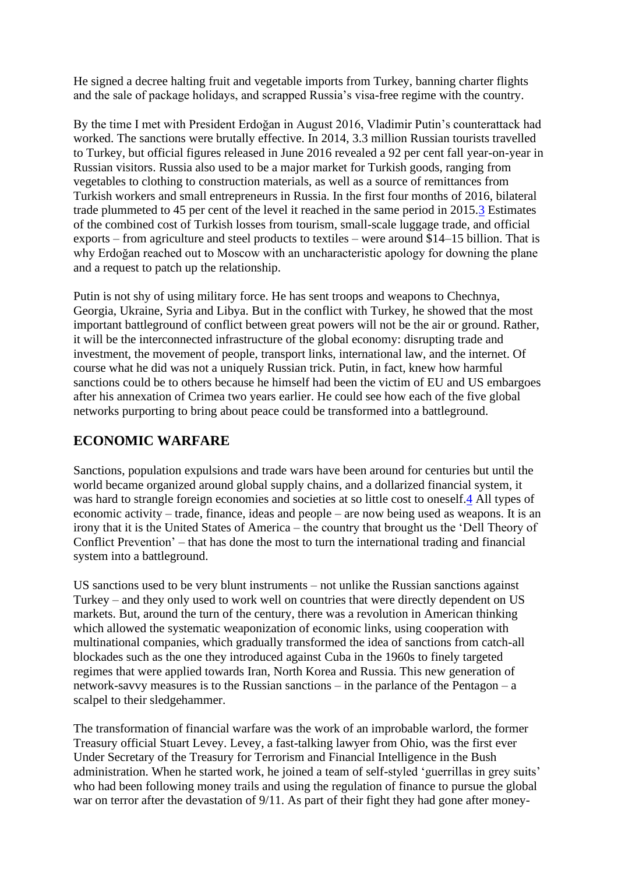He signed a decree halting fruit and vegetable imports from Turkey, banning charter flights and the sale of package holidays, and scrapped Russia's visa-free regime with the country.

By the time I met with President Erdoğan in August 2016, Vladimir Putin's counterattack had worked. The sanctions were brutally effective. In 2014, 3.3 million Russian tourists travelled to Turkey, but official figures released in June 2016 revealed a 92 per cent fall year-on-year in Russian visitors. Russia also used to be a major market for Turkish goods, ranging from vegetables to clothing to construction materials, as well as a source of remittances from Turkish workers and small entrepreneurs in Russia. In the first four months of 2016, bilateral trade plummeted to 45 per cent of the level it reached in the same period in 2015[.3](javascript:void(0)) Estimates of the combined cost of Turkish losses from tourism, small-scale luggage trade, and official exports – from agriculture and steel products to textiles – were around \$14–15 billion. That is why Erdoğan reached out to Moscow with an uncharacteristic apology for downing the plane and a request to patch up the relationship.

Putin is not shy of using military force. He has sent troops and weapons to Chechnya, Georgia, Ukraine, Syria and Libya. But in the conflict with Turkey, he showed that the most important battleground of conflict between great powers will not be the air or ground. Rather, it will be the interconnected infrastructure of the global economy: disrupting trade and investment, the movement of people, transport links, international law, and the internet. Of course what he did was not a uniquely Russian trick. Putin, in fact, knew how harmful sanctions could be to others because he himself had been the victim of EU and US embargoes after his annexation of Crimea two years earlier. He could see how each of the five global networks purporting to bring about peace could be transformed into a battleground.

### **ECONOMIC WARFARE**

Sanctions, population expulsions and trade wars have been around for centuries but until the world became organized around global supply chains, and a dollarized financial system, it was hard to strangle foreign economies and societies at so little cost to oneself[.4](javascript:void(0)) All types of economic activity – trade, finance, ideas and people – are now being used as weapons. It is an irony that it is the United States of America – the country that brought us the 'Dell Theory of Conflict Prevention' – that has done the most to turn the international trading and financial system into a battleground.

US sanctions used to be very blunt instruments – not unlike the Russian sanctions against Turkey – and they only used to work well on countries that were directly dependent on US markets. But, around the turn of the century, there was a revolution in American thinking which allowed the systematic weaponization of economic links, using cooperation with multinational companies, which gradually transformed the idea of sanctions from catch-all blockades such as the one they introduced against Cuba in the 1960s to finely targeted regimes that were applied towards Iran, North Korea and Russia. This new generation of network-savvy measures is to the Russian sanctions – in the parlance of the Pentagon – a scalpel to their sledgehammer.

The transformation of financial warfare was the work of an improbable warlord, the former Treasury official Stuart Levey. Levey, a fast-talking lawyer from Ohio, was the first ever Under Secretary of the Treasury for Terrorism and Financial Intelligence in the Bush administration. When he started work, he joined a team of self-styled 'guerrillas in grey suits' who had been following money trails and using the regulation of finance to pursue the global war on terror after the devastation of 9/11. As part of their fight they had gone after money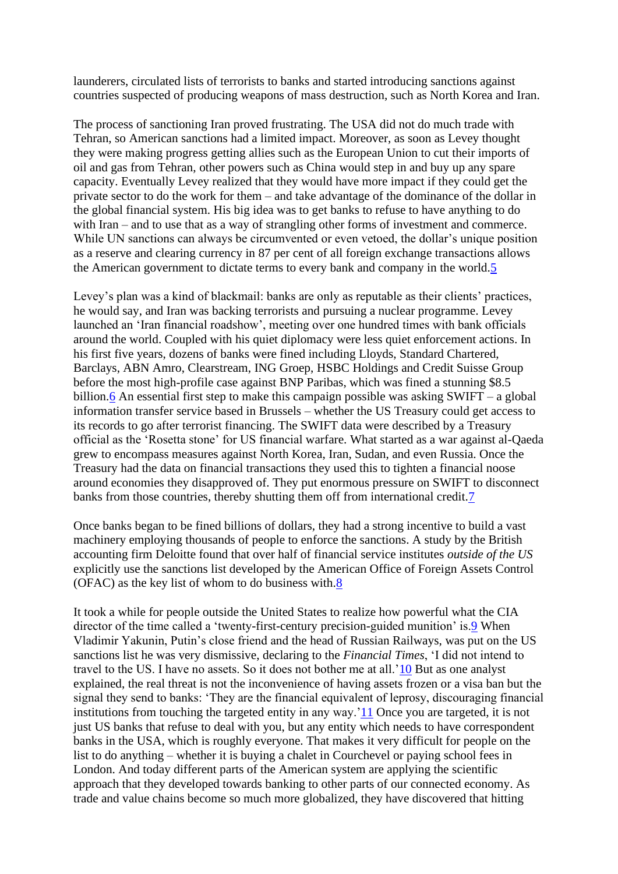launderers, circulated lists of terrorists to banks and started introducing sanctions against countries suspected of producing weapons of mass destruction, such as North Korea and Iran.

The process of sanctioning Iran proved frustrating. The USA did not do much trade with Tehran, so American sanctions had a limited impact. Moreover, as soon as Levey thought they were making progress getting allies such as the European Union to cut their imports of oil and gas from Tehran, other powers such as China would step in and buy up any spare capacity. Eventually Levey realized that they would have more impact if they could get the private sector to do the work for them – and take advantage of the dominance of the dollar in the global financial system. His big idea was to get banks to refuse to have anything to do with Iran – and to use that as a way of strangling other forms of investment and commerce. While UN sanctions can always be circumvented or even vetoed, the dollar's unique position as a reserve and clearing currency in 87 per cent of all foreign exchange transactions allows the American government to dictate terms to every bank and company in the world[.5](javascript:void(0))

Levey's plan was a kind of blackmail: banks are only as reputable as their clients' practices, he would say, and Iran was backing terrorists and pursuing a nuclear programme. Levey launched an 'Iran financial roadshow', meeting over one hundred times with bank officials around the world. Coupled with his quiet diplomacy were less quiet enforcement actions. In his first five years, dozens of banks were fined including Lloyds, Standard Chartered, Barclays, ABN Amro, Clearstream, ING Groep, HSBC Holdings and Credit Suisse Group before the most high-profile case against BNP Paribas, which was fined a stunning \$8.5 billion[.6](javascript:void(0)) An essential first step to make this campaign possible was asking SWIFT – a global information transfer service based in Brussels – whether the US Treasury could get access to its records to go after terrorist financing. The SWIFT data were described by a Treasury official as the 'Rosetta stone' for US financial warfare. What started as a war against al-Qaeda grew to encompass measures against North Korea, Iran, Sudan, and even Russia. Once the Treasury had the data on financial transactions they used this to tighten a financial noose around economies they disapproved of. They put enormous pressure on SWIFT to disconnect banks from those countries, thereby shutting them off from international credit[.7](javascript:void(0))

Once banks began to be fined billions of dollars, they had a strong incentive to build a vast machinery employing thousands of people to enforce the sanctions. A study by the British accounting firm Deloitte found that over half of financial service institutes *outside of the US* explicitly use the sanctions list developed by the American Office of Foreign Assets Control (OFAC) as the key list of whom to do business with[.8](javascript:void(0))

It took a while for people outside the United States to realize how powerful what the CIA director of the time called a 'twenty-first-century precision-guided munition' is[.9](javascript:void(0)) When Vladimir Yakunin, Putin's close friend and the head of Russian Railways, was put on the US sanctions list he was very dismissive, declaring to the *Financial Times*, 'I did not intend to travel to the US. I have no assets. So it does not bother me at all.['10](javascript:void(0)) But as one analyst explained, the real threat is not the inconvenience of having assets frozen or a visa ban but the signal they send to banks: 'They are the financial equivalent of leprosy, discouraging financial institutions from touching the targeted entity in any way.['11](javascript:void(0)) Once you are targeted, it is not just US banks that refuse to deal with you, but any entity which needs to have correspondent banks in the USA, which is roughly everyone. That makes it very difficult for people on the list to do anything – whether it is buying a chalet in Courchevel or paying school fees in London. And today different parts of the American system are applying the scientific approach that they developed towards banking to other parts of our connected economy. As trade and value chains become so much more globalized, they have discovered that hitting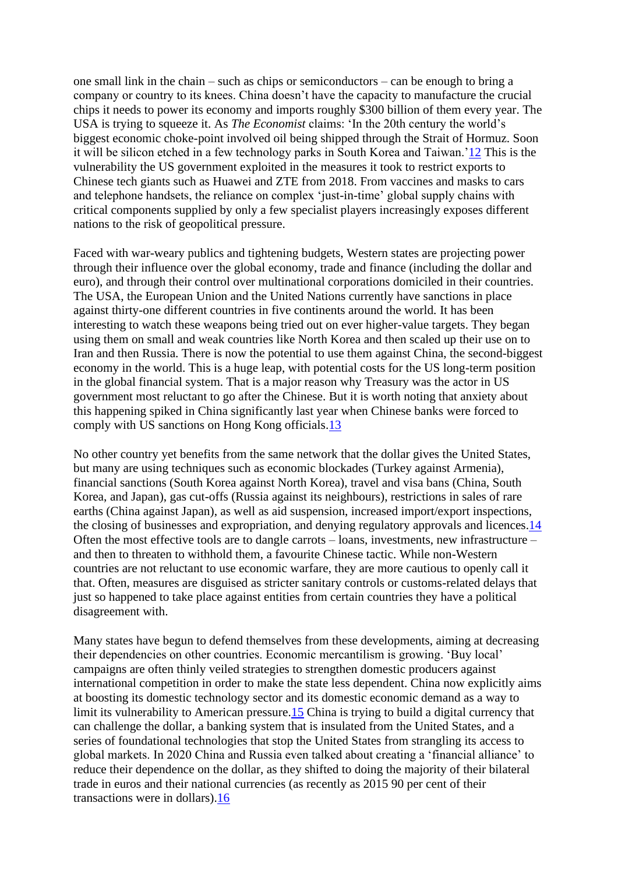one small link in the chain – such as chips or semiconductors – can be enough to bring a company or country to its knees. China doesn't have the capacity to manufacture the crucial chips it needs to power its economy and imports roughly \$300 billion of them every year. The USA is trying to squeeze it. As *The Economist* claims: 'In the 20th century the world's biggest economic choke-point involved oil being shipped through the Strait of Hormuz. Soon it will be silicon etched in a few technology parks in South Korea and Taiwan.['12](javascript:void(0)) This is the vulnerability the US government exploited in the measures it took to restrict exports to Chinese tech giants such as Huawei and ZTE from 2018. From vaccines and masks to cars and telephone handsets, the reliance on complex 'just-in-time' global supply chains with critical components supplied by only a few specialist players increasingly exposes different nations to the risk of geopolitical pressure.

Faced with war-weary publics and tightening budgets, Western states are projecting power through their influence over the global economy, trade and finance (including the dollar and euro), and through their control over multinational corporations domiciled in their countries. The USA, the European Union and the United Nations currently have sanctions in place against thirty-one different countries in five continents around the world. It has been interesting to watch these weapons being tried out on ever higher-value targets. They began using them on small and weak countries like North Korea and then scaled up their use on to Iran and then Russia. There is now the potential to use them against China, the second-biggest economy in the world. This is a huge leap, with potential costs for the US long-term position in the global financial system. That is a major reason why Treasury was the actor in US government most reluctant to go after the Chinese. But it is worth noting that anxiety about this happening spiked in China significantly last year when Chinese banks were forced to comply with US sanctions on Hong Kong officials[.13](javascript:void(0))

No other country yet benefits from the same network that the dollar gives the United States, but many are using techniques such as economic blockades (Turkey against Armenia), financial sanctions (South Korea against North Korea), travel and visa bans (China, South Korea, and Japan), gas cut-offs (Russia against its neighbours), restrictions in sales of rare earths (China against Japan), as well as aid suspension, increased import/export inspections, the closing of businesses and expropriation, and denying regulatory approvals and licences.<sup>14</sup> Often the most effective tools are to dangle carrots – loans, investments, new infrastructure – and then to threaten to withhold them, a favourite Chinese tactic. While non-Western countries are not reluctant to use economic warfare, they are more cautious to openly call it that. Often, measures are disguised as stricter sanitary controls or customs-related delays that just so happened to take place against entities from certain countries they have a political disagreement with.

Many states have begun to defend themselves from these developments, aiming at decreasing their dependencies on other countries. Economic mercantilism is growing. 'Buy local' campaigns are often thinly veiled strategies to strengthen domestic producers against international competition in order to make the state less dependent. China now explicitly aims at boosting its domestic technology sector and its domestic economic demand as a way to limit its vulnerability to American pressure[.15](javascript:void(0)) China is trying to build a digital currency that can challenge the dollar, a banking system that is insulated from the United States, and a series of foundational technologies that stop the United States from strangling its access to global markets. In 2020 China and Russia even talked about creating a 'financial alliance' to reduce their dependence on the dollar, as they shifted to doing the majority of their bilateral trade in euros and their national currencies (as recently as 2015 90 per cent of their transactions were in dollars)[.16](javascript:void(0))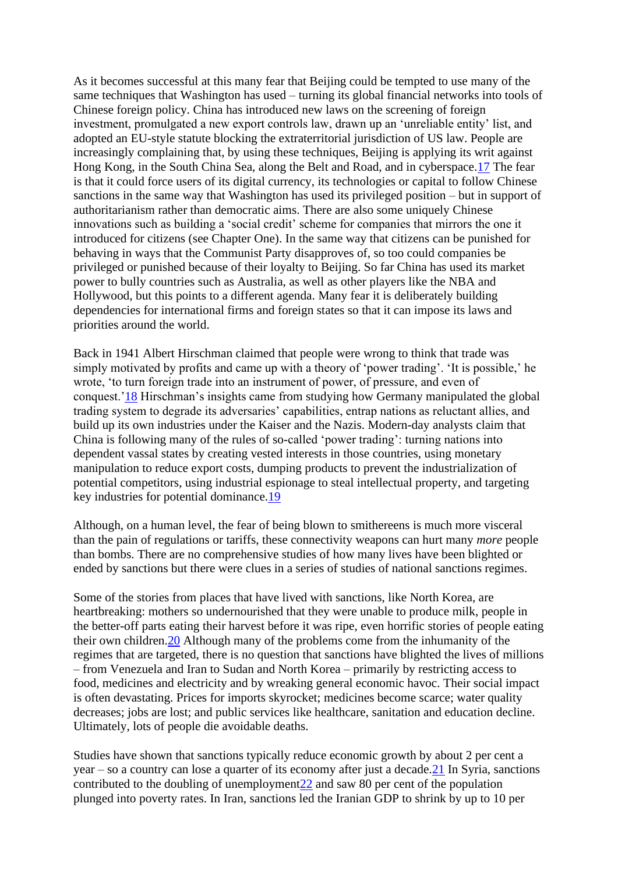As it becomes successful at this many fear that Beijing could be tempted to use many of the same techniques that Washington has used – turning its global financial networks into tools of Chinese foreign policy. China has introduced new laws on the screening of foreign investment, promulgated a new export controls law, drawn up an 'unreliable entity' list, and adopted an EU-style statute blocking the extraterritorial jurisdiction of US law. People are increasingly complaining that, by using these techniques, Beijing is applying its writ against Hong Kong, in the South China Sea, along the Belt and Road, and in cyberspace[.17](javascript:void(0)) The fear is that it could force users of its digital currency, its technologies or capital to follow Chinese sanctions in the same way that Washington has used its privileged position – but in support of authoritarianism rather than democratic aims. There are also some uniquely Chinese innovations such as building a 'social credit' scheme for companies that mirrors the one it introduced for citizens (see Chapter One). In the same way that citizens can be punished for behaving in ways that the Communist Party disapproves of, so too could companies be privileged or punished because of their loyalty to Beijing. So far China has used its market power to bully countries such as Australia, as well as other players like the NBA and Hollywood, but this points to a different agenda. Many fear it is deliberately building dependencies for international firms and foreign states so that it can impose its laws and priorities around the world.

Back in 1941 Albert Hirschman claimed that people were wrong to think that trade was simply motivated by profits and came up with a theory of 'power trading'. 'It is possible,' he wrote, 'to turn foreign trade into an instrument of power, of pressure, and even of conquest.['18](javascript:void(0)) Hirschman's insights came from studying how Germany manipulated the global trading system to degrade its adversaries' capabilities, entrap nations as reluctant allies, and build up its own industries under the Kaiser and the Nazis. Modern-day analysts claim that China is following many of the rules of so-called 'power trading': turning nations into dependent vassal states by creating vested interests in those countries, using monetary manipulation to reduce export costs, dumping products to prevent the industrialization of potential competitors, using industrial espionage to steal intellectual property, and targeting key industries for potential dominance[.19](javascript:void(0))

Although, on a human level, the fear of being blown to smithereens is much more visceral than the pain of regulations or tariffs, these connectivity weapons can hurt many *more* people than bombs. There are no comprehensive studies of how many lives have been blighted or ended by sanctions but there were clues in a series of studies of national sanctions regimes.

Some of the stories from places that have lived with sanctions, like North Korea, are heartbreaking: mothers so undernourished that they were unable to produce milk, people in the better-off parts eating their harvest before it was ripe, even horrific stories of people eating their own children[.20](javascript:void(0)) Although many of the problems come from the inhumanity of the regimes that are targeted, there is no question that sanctions have blighted the lives of millions – from Venezuela and Iran to Sudan and North Korea – primarily by restricting access to food, medicines and electricity and by wreaking general economic havoc. Their social impact is often devastating. Prices for imports skyrocket; medicines become scarce; water quality decreases; jobs are lost; and public services like healthcare, sanitation and education decline. Ultimately, lots of people die avoidable deaths.

Studies have shown that sanctions typically reduce economic growth by about 2 per cent a year – so a country can lose a quarter of its economy after just a decade[.21](javascript:void(0)) In Syria, sanctions contributed to the doubling of unemploymen[t22](javascript:void(0)) and saw 80 per cent of the population plunged into poverty rates. In Iran, sanctions led the Iranian GDP to shrink by up to 10 per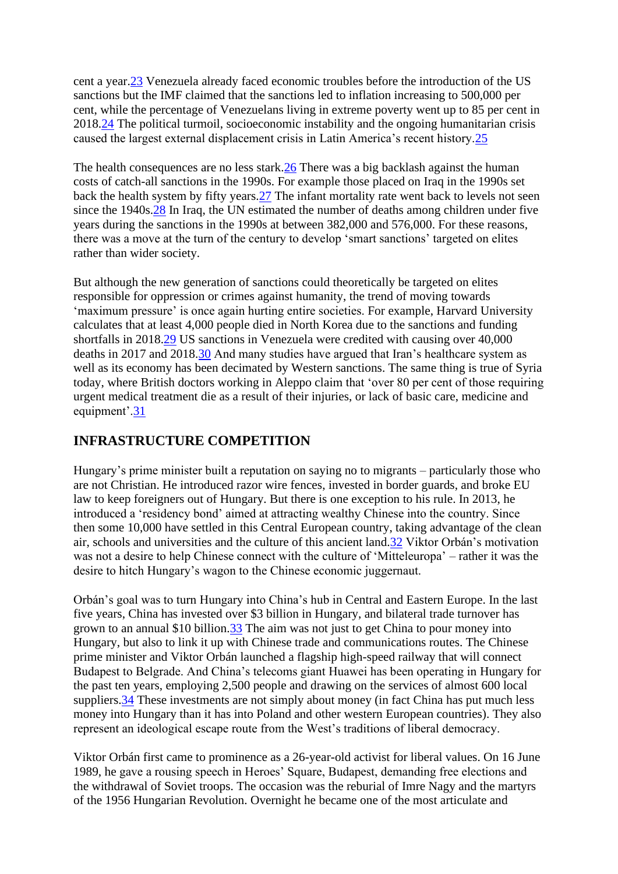cent a year[.23](javascript:void(0)) Venezuela already faced economic troubles before the introduction of the US sanctions but the IMF claimed that the sanctions led to inflation increasing to 500,000 per cent, while the percentage of Venezuelans living in extreme poverty went up to 85 per cent in 2018[.24](javascript:void(0)) The political turmoil, socioeconomic instability and the ongoing humanitarian crisis caused the largest external displacement crisis in Latin America's recent history[.25](javascript:void(0))

The health consequences are no less stark[.26](javascript:void(0)) There was a big backlash against the human costs of catch-all sanctions in the 1990s. For example those placed on Iraq in the 1990s set back the health system by fifty years[.27](javascript:void(0)) The infant mortality rate went back to levels not seen since the 1940s[.28](javascript:void(0)) In Iraq, the UN estimated the number of deaths among children under five years during the sanctions in the 1990s at between 382,000 and 576,000. For these reasons, there was a move at the turn of the century to develop 'smart sanctions' targeted on elites rather than wider society.

But although the new generation of sanctions could theoretically be targeted on elites responsible for oppression or crimes against humanity, the trend of moving towards 'maximum pressure' is once again hurting entire societies. For example, Harvard University calculates that at least 4,000 people died in North Korea due to the sanctions and funding shortfalls in 2018[.29](javascript:void(0)) US sanctions in Venezuela were credited with causing over 40,000 deaths in 2017 and 2018[.30](javascript:void(0)) And many studies have argued that Iran's healthcare system as well as its economy has been decimated by Western sanctions. The same thing is true of Syria today, where British doctors working in Aleppo claim that 'over 80 per cent of those requiring urgent medical treatment die as a result of their injuries, or lack of basic care, medicine and equipment'[.31](javascript:void(0))

### **INFRASTRUCTURE COMPETITION**

Hungary's prime minister built a reputation on saying no to migrants – particularly those who are not Christian. He introduced razor wire fences, invested in border guards, and broke EU law to keep foreigners out of Hungary. But there is one exception to his rule. In 2013, he introduced a 'residency bond' aimed at attracting wealthy Chinese into the country. Since then some 10,000 have settled in this Central European country, taking advantage of the clean air, schools and universities and the culture of this ancient land[.32](javascript:void(0)) Viktor Orbán's motivation was not a desire to help Chinese connect with the culture of 'Mitteleuropa' – rather it was the desire to hitch Hungary's wagon to the Chinese economic juggernaut.

Orbán's goal was to turn Hungary into China's hub in Central and Eastern Europe. In the last five years, China has invested over \$3 billion in Hungary, and bilateral trade turnover has grown to an annual \$10 billion.<sup>33</sup> The aim was not just to get China to pour money into Hungary, but also to link it up with Chinese trade and communications routes. The Chinese prime minister and Viktor Orbán launched a flagship high-speed railway that will connect Budapest to Belgrade. And China's telecoms giant Huawei has been operating in Hungary for the past ten years, employing 2,500 people and drawing on the services of almost 600 local suppliers[.34](javascript:void(0)) These investments are not simply about money (in fact China has put much less money into Hungary than it has into Poland and other western European countries). They also represent an ideological escape route from the West's traditions of liberal democracy.

Viktor Orbán first came to prominence as a 26-year-old activist for liberal values. On 16 June 1989, he gave a rousing speech in Heroes' Square, Budapest, demanding free elections and the withdrawal of Soviet troops. The occasion was the reburial of Imre Nagy and the martyrs of the 1956 Hungarian Revolution. Overnight he became one of the most articulate and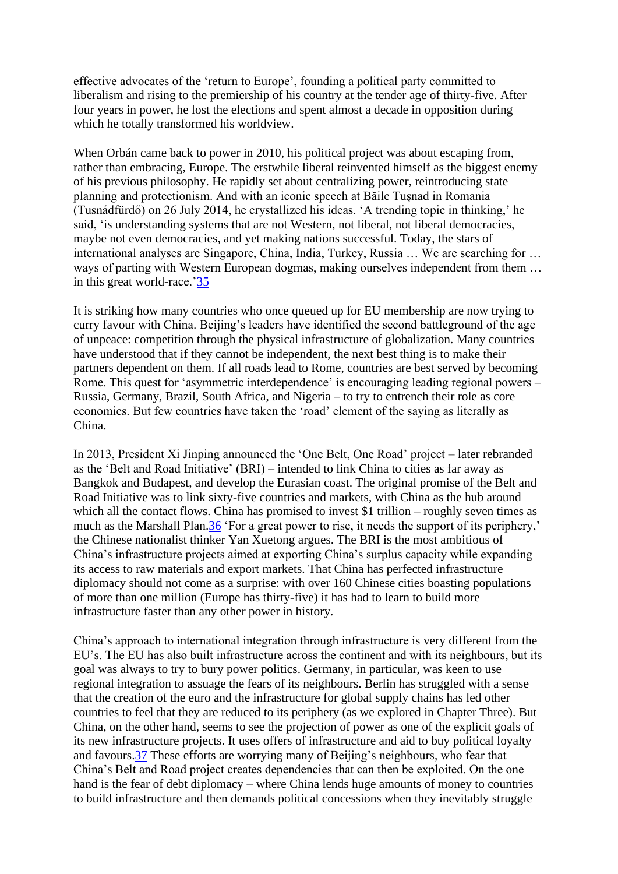effective advocates of the 'return to Europe', founding a political party committed to liberalism and rising to the premiership of his country at the tender age of thirty-five. After four years in power, he lost the elections and spent almost a decade in opposition during which he totally transformed his worldview.

When Orbán came back to power in 2010, his political project was about escaping from, rather than embracing, Europe. The erstwhile liberal reinvented himself as the biggest enemy of his previous philosophy. He rapidly set about centralizing power, reintroducing state planning and protectionism. And with an iconic speech at Băile Tuşnad in Romania (Tusnádfürdő) on 26 July 2014, he crystallized his ideas. 'A trending topic in thinking,' he said, 'is understanding systems that are not Western, not liberal, not liberal democracies, maybe not even democracies, and yet making nations successful. Today, the stars of international analyses are Singapore, China, India, Turkey, Russia … We are searching for … ways of parting with Western European dogmas, making ourselves independent from them … in this great world-race.['35](javascript:void(0))

It is striking how many countries who once queued up for EU membership are now trying to curry favour with China. Beijing's leaders have identified the second battleground of the age of unpeace: competition through the physical infrastructure of globalization. Many countries have understood that if they cannot be independent, the next best thing is to make their partners dependent on them. If all roads lead to Rome, countries are best served by becoming Rome. This quest for 'asymmetric interdependence' is encouraging leading regional powers – Russia, Germany, Brazil, South Africa, and Nigeria – to try to entrench their role as core economies. But few countries have taken the 'road' element of the saying as literally as China.

In 2013, President Xi Jinping announced the 'One Belt, One Road' project – later rebranded as the 'Belt and Road Initiative' (BRI) – intended to link China to cities as far away as Bangkok and Budapest, and develop the Eurasian coast. The original promise of the Belt and Road Initiative was to link sixty-five countries and markets, with China as the hub around which all the contact flows. China has promised to invest \$1 trillion – roughly seven times as much as the Marshall Plan[.36](javascript:void(0)) 'For a great power to rise, it needs the support of its periphery,' the Chinese nationalist thinker Yan Xuetong argues. The BRI is the most ambitious of China's infrastructure projects aimed at exporting China's surplus capacity while expanding its access to raw materials and export markets. That China has perfected infrastructure diplomacy should not come as a surprise: with over 160 Chinese cities boasting populations of more than one million (Europe has thirty-five) it has had to learn to build more infrastructure faster than any other power in history.

China's approach to international integration through infrastructure is very different from the EU's. The EU has also built infrastructure across the continent and with its neighbours, but its goal was always to try to bury power politics. Germany, in particular, was keen to use regional integration to assuage the fears of its neighbours. Berlin has struggled with a sense that the creation of the euro and the infrastructure for global supply chains has led other countries to feel that they are reduced to its periphery (as we explored in Chapter Three). But China, on the other hand, seems to see the projection of power as one of the explicit goals of its new infrastructure projects. It uses offers of infrastructure and aid to buy political loyalty and favours[.37](javascript:void(0)) These efforts are worrying many of Beijing's neighbours, who fear that China's Belt and Road project creates dependencies that can then be exploited. On the one hand is the fear of debt diplomacy – where China lends huge amounts of money to countries to build infrastructure and then demands political concessions when they inevitably struggle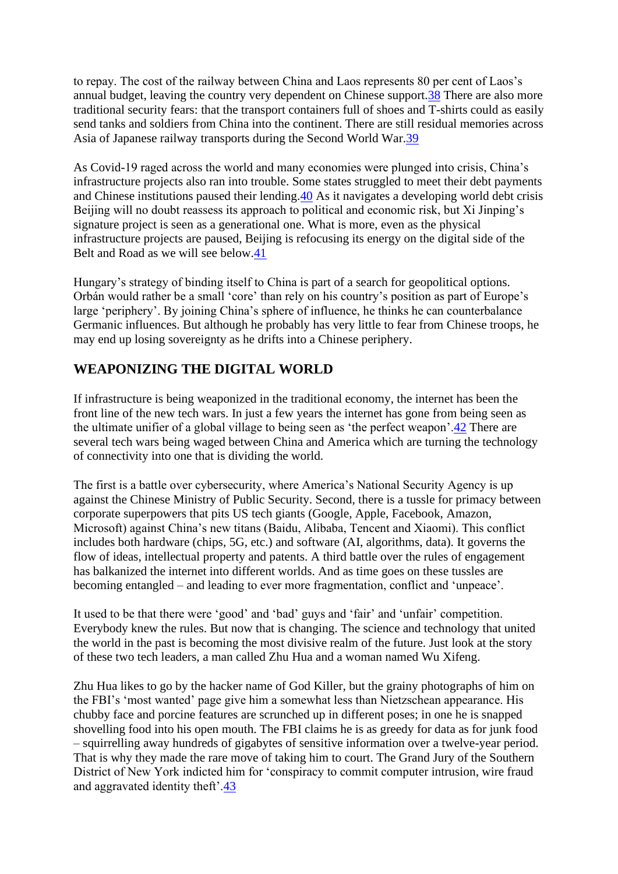to repay. The cost of the railway between China and Laos represents 80 per cent of Laos's annual budget, leaving the country very dependent on Chinese support[.38](javascript:void(0)) There are also more traditional security fears: that the transport containers full of shoes and T-shirts could as easily send tanks and soldiers from China into the continent. There are still residual memories across Asia of Japanese railway transports during the Second World War[.39](javascript:void(0))

As Covid-19 raged across the world and many economies were plunged into crisis, China's infrastructure projects also ran into trouble. Some states struggled to meet their debt payments and Chinese institutions paused their lending[.40](javascript:void(0)) As it navigates a developing world debt crisis Beijing will no doubt reassess its approach to political and economic risk, but Xi Jinping's signature project is seen as a generational one. What is more, even as the physical infrastructure projects are paused, Beijing is refocusing its energy on the digital side of the Belt and Road as we will see below[.41](javascript:void(0))

Hungary's strategy of binding itself to China is part of a search for geopolitical options. Orbán would rather be a small 'core' than rely on his country's position as part of Europe's large 'periphery'. By joining China's sphere of influence, he thinks he can counterbalance Germanic influences. But although he probably has very little to fear from Chinese troops, he may end up losing sovereignty as he drifts into a Chinese periphery.

## **WEAPONIZING THE DIGITAL WORLD**

If infrastructure is being weaponized in the traditional economy, the internet has been the front line of the new tech wars. In just a few years the internet has gone from being seen as the ultimate unifier of a global village to being seen as 'the perfect weapon'[.42](javascript:void(0)) There are several tech wars being waged between China and America which are turning the technology of connectivity into one that is dividing the world.

The first is a battle over cybersecurity, where America's National Security Agency is up against the Chinese Ministry of Public Security. Second, there is a tussle for primacy between corporate superpowers that pits US tech giants (Google, Apple, Facebook, Amazon, Microsoft) against China's new titans (Baidu, Alibaba, Tencent and Xiaomi). This conflict includes both hardware (chips, 5G, etc.) and software (AI, algorithms, data). It governs the flow of ideas, intellectual property and patents. A third battle over the rules of engagement has balkanized the internet into different worlds. And as time goes on these tussles are becoming entangled – and leading to ever more fragmentation, conflict and 'unpeace'.

It used to be that there were 'good' and 'bad' guys and 'fair' and 'unfair' competition. Everybody knew the rules. But now that is changing. The science and technology that united the world in the past is becoming the most divisive realm of the future. Just look at the story of these two tech leaders, a man called Zhu Hua and a woman named Wu Xifeng.

Zhu Hua likes to go by the hacker name of God Killer, but the grainy photographs of him on the FBI's 'most wanted' page give him a somewhat less than Nietzschean appearance. His chubby face and porcine features are scrunched up in different poses; in one he is snapped shovelling food into his open mouth. The FBI claims he is as greedy for data as for junk food – squirrelling away hundreds of gigabytes of sensitive information over a twelve-year period. That is why they made the rare move of taking him to court. The Grand Jury of the Southern District of New York indicted him for 'conspiracy to commit computer intrusion, wire fraud and aggravated identity theft'[.43](javascript:void(0))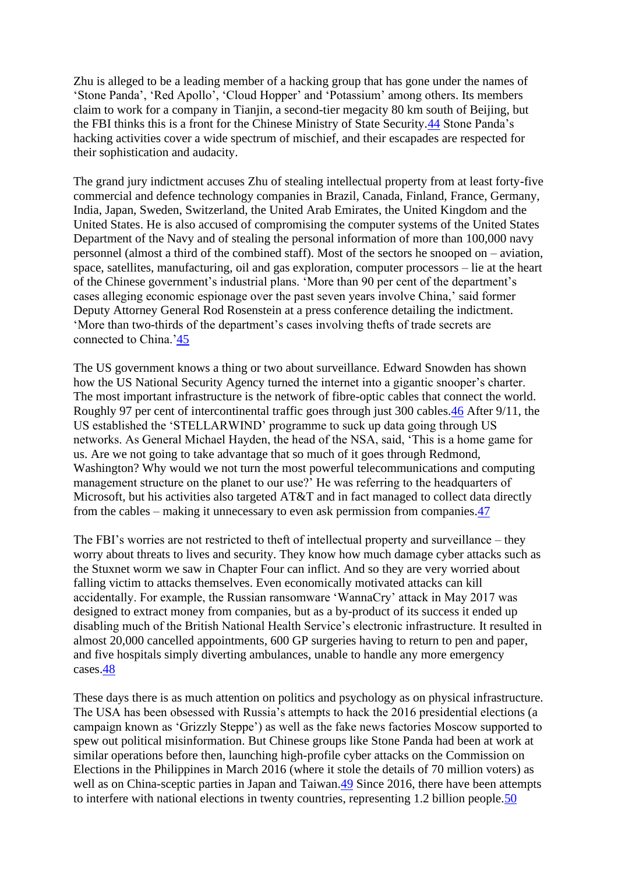Zhu is alleged to be a leading member of a hacking group that has gone under the names of 'Stone Panda', 'Red Apollo', 'Cloud Hopper' and 'Potassium' among others. Its members claim to work for a company in Tianjin, a second-tier megacity 80 km south of Beijing, but the FBI thinks this is a front for the Chinese Ministry of State Security[.44](javascript:void(0)) Stone Panda's hacking activities cover a wide spectrum of mischief, and their escapades are respected for their sophistication and audacity.

The grand jury indictment accuses Zhu of stealing intellectual property from at least forty-five commercial and defence technology companies in Brazil, Canada, Finland, France, Germany, India, Japan, Sweden, Switzerland, the United Arab Emirates, the United Kingdom and the United States. He is also accused of compromising the computer systems of the United States Department of the Navy and of stealing the personal information of more than 100,000 navy personnel (almost a third of the combined staff). Most of the sectors he snooped on – aviation, space, satellites, manufacturing, oil and gas exploration, computer processors – lie at the heart of the Chinese government's industrial plans. 'More than 90 per cent of the department's cases alleging economic espionage over the past seven years involve China,' said former Deputy Attorney General Rod Rosenstein at a press conference detailing the indictment. 'More than two-thirds of the department's cases involving thefts of trade secrets are connected to China.['45](javascript:void(0))

The US government knows a thing or two about surveillance. Edward Snowden has shown how the US National Security Agency turned the internet into a gigantic snooper's charter. The most important infrastructure is the network of fibre-optic cables that connect the world. Roughly 97 per cent of intercontinental traffic goes through just 300 cables[.46](javascript:void(0)) After 9/11, the US established the 'STELLARWIND' programme to suck up data going through US networks. As General Michael Hayden, the head of the NSA, said, 'This is a home game for us. Are we not going to take advantage that so much of it goes through Redmond, Washington? Why would we not turn the most powerful telecommunications and computing management structure on the planet to our use?' He was referring to the headquarters of Microsoft, but his activities also targeted AT&T and in fact managed to collect data directly from the cables – making it unnecessary to even ask permission from companies[.47](javascript:void(0))

The FBI's worries are not restricted to theft of intellectual property and surveillance – they worry about threats to lives and security. They know how much damage cyber attacks such as the Stuxnet worm we saw in Chapter Four can inflict. And so they are very worried about falling victim to attacks themselves. Even economically motivated attacks can kill accidentally. For example, the Russian ransomware 'WannaCry' attack in May 2017 was designed to extract money from companies, but as a by-product of its success it ended up disabling much of the British National Health Service's electronic infrastructure. It resulted in almost 20,000 cancelled appointments, 600 GP surgeries having to return to pen and paper, and five hospitals simply diverting ambulances, unable to handle any more emergency cases[.48](javascript:void(0))

These days there is as much attention on politics and psychology as on physical infrastructure. The USA has been obsessed with Russia's attempts to hack the 2016 presidential elections (a campaign known as 'Grizzly Steppe') as well as the fake news factories Moscow supported to spew out political misinformation. But Chinese groups like Stone Panda had been at work at similar operations before then, launching high-profile cyber attacks on the Commission on Elections in the Philippines in March 2016 (where it stole the details of 70 million voters) as well as on China-sceptic parties in Japan and Taiwan[.49](javascript:void(0)) Since 2016, there have been attempts to interfere with national elections in twenty countries, representing 1.2 billion people[.50](javascript:void(0))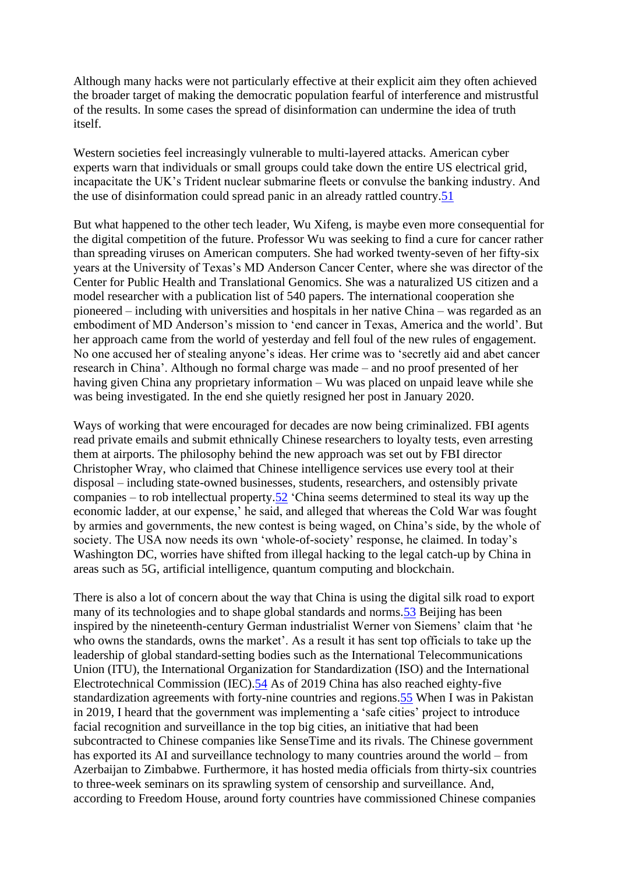Although many hacks were not particularly effective at their explicit aim they often achieved the broader target of making the democratic population fearful of interference and mistrustful of the results. In some cases the spread of disinformation can undermine the idea of truth itself.

Western societies feel increasingly vulnerable to multi-layered attacks. American cyber experts warn that individuals or small groups could take down the entire US electrical grid, incapacitate the UK's Trident nuclear submarine fleets or convulse the banking industry. And the use of disinformation could spread panic in an already rattled country.<sup>51</sup>

But what happened to the other tech leader, Wu Xifeng, is maybe even more consequential for the digital competition of the future. Professor Wu was seeking to find a cure for cancer rather than spreading viruses on American computers. She had worked twenty-seven of her fifty-six years at the University of Texas's MD Anderson Cancer Center, where she was director of the Center for Public Health and Translational Genomics. She was a naturalized US citizen and a model researcher with a publication list of 540 papers. The international cooperation she pioneered – including with universities and hospitals in her native China – was regarded as an embodiment of MD Anderson's mission to 'end cancer in Texas, America and the world'. But her approach came from the world of yesterday and fell foul of the new rules of engagement. No one accused her of stealing anyone's ideas. Her crime was to 'secretly aid and abet cancer research in China'. Although no formal charge was made – and no proof presented of her having given China any proprietary information – Wu was placed on unpaid leave while she was being investigated. In the end she quietly resigned her post in January 2020.

Ways of working that were encouraged for decades are now being criminalized. FBI agents read private emails and submit ethnically Chinese researchers to loyalty tests, even arresting them at airports. The philosophy behind the new approach was set out by FBI director Christopher Wray, who claimed that Chinese intelligence services use every tool at their disposal – including state-owned businesses, students, researchers, and ostensibly private companies – to rob intellectual property[.52](javascript:void(0)) 'China seems determined to steal its way up the economic ladder, at our expense,' he said, and alleged that whereas the Cold War was fought by armies and governments, the new contest is being waged, on China's side, by the whole of society. The USA now needs its own 'whole-of-society' response, he claimed. In today's Washington DC, worries have shifted from illegal hacking to the legal catch-up by China in areas such as 5G, artificial intelligence, quantum computing and blockchain.

There is also a lot of concern about the way that China is using the digital silk road to export many of its technologies and to shape global standards and norms[.53](javascript:void(0)) Beijing has been inspired by the nineteenth-century German industrialist Werner von Siemens' claim that 'he who owns the standards, owns the market'. As a result it has sent top officials to take up the leadership of global standard-setting bodies such as the International Telecommunications Union (ITU), the International Organization for Standardization (ISO) and the International Electrotechnical Commission (IEC)[.54](javascript:void(0)) As of 2019 China has also reached eighty-five standardization agreements with forty-nine countries and regions[.55](javascript:void(0)) When I was in Pakistan in 2019, I heard that the government was implementing a 'safe cities' project to introduce facial recognition and surveillance in the top big cities, an initiative that had been subcontracted to Chinese companies like SenseTime and its rivals. The Chinese government has exported its AI and surveillance technology to many countries around the world – from Azerbaijan to Zimbabwe. Furthermore, it has hosted media officials from thirty-six countries to three-week seminars on its sprawling system of censorship and surveillance. And, according to Freedom House, around forty countries have commissioned Chinese companies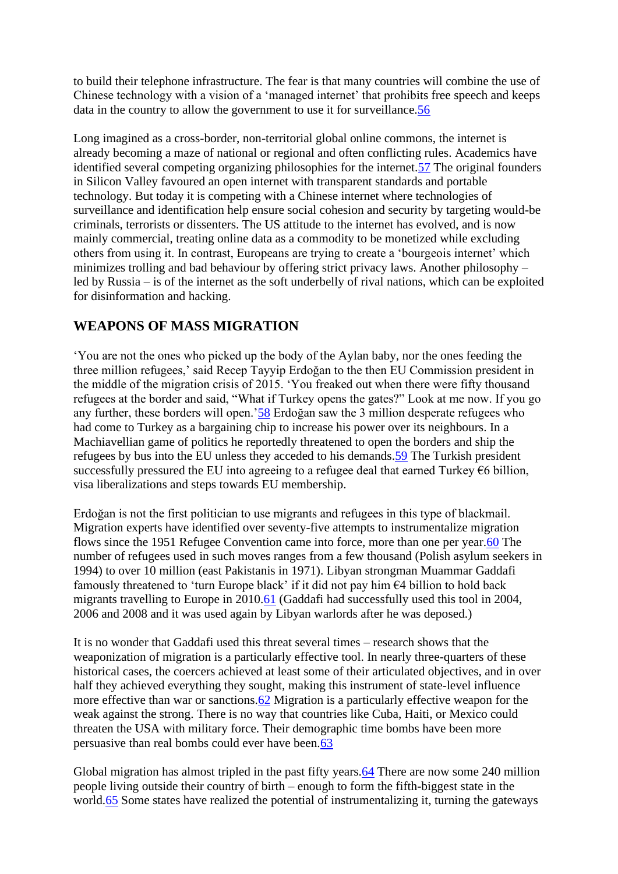to build their telephone infrastructure. The fear is that many countries will combine the use of Chinese technology with a vision of a 'managed internet' that prohibits free speech and keeps data in the country to allow the government to use it for surveillance[.56](javascript:void(0))

Long imagined as a cross-border, non-territorial global online commons, the internet is already becoming a maze of national or regional and often conflicting rules. Academics have identified several competing organizing philosophies for the internet[.57](javascript:void(0)) The original founders in Silicon Valley favoured an open internet with transparent standards and portable technology. But today it is competing with a Chinese internet where technologies of surveillance and identification help ensure social cohesion and security by targeting would-be criminals, terrorists or dissenters. The US attitude to the internet has evolved, and is now mainly commercial, treating online data as a commodity to be monetized while excluding others from using it. In contrast, Europeans are trying to create a 'bourgeois internet' which minimizes trolling and bad behaviour by offering strict privacy laws. Another philosophy – led by Russia – is of the internet as the soft underbelly of rival nations, which can be exploited for disinformation and hacking.

### **WEAPONS OF MASS MIGRATION**

'You are not the ones who picked up the body of the Aylan baby, nor the ones feeding the three million refugees,' said Recep Tayyip Erdoğan to the then EU Commission president in the middle of the migration crisis of 2015. 'You freaked out when there were fifty thousand refugees at the border and said, "What if Turkey opens the gates?" Look at me now. If you go any further, these borders will open.['58](javascript:void(0)) Erdoğan saw the 3 million desperate refugees who had come to Turkey as a bargaining chip to increase his power over its neighbours. In a Machiavellian game of politics he reportedly threatened to open the borders and ship the refugees by bus into the EU unless they acceded to his demands[.59](javascript:void(0)) The Turkish president successfully pressured the EU into agreeing to a refugee deal that earned Turkey  $\epsilon$ 6 billion, visa liberalizations and steps towards EU membership.

Erdoğan is not the first politician to use migrants and refugees in this type of blackmail. Migration experts have identified over seventy-five attempts to instrumentalize migration flows since the 1951 Refugee Convention came into force, more than one per year. 60 The number of refugees used in such moves ranges from a few thousand (Polish asylum seekers in 1994) to over 10 million (east Pakistanis in 1971). Libyan strongman Muammar Gaddafi famously threatened to 'turn Europe black' if it did not pay him  $\epsilon$ 4 billion to hold back migrants travelling to Europe in 2010[.61](javascript:void(0)) (Gaddafi had successfully used this tool in 2004, 2006 and 2008 and it was used again by Libyan warlords after he was deposed.)

It is no wonder that Gaddafi used this threat several times – research shows that the weaponization of migration is a particularly effective tool. In nearly three-quarters of these historical cases, the coercers achieved at least some of their articulated objectives, and in over half they achieved everything they sought, making this instrument of state-level influence more effective than war or sanctions[.62](javascript:void(0)) Migration is a particularly effective weapon for the weak against the strong. There is no way that countries like Cuba, Haiti, or Mexico could threaten the USA with military force. Their demographic time bombs have been more persuasive than real bombs could ever have been[.63](javascript:void(0))

Global migration has almost tripled in the past fifty years[.64](javascript:void(0)) There are now some 240 million people living outside their country of birth – enough to form the fifth-biggest state in the world[.65](javascript:void(0)) Some states have realized the potential of instrumentalizing it, turning the gateways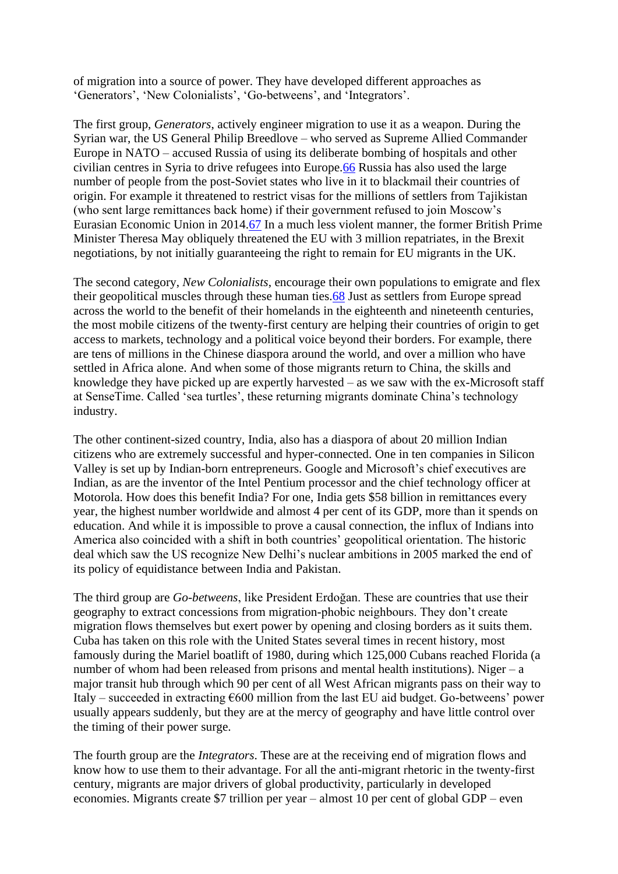of migration into a source of power. They have developed different approaches as 'Generators', 'New Colonialists', 'Go-betweens', and 'Integrators'.

The first group, *Generators*, actively engineer migration to use it as a weapon. During the Syrian war, the US General Philip Breedlove – who served as Supreme Allied Commander Europe in NATO – accused Russia of using its deliberate bombing of hospitals and other civilian centres in Syria to drive refugees into Europe[.66](javascript:void(0)) Russia has also used the large number of people from the post-Soviet states who live in it to blackmail their countries of origin. For example it threatened to restrict visas for the millions of settlers from Tajikistan (who sent large remittances back home) if their government refused to join Moscow's Eurasian Economic Union in 2014[.67](javascript:void(0)) In a much less violent manner, the former British Prime Minister Theresa May obliquely threatened the EU with 3 million repatriates, in the Brexit negotiations, by not initially guaranteeing the right to remain for EU migrants in the UK.

The second category, *New Colonialists*, encourage their own populations to emigrate and flex their geopolitical muscles through these human ties[.68](javascript:void(0)) Just as settlers from Europe spread across the world to the benefit of their homelands in the eighteenth and nineteenth centuries, the most mobile citizens of the twenty-first century are helping their countries of origin to get access to markets, technology and a political voice beyond their borders. For example, there are tens of millions in the Chinese diaspora around the world, and over a million who have settled in Africa alone. And when some of those migrants return to China, the skills and knowledge they have picked up are expertly harvested – as we saw with the ex-Microsoft staff at SenseTime. Called 'sea turtles', these returning migrants dominate China's technology industry.

The other continent-sized country, India, also has a diaspora of about 20 million Indian citizens who are extremely successful and hyper-connected. One in ten companies in Silicon Valley is set up by Indian-born entrepreneurs. Google and Microsoft's chief executives are Indian, as are the inventor of the Intel Pentium processor and the chief technology officer at Motorola. How does this benefit India? For one, India gets \$58 billion in remittances every year, the highest number worldwide and almost 4 per cent of its GDP, more than it spends on education. And while it is impossible to prove a causal connection, the influx of Indians into America also coincided with a shift in both countries' geopolitical orientation. The historic deal which saw the US recognize New Delhi's nuclear ambitions in 2005 marked the end of its policy of equidistance between India and Pakistan.

The third group are *Go-betweens*, like President Erdoğan. These are countries that use their geography to extract concessions from migration-phobic neighbours. They don't create migration flows themselves but exert power by opening and closing borders as it suits them. Cuba has taken on this role with the United States several times in recent history, most famously during the Mariel boatlift of 1980, during which 125,000 Cubans reached Florida (a number of whom had been released from prisons and mental health institutions). Niger – a major transit hub through which 90 per cent of all West African migrants pass on their way to Italy – succeeded in extracting  $\epsilon$ 600 million from the last EU aid budget. Go-betweens' power usually appears suddenly, but they are at the mercy of geography and have little control over the timing of their power surge.

The fourth group are the *Integrators*. These are at the receiving end of migration flows and know how to use them to their advantage. For all the anti-migrant rhetoric in the twenty-first century, migrants are major drivers of global productivity, particularly in developed economies. Migrants create \$7 trillion per year – almost 10 per cent of global GDP – even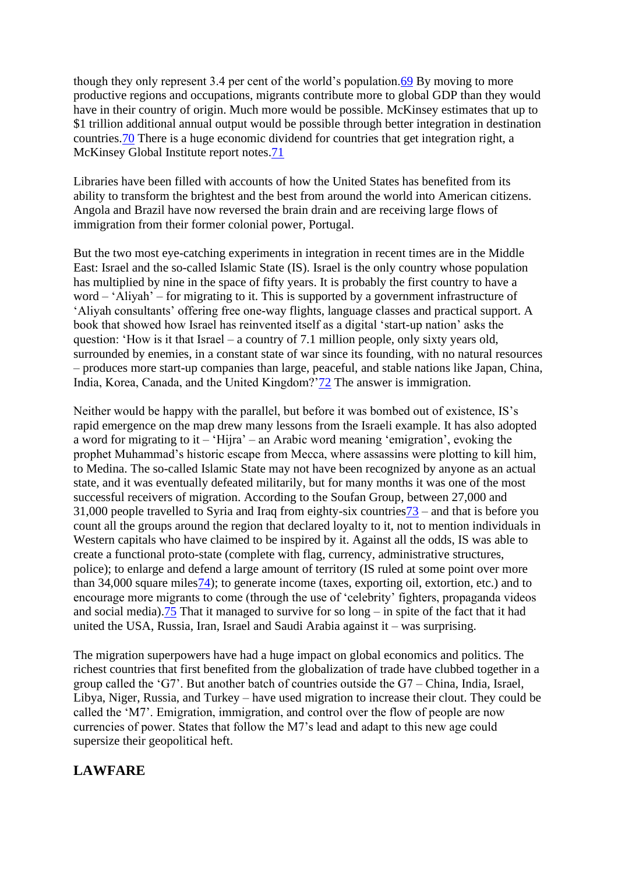though they only represent 3.4 per cent of the world's population[.69](javascript:void(0)) By moving to more productive regions and occupations, migrants contribute more to global GDP than they would have in their country of origin. Much more would be possible. McKinsey estimates that up to \$1 trillion additional annual output would be possible through better integration in destination countries[.70](javascript:void(0)) There is a huge economic dividend for countries that get integration right, a McKinsey Global Institute report notes[.71](javascript:void(0))

Libraries have been filled with accounts of how the United States has benefited from its ability to transform the brightest and the best from around the world into American citizens. Angola and Brazil have now reversed the brain drain and are receiving large flows of immigration from their former colonial power, Portugal.

But the two most eye-catching experiments in integration in recent times are in the Middle East: Israel and the so-called Islamic State (IS). Israel is the only country whose population has multiplied by nine in the space of fifty years. It is probably the first country to have a word – 'Aliyah' – for migrating to it. This is supported by a government infrastructure of 'Aliyah consultants' offering free one-way flights, language classes and practical support. A book that showed how Israel has reinvented itself as a digital 'start-up nation' asks the question: 'How is it that Israel – a country of 7.1 million people, only sixty years old, surrounded by enemies, in a constant state of war since its founding, with no natural resources – produces more start-up companies than large, peaceful, and stable nations like Japan, China, India, Korea, Canada, and the United Kingdom?['72](javascript:void(0)) The answer is immigration.

Neither would be happy with the parallel, but before it was bombed out of existence, IS's rapid emergence on the map drew many lessons from the Israeli example. It has also adopted a word for migrating to it – 'Hijra' – an Arabic word meaning 'emigration', evoking the prophet Muhammad's historic escape from Mecca, where assassins were plotting to kill him, to Medina. The so-called Islamic State may not have been recognized by anyone as an actual state, and it was eventually defeated militarily, but for many months it was one of the most successful receivers of migration. According to the Soufan Group, between 27,000 and 31,000 people travelled to Syria and Iraq from eighty-six countrie[s73](javascript:void(0)) – and that is before you count all the groups around the region that declared loyalty to it, not to mention individuals in Western capitals who have claimed to be inspired by it. Against all the odds, IS was able to create a functional proto-state (complete with flag, currency, administrative structures, police); to enlarge and defend a large amount of territory (IS ruled at some point over more than 34,000 square mile[s74\)](javascript:void(0)); to generate income (taxes, exporting oil, extortion, etc.) and to encourage more migrants to come (through the use of 'celebrity' fighters, propaganda videos and social media)[.75](javascript:void(0)) That it managed to survive for so long – in spite of the fact that it had united the USA, Russia, Iran, Israel and Saudi Arabia against it – was surprising.

The migration superpowers have had a huge impact on global economics and politics. The richest countries that first benefited from the globalization of trade have clubbed together in a group called the 'G7'. But another batch of countries outside the G7 – China, India, Israel, Libya, Niger, Russia, and Turkey – have used migration to increase their clout. They could be called the 'M7'. Emigration, immigration, and control over the flow of people are now currencies of power. States that follow the M7's lead and adapt to this new age could supersize their geopolitical heft.

### **LAWFARE**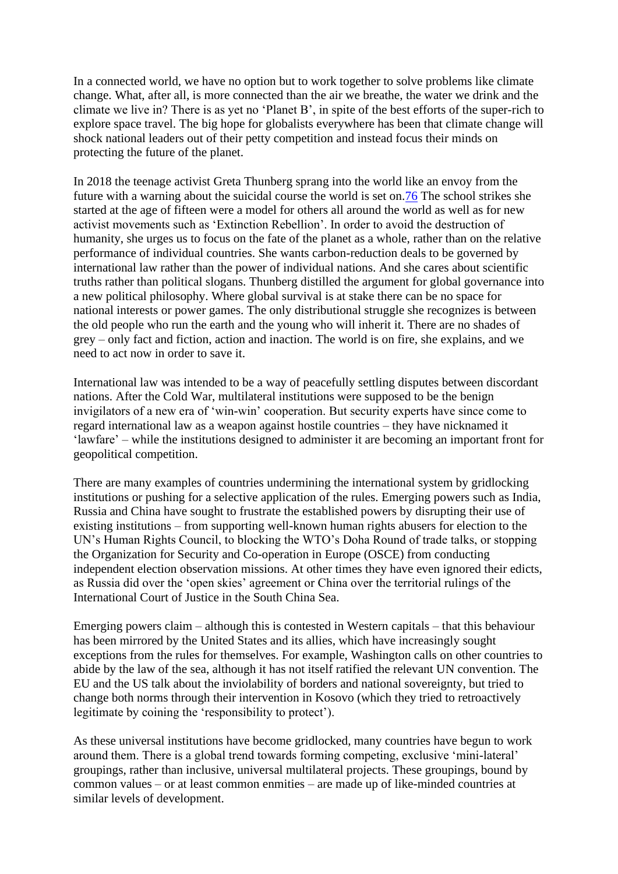In a connected world, we have no option but to work together to solve problems like climate change. What, after all, is more connected than the air we breathe, the water we drink and the climate we live in? There is as yet no 'Planet B', in spite of the best efforts of the super-rich to explore space travel. The big hope for globalists everywhere has been that climate change will shock national leaders out of their petty competition and instead focus their minds on protecting the future of the planet.

In 2018 the teenage activist Greta Thunberg sprang into the world like an envoy from the future with a warning about the suicidal course the world is set on[.76](javascript:void(0)) The school strikes she started at the age of fifteen were a model for others all around the world as well as for new activist movements such as 'Extinction Rebellion'. In order to avoid the destruction of humanity, she urges us to focus on the fate of the planet as a whole, rather than on the relative performance of individual countries. She wants carbon-reduction deals to be governed by international law rather than the power of individual nations. And she cares about scientific truths rather than political slogans. Thunberg distilled the argument for global governance into a new political philosophy. Where global survival is at stake there can be no space for national interests or power games. The only distributional struggle she recognizes is between the old people who run the earth and the young who will inherit it. There are no shades of grey – only fact and fiction, action and inaction. The world is on fire, she explains, and we need to act now in order to save it.

International law was intended to be a way of peacefully settling disputes between discordant nations. After the Cold War, multilateral institutions were supposed to be the benign invigilators of a new era of 'win-win' cooperation. But security experts have since come to regard international law as a weapon against hostile countries – they have nicknamed it 'lawfare' – while the institutions designed to administer it are becoming an important front for geopolitical competition.

There are many examples of countries undermining the international system by gridlocking institutions or pushing for a selective application of the rules. Emerging powers such as India, Russia and China have sought to frustrate the established powers by disrupting their use of existing institutions – from supporting well-known human rights abusers for election to the UN's Human Rights Council, to blocking the WTO's Doha Round of trade talks, or stopping the Organization for Security and Co-operation in Europe (OSCE) from conducting independent election observation missions. At other times they have even ignored their edicts, as Russia did over the 'open skies' agreement or China over the territorial rulings of the International Court of Justice in the South China Sea.

Emerging powers claim – although this is contested in Western capitals – that this behaviour has been mirrored by the United States and its allies, which have increasingly sought exceptions from the rules for themselves. For example, Washington calls on other countries to abide by the law of the sea, although it has not itself ratified the relevant UN convention. The EU and the US talk about the inviolability of borders and national sovereignty, but tried to change both norms through their intervention in Kosovo (which they tried to retroactively legitimate by coining the 'responsibility to protect').

As these universal institutions have become gridlocked, many countries have begun to work around them. There is a global trend towards forming competing, exclusive 'mini-lateral' groupings, rather than inclusive, universal multilateral projects. These groupings, bound by common values – or at least common enmities – are made up of like-minded countries at similar levels of development.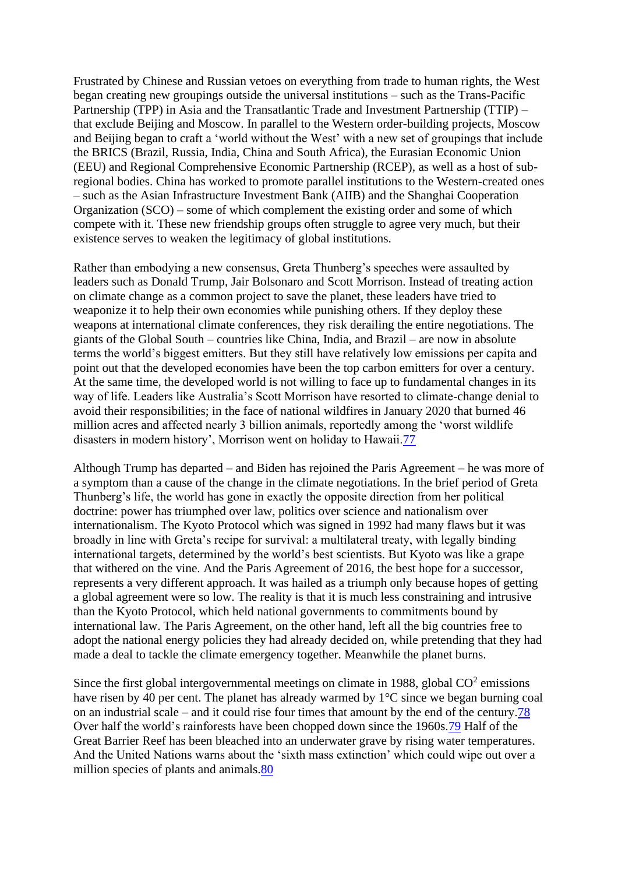Frustrated by Chinese and Russian vetoes on everything from trade to human rights, the West began creating new groupings outside the universal institutions – such as the Trans-Pacific Partnership (TPP) in Asia and the Transatlantic Trade and Investment Partnership (TTIP) – that exclude Beijing and Moscow. In parallel to the Western order-building projects, Moscow and Beijing began to craft a 'world without the West' with a new set of groupings that include the BRICS (Brazil, Russia, India, China and South Africa), the Eurasian Economic Union (EEU) and Regional Comprehensive Economic Partnership (RCEP), as well as a host of subregional bodies. China has worked to promote parallel institutions to the Western-created ones – such as the Asian Infrastructure Investment Bank (AIIB) and the Shanghai Cooperation Organization (SCO) – some of which complement the existing order and some of which compete with it. These new friendship groups often struggle to agree very much, but their existence serves to weaken the legitimacy of global institutions.

Rather than embodying a new consensus, Greta Thunberg's speeches were assaulted by leaders such as Donald Trump, Jair Bolsonaro and Scott Morrison. Instead of treating action on climate change as a common project to save the planet, these leaders have tried to weaponize it to help their own economies while punishing others. If they deploy these weapons at international climate conferences, they risk derailing the entire negotiations. The giants of the Global South – countries like China, India, and Brazil – are now in absolute terms the world's biggest emitters. But they still have relatively low emissions per capita and point out that the developed economies have been the top carbon emitters for over a century. At the same time, the developed world is not willing to face up to fundamental changes in its way of life. Leaders like Australia's Scott Morrison have resorted to climate-change denial to avoid their responsibilities; in the face of national wildfires in January 2020 that burned 46 million acres and affected nearly 3 billion animals, reportedly among the 'worst wildlife disasters in modern history', Morrison went on holiday to Hawaii[.77](javascript:void(0))

Although Trump has departed – and Biden has rejoined the Paris Agreement – he was more of a symptom than a cause of the change in the climate negotiations. In the brief period of Greta Thunberg's life, the world has gone in exactly the opposite direction from her political doctrine: power has triumphed over law, politics over science and nationalism over internationalism. The Kyoto Protocol which was signed in 1992 had many flaws but it was broadly in line with Greta's recipe for survival: a multilateral treaty, with legally binding international targets, determined by the world's best scientists. But Kyoto was like a grape that withered on the vine. And the Paris Agreement of 2016, the best hope for a successor, represents a very different approach. It was hailed as a triumph only because hopes of getting a global agreement were so low. The reality is that it is much less constraining and intrusive than the Kyoto Protocol, which held national governments to commitments bound by international law. The Paris Agreement, on the other hand, left all the big countries free to adopt the national energy policies they had already decided on, while pretending that they had made a deal to tackle the climate emergency together. Meanwhile the planet burns.

Since the first global intergovernmental meetings on climate in 1988, global  $CO<sup>2</sup>$  emissions have risen by 40 per cent. The planet has already warmed by 1°C since we began burning coal on an industrial scale – and it could rise four times that amount by the end of the century[.78](javascript:void(0)) Over half the world's rainforests have been chopped down since the 1960s[.79](javascript:void(0)) Half of the Great Barrier Reef has been bleached into an underwater grave by rising water temperatures. And the United Nations warns about the 'sixth mass extinction' which could wipe out over a million species of plants and animals[.80](javascript:void(0))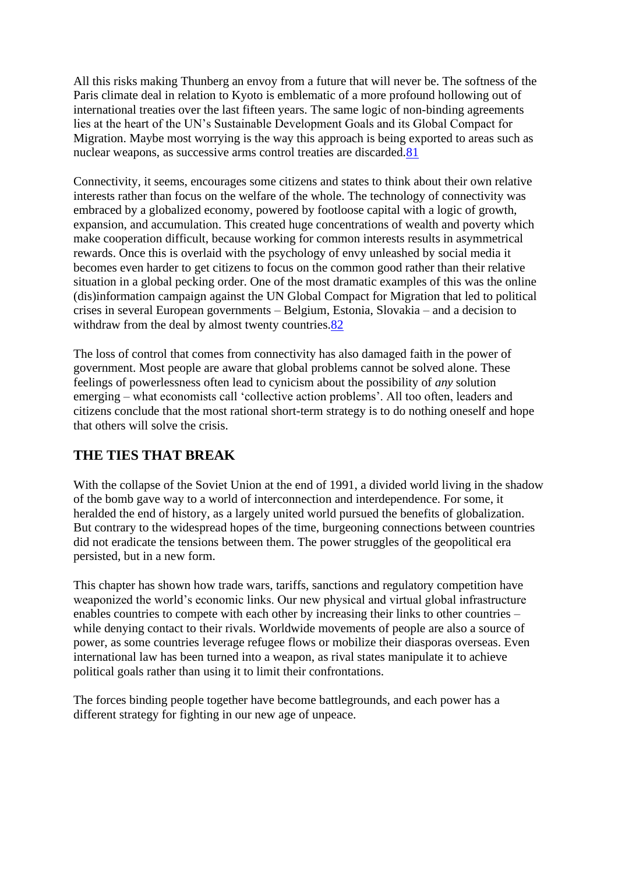All this risks making Thunberg an envoy from a future that will never be. The softness of the Paris climate deal in relation to Kyoto is emblematic of a more profound hollowing out of international treaties over the last fifteen years. The same logic of non-binding agreements lies at the heart of the UN's Sustainable Development Goals and its Global Compact for Migration. Maybe most worrying is the way this approach is being exported to areas such as nuclear weapons, as successive arms control treaties are discarded[.81](javascript:void(0))

Connectivity, it seems, encourages some citizens and states to think about their own relative interests rather than focus on the welfare of the whole. The technology of connectivity was embraced by a globalized economy, powered by footloose capital with a logic of growth, expansion, and accumulation. This created huge concentrations of wealth and poverty which make cooperation difficult, because working for common interests results in asymmetrical rewards. Once this is overlaid with the psychology of envy unleashed by social media it becomes even harder to get citizens to focus on the common good rather than their relative situation in a global pecking order. One of the most dramatic examples of this was the online (dis)information campaign against the UN Global Compact for Migration that led to political crises in several European governments – Belgium, Estonia, Slovakia – and a decision to withdraw from the deal by almost twenty countries[.82](javascript:void(0))

The loss of control that comes from connectivity has also damaged faith in the power of government. Most people are aware that global problems cannot be solved alone. These feelings of powerlessness often lead to cynicism about the possibility of *any* solution emerging – what economists call 'collective action problems'. All too often, leaders and citizens conclude that the most rational short-term strategy is to do nothing oneself and hope that others will solve the crisis.

## **THE TIES THAT BREAK**

With the collapse of the Soviet Union at the end of 1991, a divided world living in the shadow of the bomb gave way to a world of interconnection and interdependence. For some, it heralded the end of history, as a largely united world pursued the benefits of globalization. But contrary to the widespread hopes of the time, burgeoning connections between countries did not eradicate the tensions between them. The power struggles of the geopolitical era persisted, but in a new form.

This chapter has shown how trade wars, tariffs, sanctions and regulatory competition have weaponized the world's economic links. Our new physical and virtual global infrastructure enables countries to compete with each other by increasing their links to other countries – while denying contact to their rivals. Worldwide movements of people are also a source of power, as some countries leverage refugee flows or mobilize their diasporas overseas. Even international law has been turned into a weapon, as rival states manipulate it to achieve political goals rather than using it to limit their confrontations.

The forces binding people together have become battlegrounds, and each power has a different strategy for fighting in our new age of unpeace.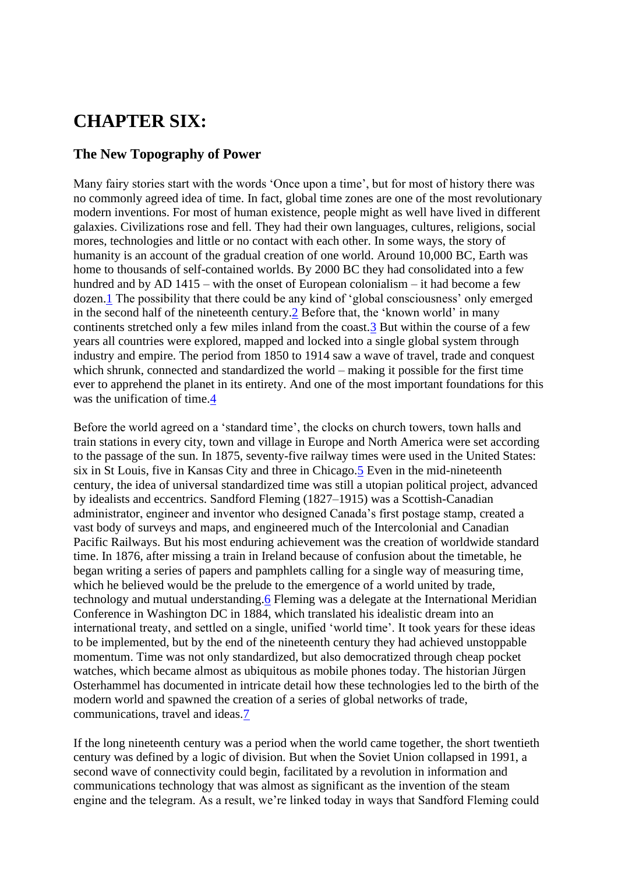# **CHAPTER SIX:**

### **The New Topography of Power**

Many fairy stories start with the words 'Once upon a time', but for most of history there was no commonly agreed idea of time. In fact, global time zones are one of the most revolutionary modern inventions. For most of human existence, people might as well have lived in different galaxies. Civilizations rose and fell. They had their own languages, cultures, religions, social mores, technologies and little or no contact with each other. In some ways, the story of humanity is an account of the gradual creation of one world. Around 10,000 BC, Earth was home to thousands of self-contained worlds. By 2000 BC they had consolidated into a few hundred and by AD 1415 – with the onset of European colonialism – it had become a few dozen[.1](javascript:void(0)) The possibility that there could be any kind of 'global consciousness' only emerged in the second half of the nineteenth century[.2](javascript:void(0)) Before that, the 'known world' in many continents stretched only a few miles inland from the coast[.3](javascript:void(0)) But within the course of a few years all countries were explored, mapped and locked into a single global system through industry and empire. The period from 1850 to 1914 saw a wave of travel, trade and conquest which shrunk, connected and standardized the world – making it possible for the first time ever to apprehend the planet in its entirety. And one of the most important foundations for this was the unification of time[.4](javascript:void(0))

Before the world agreed on a 'standard time', the clocks on church towers, town halls and train stations in every city, town and village in Europe and North America were set according to the passage of the sun. In 1875, seventy-five railway times were used in the United States: six in St Louis, five in Kansas City and three in Chicago[.5](javascript:void(0)) Even in the mid-nineteenth century, the idea of universal standardized time was still a utopian political project, advanced by idealists and eccentrics. Sandford Fleming (1827–1915) was a Scottish-Canadian administrator, engineer and inventor who designed Canada's first postage stamp, created a vast body of surveys and maps, and engineered much of the Intercolonial and Canadian Pacific Railways. But his most enduring achievement was the creation of worldwide standard time. In 1876, after missing a train in Ireland because of confusion about the timetable, he began writing a series of papers and pamphlets calling for a single way of measuring time, which he believed would be the prelude to the emergence of a world united by trade, technology and mutual understanding[.6](javascript:void(0)) Fleming was a delegate at the International Meridian Conference in Washington DC in 1884, which translated his idealistic dream into an international treaty, and settled on a single, unified 'world time'. It took years for these ideas to be implemented, but by the end of the nineteenth century they had achieved unstoppable momentum. Time was not only standardized, but also democratized through cheap pocket watches, which became almost as ubiquitous as mobile phones today. The historian Jürgen Osterhammel has documented in intricate detail how these technologies led to the birth of the modern world and spawned the creation of a series of global networks of trade, communications, travel and ideas[.7](javascript:void(0))

If the long nineteenth century was a period when the world came together, the short twentieth century was defined by a logic of division. But when the Soviet Union collapsed in 1991, a second wave of connectivity could begin, facilitated by a revolution in information and communications technology that was almost as significant as the invention of the steam engine and the telegram. As a result, we're linked today in ways that Sandford Fleming could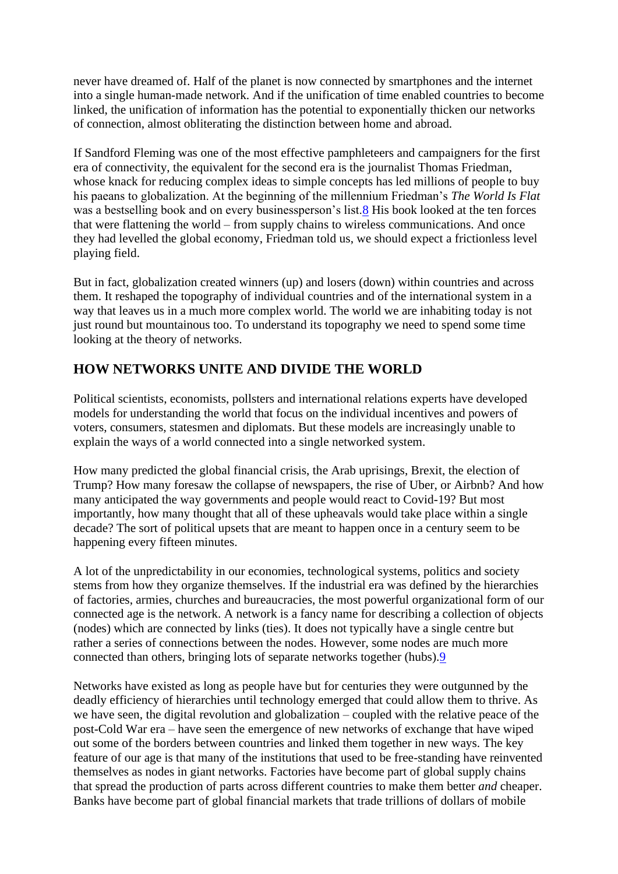never have dreamed of. Half of the planet is now connected by smartphones and the internet into a single human-made network. And if the unification of time enabled countries to become linked, the unification of information has the potential to exponentially thicken our networks of connection, almost obliterating the distinction between home and abroad.

If Sandford Fleming was one of the most effective pamphleteers and campaigners for the first era of connectivity, the equivalent for the second era is the journalist Thomas Friedman, whose knack for reducing complex ideas to simple concepts has led millions of people to buy his paeans to globalization. At the beginning of the millennium Friedman's *The World Is Flat* was a bestselling book and on every businessperson's list[.8](javascript:void(0)) His book looked at the ten forces that were flattening the world – from supply chains to wireless communications. And once they had levelled the global economy, Friedman told us, we should expect a frictionless level playing field.

But in fact, globalization created winners (up) and losers (down) within countries and across them. It reshaped the topography of individual countries and of the international system in a way that leaves us in a much more complex world. The world we are inhabiting today is not just round but mountainous too. To understand its topography we need to spend some time looking at the theory of networks.

## **HOW NETWORKS UNITE AND DIVIDE THE WORLD**

Political scientists, economists, pollsters and international relations experts have developed models for understanding the world that focus on the individual incentives and powers of voters, consumers, statesmen and diplomats. But these models are increasingly unable to explain the ways of a world connected into a single networked system.

How many predicted the global financial crisis, the Arab uprisings, Brexit, the election of Trump? How many foresaw the collapse of newspapers, the rise of Uber, or Airbnb? And how many anticipated the way governments and people would react to Covid-19? But most importantly, how many thought that all of these upheavals would take place within a single decade? The sort of political upsets that are meant to happen once in a century seem to be happening every fifteen minutes.

A lot of the unpredictability in our economies, technological systems, politics and society stems from how they organize themselves. If the industrial era was defined by the hierarchies of factories, armies, churches and bureaucracies, the most powerful organizational form of our connected age is the network. A network is a fancy name for describing a collection of objects (nodes) which are connected by links (ties). It does not typically have a single centre but rather a series of connections between the nodes. However, some nodes are much more connected than others, bringing lots of separate networks together (hubs)[.9](javascript:void(0))

Networks have existed as long as people have but for centuries they were outgunned by the deadly efficiency of hierarchies until technology emerged that could allow them to thrive. As we have seen, the digital revolution and globalization – coupled with the relative peace of the post-Cold War era – have seen the emergence of new networks of exchange that have wiped out some of the borders between countries and linked them together in new ways. The key feature of our age is that many of the institutions that used to be free-standing have reinvented themselves as nodes in giant networks. Factories have become part of global supply chains that spread the production of parts across different countries to make them better *and* cheaper. Banks have become part of global financial markets that trade trillions of dollars of mobile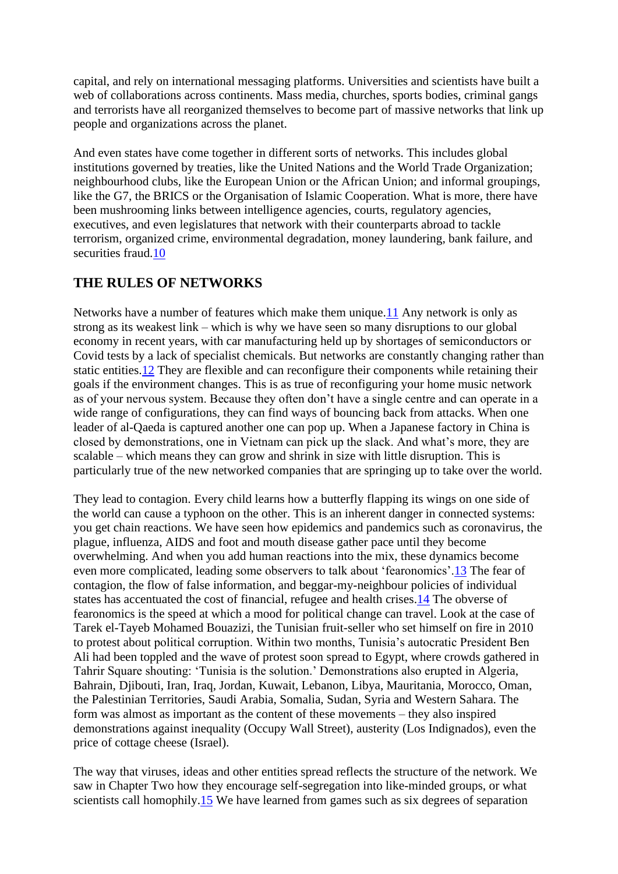capital, and rely on international messaging platforms. Universities and scientists have built a web of collaborations across continents. Mass media, churches, sports bodies, criminal gangs and terrorists have all reorganized themselves to become part of massive networks that link up people and organizations across the planet.

And even states have come together in different sorts of networks. This includes global institutions governed by treaties, like the United Nations and the World Trade Organization; neighbourhood clubs, like the European Union or the African Union; and informal groupings, like the G7, the BRICS or the Organisation of Islamic Cooperation. What is more, there have been mushrooming links between intelligence agencies, courts, regulatory agencies, executives, and even legislatures that network with their counterparts abroad to tackle terrorism, organized crime, environmental degradation, money laundering, bank failure, and securities fraud[.10](javascript:void(0))

### **THE RULES OF NETWORKS**

Networks have a number of features which make them unique[.11](javascript:void(0)) Any network is only as strong as its weakest link – which is why we have seen so many disruptions to our global economy in recent years, with car manufacturing held up by shortages of semiconductors or Covid tests by a lack of specialist chemicals. But networks are constantly changing rather than static entities[.12](javascript:void(0)) They are flexible and can reconfigure their components while retaining their goals if the environment changes. This is as true of reconfiguring your home music network as of your nervous system. Because they often don't have a single centre and can operate in a wide range of configurations, they can find ways of bouncing back from attacks. When one leader of al-Qaeda is captured another one can pop up. When a Japanese factory in China is closed by demonstrations, one in Vietnam can pick up the slack. And what's more, they are scalable – which means they can grow and shrink in size with little disruption. This is particularly true of the new networked companies that are springing up to take over the world.

They lead to contagion. Every child learns how a butterfly flapping its wings on one side of the world can cause a typhoon on the other. This is an inherent danger in connected systems: you get chain reactions. We have seen how epidemics and pandemics such as coronavirus, the plague, influenza, AIDS and foot and mouth disease gather pace until they become overwhelming. And when you add human reactions into the mix, these dynamics become even more complicated, leading some observers to talk about 'fearonomics'[.13](javascript:void(0)) The fear of contagion, the flow of false information, and beggar-my-neighbour policies of individual states has accentuated the cost of financial, refugee and health crises[.14](javascript:void(0)) The obverse of fearonomics is the speed at which a mood for political change can travel. Look at the case of Tarek el-Tayeb Mohamed Bouazizi, the Tunisian fruit-seller who set himself on fire in 2010 to protest about political corruption. Within two months, Tunisia's autocratic President Ben Ali had been toppled and the wave of protest soon spread to Egypt, where crowds gathered in Tahrir Square shouting: 'Tunisia is the solution.' Demonstrations also erupted in Algeria, Bahrain, Djibouti, Iran, Iraq, Jordan, Kuwait, Lebanon, Libya, Mauritania, Morocco, Oman, the Palestinian Territories, Saudi Arabia, Somalia, Sudan, Syria and Western Sahara. The form was almost as important as the content of these movements – they also inspired demonstrations against inequality (Occupy Wall Street), austerity (Los Indignados), even the price of cottage cheese (Israel).

The way that viruses, ideas and other entities spread reflects the structure of the network. We saw in Chapter Two how they encourage self-segregation into like-minded groups, or what scientists call homophily[.15](javascript:void(0)) We have learned from games such as six degrees of separation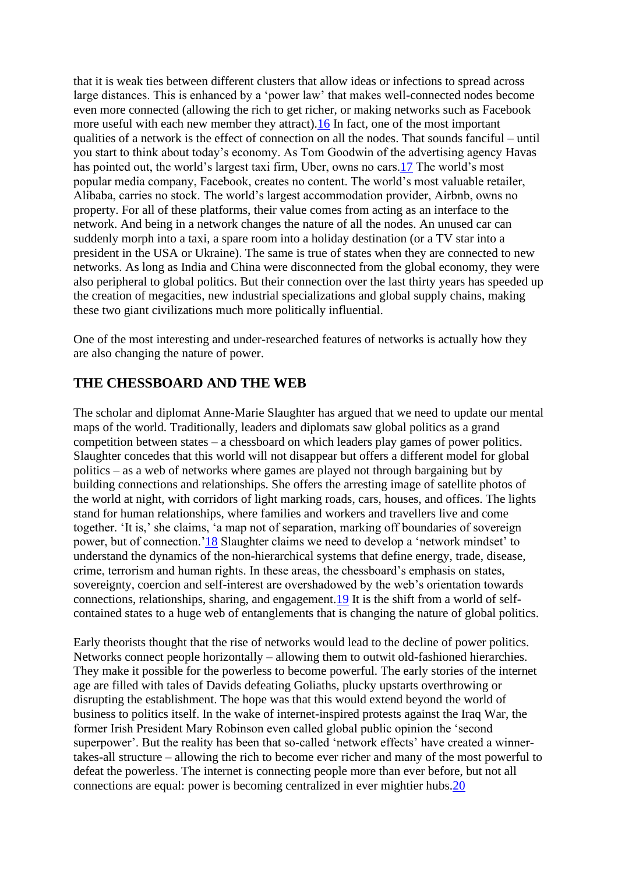that it is weak ties between different clusters that allow ideas or infections to spread across large distances. This is enhanced by a 'power law' that makes well-connected nodes become even more connected (allowing the rich to get richer, or making networks such as Facebook more useful with each new member they attract)[.16](javascript:void(0)) In fact, one of the most important qualities of a network is the effect of connection on all the nodes. That sounds fanciful – until you start to think about today's economy. As Tom Goodwin of the advertising agency Havas has pointed out, the world's largest taxi firm, Uber, owns no cars[.17](javascript:void(0)) The world's most popular media company, Facebook, creates no content. The world's most valuable retailer, Alibaba, carries no stock. The world's largest accommodation provider, Airbnb, owns no property. For all of these platforms, their value comes from acting as an interface to the network. And being in a network changes the nature of all the nodes. An unused car can suddenly morph into a taxi, a spare room into a holiday destination (or a TV star into a president in the USA or Ukraine). The same is true of states when they are connected to new networks. As long as India and China were disconnected from the global economy, they were also peripheral to global politics. But their connection over the last thirty years has speeded up the creation of megacities, new industrial specializations and global supply chains, making these two giant civilizations much more politically influential.

One of the most interesting and under-researched features of networks is actually how they are also changing the nature of power.

#### **THE CHESSBOARD AND THE WEB**

The scholar and diplomat Anne-Marie Slaughter has argued that we need to update our mental maps of the world. Traditionally, leaders and diplomats saw global politics as a grand competition between states – a chessboard on which leaders play games of power politics. Slaughter concedes that this world will not disappear but offers a different model for global politics – as a web of networks where games are played not through bargaining but by building connections and relationships. She offers the arresting image of satellite photos of the world at night, with corridors of light marking roads, cars, houses, and offices. The lights stand for human relationships, where families and workers and travellers live and come together. 'It is,' she claims, 'a map not of separation, marking off boundaries of sovereign power, but of connection.['18](javascript:void(0)) Slaughter claims we need to develop a 'network mindset' to understand the dynamics of the non-hierarchical systems that define energy, trade, disease, crime, terrorism and human rights. In these areas, the chessboard's emphasis on states, sovereignty, coercion and self-interest are overshadowed by the web's orientation towards connections, relationships, sharing, and engagement[.19](javascript:void(0)) It is the shift from a world of selfcontained states to a huge web of entanglements that is changing the nature of global politics.

Early theorists thought that the rise of networks would lead to the decline of power politics. Networks connect people horizontally – allowing them to outwit old-fashioned hierarchies. They make it possible for the powerless to become powerful. The early stories of the internet age are filled with tales of Davids defeating Goliaths, plucky upstarts overthrowing or disrupting the establishment. The hope was that this would extend beyond the world of business to politics itself. In the wake of internet-inspired protests against the Iraq War, the former Irish President Mary Robinson even called global public opinion the 'second superpower'. But the reality has been that so-called 'network effects' have created a winnertakes-all structure – allowing the rich to become ever richer and many of the most powerful to defeat the powerless. The internet is connecting people more than ever before, but not all connections are equal: power is becoming centralized in ever mightier hubs[.20](javascript:void(0))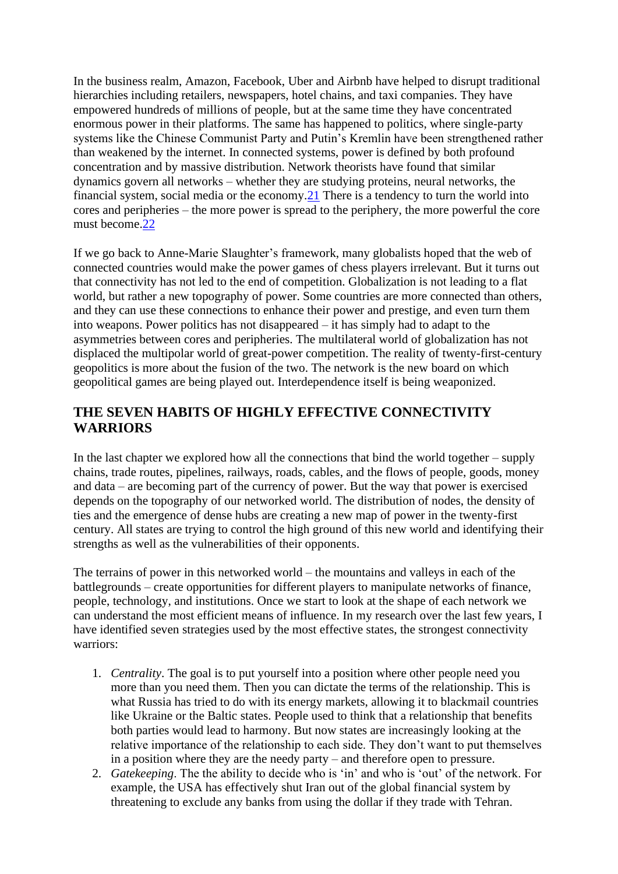In the business realm, Amazon, Facebook, Uber and Airbnb have helped to disrupt traditional hierarchies including retailers, newspapers, hotel chains, and taxi companies. They have empowered hundreds of millions of people, but at the same time they have concentrated enormous power in their platforms. The same has happened to politics, where single-party systems like the Chinese Communist Party and Putin's Kremlin have been strengthened rather than weakened by the internet. In connected systems, power is defined by both profound concentration and by massive distribution. Network theorists have found that similar dynamics govern all networks – whether they are studying proteins, neural networks, the financial system, social media or the economy. $21$  There is a tendency to turn the world into cores and peripheries – the more power is spread to the periphery, the more powerful the core must become[.22](javascript:void(0))

If we go back to Anne-Marie Slaughter's framework, many globalists hoped that the web of connected countries would make the power games of chess players irrelevant. But it turns out that connectivity has not led to the end of competition. Globalization is not leading to a flat world, but rather a new topography of power. Some countries are more connected than others, and they can use these connections to enhance their power and prestige, and even turn them into weapons. Power politics has not disappeared – it has simply had to adapt to the asymmetries between cores and peripheries. The multilateral world of globalization has not displaced the multipolar world of great-power competition. The reality of twenty-first-century geopolitics is more about the fusion of the two. The network is the new board on which geopolitical games are being played out. Interdependence itself is being weaponized.

## **THE SEVEN HABITS OF HIGHLY EFFECTIVE CONNECTIVITY WARRIORS**

In the last chapter we explored how all the connections that bind the world together – supply chains, trade routes, pipelines, railways, roads, cables, and the flows of people, goods, money and data – are becoming part of the currency of power. But the way that power is exercised depends on the topography of our networked world. The distribution of nodes, the density of ties and the emergence of dense hubs are creating a new map of power in the twenty-first century. All states are trying to control the high ground of this new world and identifying their strengths as well as the vulnerabilities of their opponents.

The terrains of power in this networked world – the mountains and valleys in each of the battlegrounds – create opportunities for different players to manipulate networks of finance, people, technology, and institutions. Once we start to look at the shape of each network we can understand the most efficient means of influence. In my research over the last few years, I have identified seven strategies used by the most effective states, the strongest connectivity warriors:

- 1. *Centrality*. The goal is to put yourself into a position where other people need you more than you need them. Then you can dictate the terms of the relationship. This is what Russia has tried to do with its energy markets, allowing it to blackmail countries like Ukraine or the Baltic states. People used to think that a relationship that benefits both parties would lead to harmony. But now states are increasingly looking at the relative importance of the relationship to each side. They don't want to put themselves in a position where they are the needy party – and therefore open to pressure.
- 2. *Gatekeeping*. The the ability to decide who is 'in' and who is 'out' of the network. For example, the USA has effectively shut Iran out of the global financial system by threatening to exclude any banks from using the dollar if they trade with Tehran.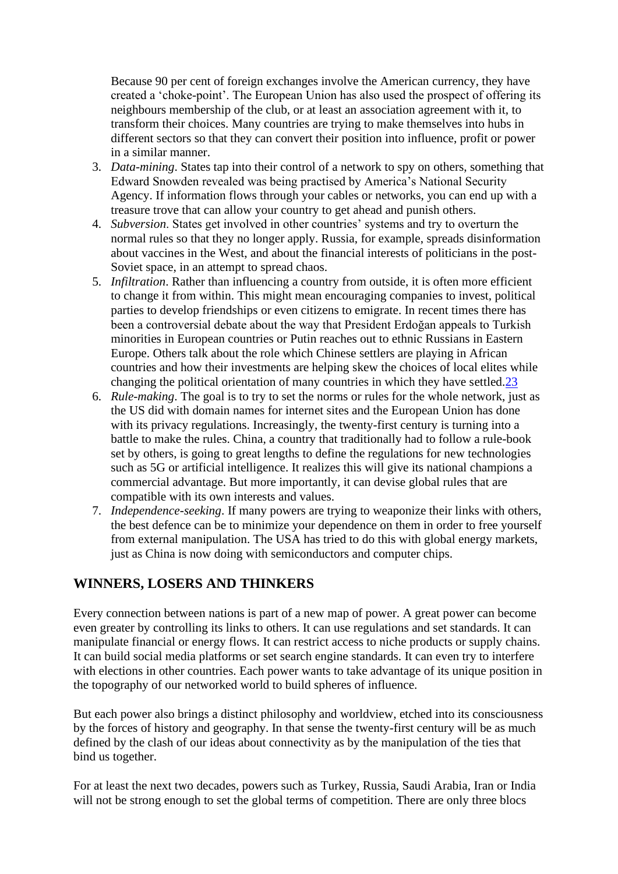Because 90 per cent of foreign exchanges involve the American currency, they have created a 'choke-point'. The European Union has also used the prospect of offering its neighbours membership of the club, or at least an association agreement with it, to transform their choices. Many countries are trying to make themselves into hubs in different sectors so that they can convert their position into influence, profit or power in a similar manner.

- 3. *Data-mining*. States tap into their control of a network to spy on others, something that Edward Snowden revealed was being practised by America's National Security Agency. If information flows through your cables or networks, you can end up with a treasure trove that can allow your country to get ahead and punish others.
- 4. *Subversion*. States get involved in other countries' systems and try to overturn the normal rules so that they no longer apply. Russia, for example, spreads disinformation about vaccines in the West, and about the financial interests of politicians in the post-Soviet space, in an attempt to spread chaos.
- 5. *Infiltration*. Rather than influencing a country from outside, it is often more efficient to change it from within. This might mean encouraging companies to invest, political parties to develop friendships or even citizens to emigrate. In recent times there has been a controversial debate about the way that President Erdoğan appeals to Turkish minorities in European countries or Putin reaches out to ethnic Russians in Eastern Europe. Others talk about the role which Chinese settlers are playing in African countries and how their investments are helping skew the choices of local elites while changing the political orientation of many countries in which they have settled[.23](javascript:void(0))
- 6. *Rule-making*. The goal is to try to set the norms or rules for the whole network, just as the US did with domain names for internet sites and the European Union has done with its privacy regulations. Increasingly, the twenty-first century is turning into a battle to make the rules. China, a country that traditionally had to follow a rule-book set by others, is going to great lengths to define the regulations for new technologies such as 5G or artificial intelligence. It realizes this will give its national champions a commercial advantage. But more importantly, it can devise global rules that are compatible with its own interests and values.
- 7. *Independence-seeking*. If many powers are trying to weaponize their links with others, the best defence can be to minimize your dependence on them in order to free yourself from external manipulation. The USA has tried to do this with global energy markets, just as China is now doing with semiconductors and computer chips.

## **WINNERS, LOSERS AND THINKERS**

Every connection between nations is part of a new map of power. A great power can become even greater by controlling its links to others. It can use regulations and set standards. It can manipulate financial or energy flows. It can restrict access to niche products or supply chains. It can build social media platforms or set search engine standards. It can even try to interfere with elections in other countries. Each power wants to take advantage of its unique position in the topography of our networked world to build spheres of influence.

But each power also brings a distinct philosophy and worldview, etched into its consciousness by the forces of history and geography. In that sense the twenty-first century will be as much defined by the clash of our ideas about connectivity as by the manipulation of the ties that bind us together.

For at least the next two decades, powers such as Turkey, Russia, Saudi Arabia, Iran or India will not be strong enough to set the global terms of competition. There are only three blocs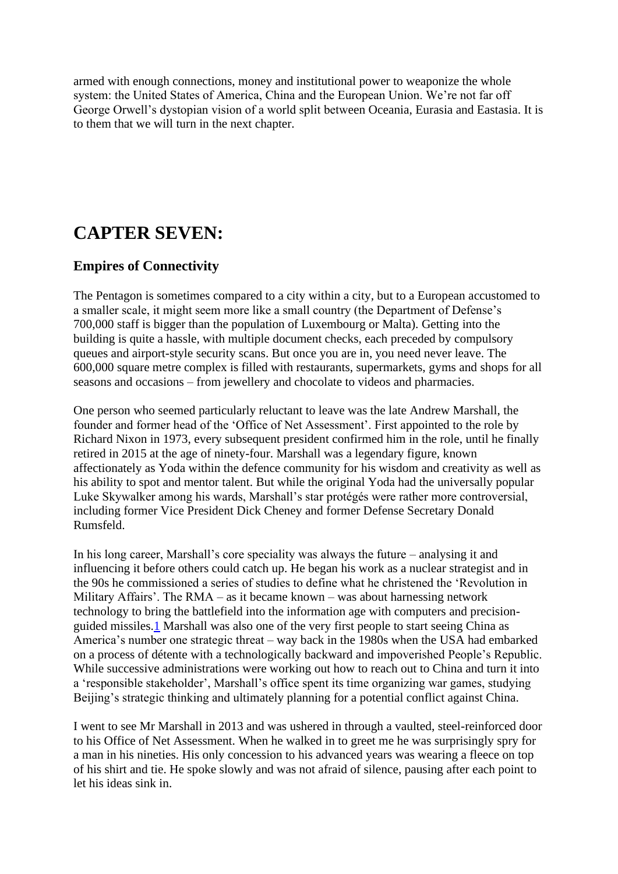armed with enough connections, money and institutional power to weaponize the whole system: the United States of America, China and the European Union. We're not far off George Orwell's dystopian vision of a world split between Oceania, Eurasia and Eastasia. It is to them that we will turn in the next chapter.

# **CAPTER SEVEN:**

## **Empires of Connectivity**

The Pentagon is sometimes compared to a city within a city, but to a European accustomed to a smaller scale, it might seem more like a small country (the Department of Defense's 700,000 staff is bigger than the population of Luxembourg or Malta). Getting into the building is quite a hassle, with multiple document checks, each preceded by compulsory queues and airport-style security scans. But once you are in, you need never leave. The 600,000 square metre complex is filled with restaurants, supermarkets, gyms and shops for all seasons and occasions – from jewellery and chocolate to videos and pharmacies.

One person who seemed particularly reluctant to leave was the late Andrew Marshall, the founder and former head of the 'Office of Net Assessment'. First appointed to the role by Richard Nixon in 1973, every subsequent president confirmed him in the role, until he finally retired in 2015 at the age of ninety-four. Marshall was a legendary figure, known affectionately as Yoda within the defence community for his wisdom and creativity as well as his ability to spot and mentor talent. But while the original Yoda had the universally popular Luke Skywalker among his wards, Marshall's star protégés were rather more controversial, including former Vice President Dick Cheney and former Defense Secretary Donald Rumsfeld.

In his long career, Marshall's core speciality was always the future – analysing it and influencing it before others could catch up. He began his work as a nuclear strategist and in the 90s he commissioned a series of studies to define what he christened the 'Revolution in Military Affairs'. The  $\text{RMA}$  – as it became known – was about harnessing network technology to bring the battlefield into the information age with computers and precisionguided missiles[.1](javascript:void(0)) Marshall was also one of the very first people to start seeing China as America's number one strategic threat – way back in the 1980s when the USA had embarked on a process of détente with a technologically backward and impoverished People's Republic. While successive administrations were working out how to reach out to China and turn it into a 'responsible stakeholder', Marshall's office spent its time organizing war games, studying Beijing's strategic thinking and ultimately planning for a potential conflict against China.

I went to see Mr Marshall in 2013 and was ushered in through a vaulted, steel-reinforced door to his Office of Net Assessment. When he walked in to greet me he was surprisingly spry for a man in his nineties. His only concession to his advanced years was wearing a fleece on top of his shirt and tie. He spoke slowly and was not afraid of silence, pausing after each point to let his ideas sink in.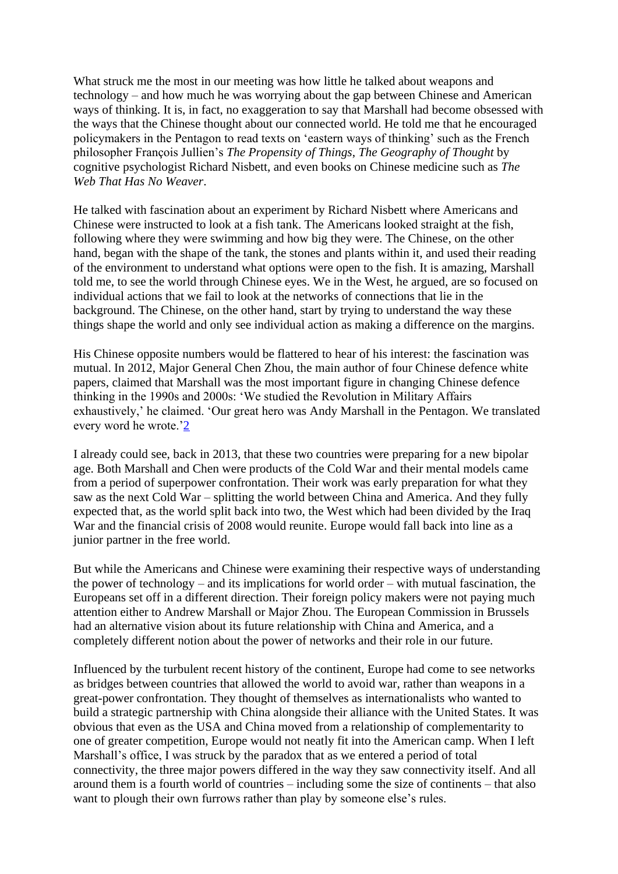What struck me the most in our meeting was how little he talked about weapons and technology – and how much he was worrying about the gap between Chinese and American ways of thinking. It is, in fact, no exaggeration to say that Marshall had become obsessed with the ways that the Chinese thought about our connected world. He told me that he encouraged policymakers in the Pentagon to read texts on 'eastern ways of thinking' such as the French philosopher François Jullien's *The Propensity of Things*, *The Geography of Thought* by cognitive psychologist Richard Nisbett, and even books on Chinese medicine such as *The Web That Has No Weaver*.

He talked with fascination about an experiment by Richard Nisbett where Americans and Chinese were instructed to look at a fish tank. The Americans looked straight at the fish, following where they were swimming and how big they were. The Chinese, on the other hand, began with the shape of the tank, the stones and plants within it, and used their reading of the environment to understand what options were open to the fish. It is amazing, Marshall told me, to see the world through Chinese eyes. We in the West, he argued, are so focused on individual actions that we fail to look at the networks of connections that lie in the background. The Chinese, on the other hand, start by trying to understand the way these things shape the world and only see individual action as making a difference on the margins.

His Chinese opposite numbers would be flattered to hear of his interest: the fascination was mutual. In 2012, Major General Chen Zhou, the main author of four Chinese defence white papers, claimed that Marshall was the most important figure in changing Chinese defence thinking in the 1990s and 2000s: 'We studied the Revolution in Military Affairs exhaustively,' he claimed. 'Our great hero was Andy Marshall in the Pentagon. We translated every word he wrote.['2](javascript:void(0))

I already could see, back in 2013, that these two countries were preparing for a new bipolar age. Both Marshall and Chen were products of the Cold War and their mental models came from a period of superpower confrontation. Their work was early preparation for what they saw as the next Cold War – splitting the world between China and America. And they fully expected that, as the world split back into two, the West which had been divided by the Iraq War and the financial crisis of 2008 would reunite. Europe would fall back into line as a junior partner in the free world.

But while the Americans and Chinese were examining their respective ways of understanding the power of technology – and its implications for world order – with mutual fascination, the Europeans set off in a different direction. Their foreign policy makers were not paying much attention either to Andrew Marshall or Major Zhou. The European Commission in Brussels had an alternative vision about its future relationship with China and America, and a completely different notion about the power of networks and their role in our future.

Influenced by the turbulent recent history of the continent, Europe had come to see networks as bridges between countries that allowed the world to avoid war, rather than weapons in a great-power confrontation. They thought of themselves as internationalists who wanted to build a strategic partnership with China alongside their alliance with the United States. It was obvious that even as the USA and China moved from a relationship of complementarity to one of greater competition, Europe would not neatly fit into the American camp. When I left Marshall's office, I was struck by the paradox that as we entered a period of total connectivity, the three major powers differed in the way they saw connectivity itself. And all around them is a fourth world of countries – including some the size of continents – that also want to plough their own furrows rather than play by someone else's rules.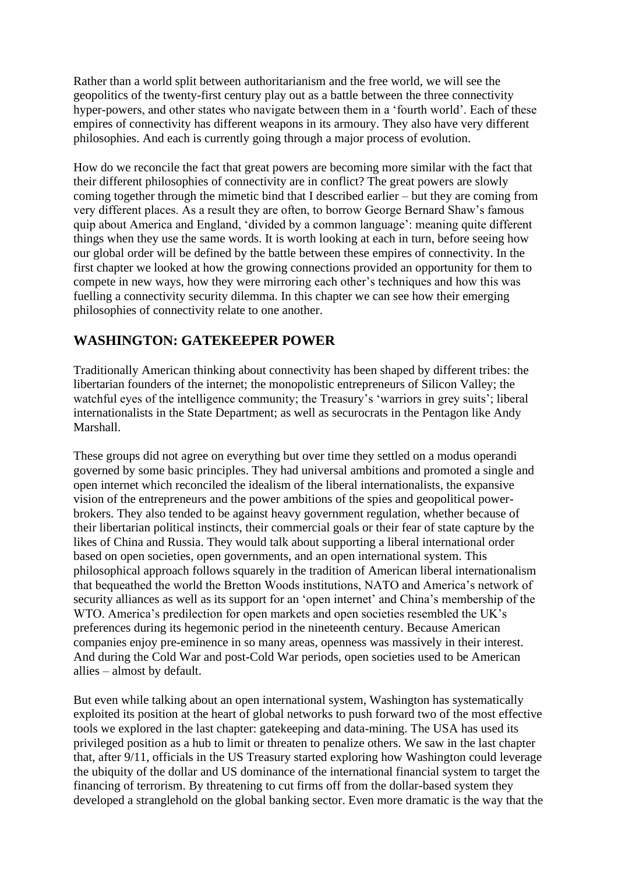Rather than a world split between authoritarianism and the free world, we will see the geopolitics of the twenty-first century play out as a battle between the three connectivity hyper-powers, and other states who navigate between them in a 'fourth world'. Each of these empires of connectivity has different weapons in its armoury. They also have very different philosophies. And each is currently going through a major process of evolution.

How do we reconcile the fact that great powers are becoming more similar with the fact that their different philosophies of connectivity are in conflict? The great powers are slowly coming together through the mimetic bind that I described earlier – but they are coming from very different places. As a result they are often, to borrow George Bernard Shaw's famous quip about America and England, 'divided by a common language': meaning quite different things when they use the same words. It is worth looking at each in turn, before seeing how our global order will be defined by the battle between these empires of connectivity. In the first chapter we looked at how the growing connections provided an opportunity for them to compete in new ways, how they were mirroring each other's techniques and how this was fuelling a connectivity security dilemma. In this chapter we can see how their emerging philosophies of connectivity relate to one another.

## **WASHINGTON: GATEKEEPER POWER**

Traditionally American thinking about connectivity has been shaped by different tribes: the libertarian founders of the internet; the monopolistic entrepreneurs of Silicon Valley; the watchful eyes of the intelligence community; the Treasury's 'warriors in grey suits'; liberal internationalists in the State Department; as well as securocrats in the Pentagon like Andy Marshall.

These groups did not agree on everything but over time they settled on a modus operandi governed by some basic principles. They had universal ambitions and promoted a single and open internet which reconciled the idealism of the liberal internationalists, the expansive vision of the entrepreneurs and the power ambitions of the spies and geopolitical powerbrokers. They also tended to be against heavy government regulation, whether because of their libertarian political instincts, their commercial goals or their fear of state capture by the likes of China and Russia. They would talk about supporting a liberal international order based on open societies, open governments, and an open international system. This philosophical approach follows squarely in the tradition of American liberal internationalism that bequeathed the world the Bretton Woods institutions, NATO and America's network of security alliances as well as its support for an 'open internet' and China's membership of the WTO. America's predilection for open markets and open societies resembled the UK's preferences during its hegemonic period in the nineteenth century. Because American companies enjoy pre-eminence in so many areas, openness was massively in their interest. And during the Cold War and post-Cold War periods, open societies used to be American allies – almost by default.

But even while talking about an open international system, Washington has systematically exploited its position at the heart of global networks to push forward two of the most effective tools we explored in the last chapter: gatekeeping and data-mining. The USA has used its privileged position as a hub to limit or threaten to penalize others. We saw in the last chapter that, after 9/11, officials in the US Treasury started exploring how Washington could leverage the ubiquity of the dollar and US dominance of the international financial system to target the financing of terrorism. By threatening to cut firms off from the dollar-based system they developed a stranglehold on the global banking sector. Even more dramatic is the way that the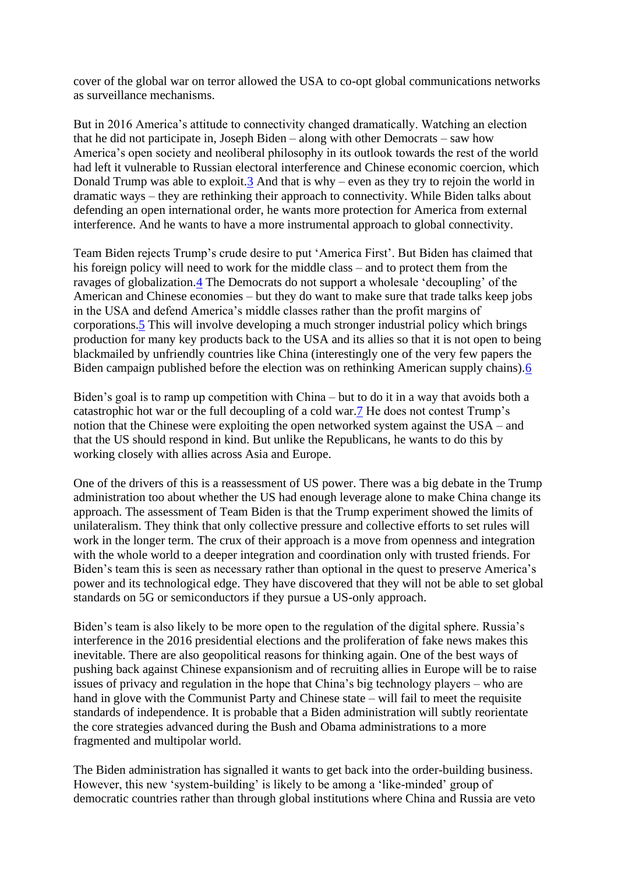cover of the global war on terror allowed the USA to co-opt global communications networks as surveillance mechanisms.

But in 2016 America's attitude to connectivity changed dramatically. Watching an election that he did not participate in, Joseph Biden – along with other Democrats – saw how America's open society and neoliberal philosophy in its outlook towards the rest of the world had left it vulnerable to Russian electoral interference and Chinese economic coercion, which Donald Trump was able to exploit[.3](javascript:void(0)) And that is why – even as they try to rejoin the world in dramatic ways – they are rethinking their approach to connectivity. While Biden talks about defending an open international order, he wants more protection for America from external interference. And he wants to have a more instrumental approach to global connectivity.

Team Biden rejects Trump's crude desire to put 'America First'. But Biden has claimed that his foreign policy will need to work for the middle class – and to protect them from the ravages of globalization[.4](javascript:void(0)) The Democrats do not support a wholesale 'decoupling' of the American and Chinese economies – but they do want to make sure that trade talks keep jobs in the USA and defend America's middle classes rather than the profit margins of corporations[.5](javascript:void(0)) This will involve developing a much stronger industrial policy which brings production for many key products back to the USA and its allies so that it is not open to being blackmailed by unfriendly countries like China (interestingly one of the very few papers the Biden campaign published before the election was on rethinking American supply chains).<sup>6</sup>

Biden's goal is to ramp up competition with China – but to do it in a way that avoids both a catastrophic hot war or the full decoupling of a cold war[.7](javascript:void(0)) He does not contest Trump's notion that the Chinese were exploiting the open networked system against the USA – and that the US should respond in kind. But unlike the Republicans, he wants to do this by working closely with allies across Asia and Europe.

One of the drivers of this is a reassessment of US power. There was a big debate in the Trump administration too about whether the US had enough leverage alone to make China change its approach. The assessment of Team Biden is that the Trump experiment showed the limits of unilateralism. They think that only collective pressure and collective efforts to set rules will work in the longer term. The crux of their approach is a move from openness and integration with the whole world to a deeper integration and coordination only with trusted friends. For Biden's team this is seen as necessary rather than optional in the quest to preserve America's power and its technological edge. They have discovered that they will not be able to set global standards on 5G or semiconductors if they pursue a US-only approach.

Biden's team is also likely to be more open to the regulation of the digital sphere. Russia's interference in the 2016 presidential elections and the proliferation of fake news makes this inevitable. There are also geopolitical reasons for thinking again. One of the best ways of pushing back against Chinese expansionism and of recruiting allies in Europe will be to raise issues of privacy and regulation in the hope that China's big technology players – who are hand in glove with the Communist Party and Chinese state – will fail to meet the requisite standards of independence. It is probable that a Biden administration will subtly reorientate the core strategies advanced during the Bush and Obama administrations to a more fragmented and multipolar world.

The Biden administration has signalled it wants to get back into the order-building business. However, this new 'system-building' is likely to be among a 'like-minded' group of democratic countries rather than through global institutions where China and Russia are veto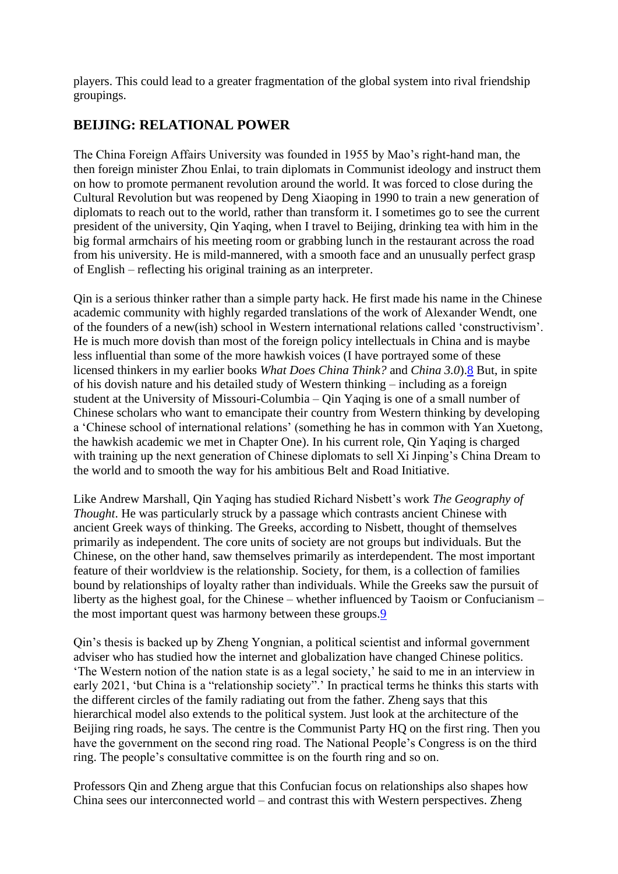players. This could lead to a greater fragmentation of the global system into rival friendship groupings.

## **BEIJING: RELATIONAL POWER**

The China Foreign Affairs University was founded in 1955 by Mao's right-hand man, the then foreign minister Zhou Enlai, to train diplomats in Communist ideology and instruct them on how to promote permanent revolution around the world. It was forced to close during the Cultural Revolution but was reopened by Deng Xiaoping in 1990 to train a new generation of diplomats to reach out to the world, rather than transform it. I sometimes go to see the current president of the university, Qin Yaqing, when I travel to Beijing, drinking tea with him in the big formal armchairs of his meeting room or grabbing lunch in the restaurant across the road from his university. He is mild-mannered, with a smooth face and an unusually perfect grasp of English – reflecting his original training as an interpreter.

Qin is a serious thinker rather than a simple party hack. He first made his name in the Chinese academic community with highly regarded translations of the work of Alexander Wendt, one of the founders of a new(ish) school in Western international relations called 'constructivism'. He is much more dovish than most of the foreign policy intellectuals in China and is maybe less influential than some of the more hawkish voices (I have portrayed some of these licensed thinkers in my earlier books *What Does China Think?* and *China 3.0*)[.8](javascript:void(0)) But, in spite of his dovish nature and his detailed study of Western thinking – including as a foreign student at the University of Missouri-Columbia – Qin Yaqing is one of a small number of Chinese scholars who want to emancipate their country from Western thinking by developing a 'Chinese school of international relations' (something he has in common with Yan Xuetong, the hawkish academic we met in Chapter One). In his current role, Qin Yaqing is charged with training up the next generation of Chinese diplomats to sell Xi Jinping's China Dream to the world and to smooth the way for his ambitious Belt and Road Initiative.

Like Andrew Marshall, Qin Yaqing has studied Richard Nisbett's work *The Geography of Thought*. He was particularly struck by a passage which contrasts ancient Chinese with ancient Greek ways of thinking. The Greeks, according to Nisbett, thought of themselves primarily as independent. The core units of society are not groups but individuals. But the Chinese, on the other hand, saw themselves primarily as interdependent. The most important feature of their worldview is the relationship. Society, for them, is a collection of families bound by relationships of loyalty rather than individuals. While the Greeks saw the pursuit of liberty as the highest goal, for the Chinese – whether influenced by Taoism or Confucianism – the most important quest was harmony between these groups[.9](javascript:void(0))

Qin's thesis is backed up by Zheng Yongnian, a political scientist and informal government adviser who has studied how the internet and globalization have changed Chinese politics. 'The Western notion of the nation state is as a legal society,' he said to me in an interview in early 2021, 'but China is a "relationship society".' In practical terms he thinks this starts with the different circles of the family radiating out from the father. Zheng says that this hierarchical model also extends to the political system. Just look at the architecture of the Beijing ring roads, he says. The centre is the Communist Party HQ on the first ring. Then you have the government on the second ring road. The National People's Congress is on the third ring. The people's consultative committee is on the fourth ring and so on.

Professors Qin and Zheng argue that this Confucian focus on relationships also shapes how China sees our interconnected world – and contrast this with Western perspectives. Zheng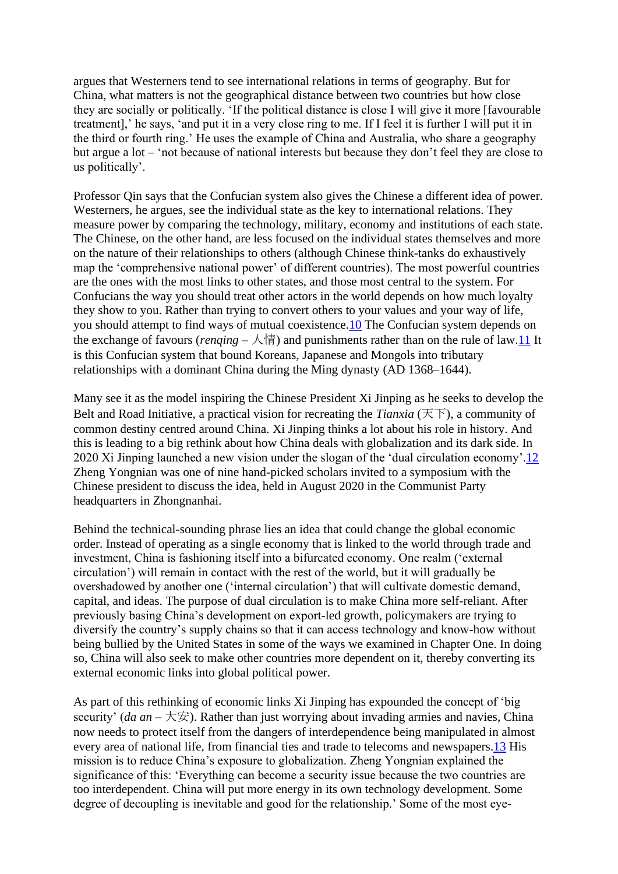argues that Westerners tend to see international relations in terms of geography. But for China, what matters is not the geographical distance between two countries but how close they are socially or politically. 'If the political distance is close I will give it more [favourable treatment],' he says, 'and put it in a very close ring to me. If I feel it is further I will put it in the third or fourth ring.' He uses the example of China and Australia, who share a geography but argue a lot – 'not because of national interests but because they don't feel they are close to us politically'.

Professor Qin says that the Confucian system also gives the Chinese a different idea of power. Westerners, he argues, see the individual state as the key to international relations. They measure power by comparing the technology, military, economy and institutions of each state. The Chinese, on the other hand, are less focused on the individual states themselves and more on the nature of their relationships to others (although Chinese think-tanks do exhaustively map the 'comprehensive national power' of different countries). The most powerful countries are the ones with the most links to other states, and those most central to the system. For Confucians the way you should treat other actors in the world depends on how much loyalty they show to you. Rather than trying to convert others to your values and your way of life, you should attempt to find ways of mutual coexistence[.10](javascript:void(0)) The Confucian system depends on the exchange of favours (*renging* – 人情) and punishments rather than on the rule of law[.11](javascript:void(0)) It is this Confucian system that bound Koreans, Japanese and Mongols into tributary relationships with a dominant China during the Ming dynasty (AD 1368–1644).

Many see it as the model inspiring the Chinese President Xi Jinping as he seeks to develop the Belt and Road Initiative, a practical vision for recreating the *Tianxia* (天下), a community of common destiny centred around China. Xi Jinping thinks a lot about his role in history. And this is leading to a big rethink about how China deals with globalization and its dark side. In 2020 Xi Jinping launched a new vision under the slogan of the 'dual circulation economy'[.12](javascript:void(0)) Zheng Yongnian was one of nine hand-picked scholars invited to a symposium with the Chinese president to discuss the idea, held in August 2020 in the Communist Party headquarters in Zhongnanhai.

Behind the technical-sounding phrase lies an idea that could change the global economic order. Instead of operating as a single economy that is linked to the world through trade and investment, China is fashioning itself into a bifurcated economy. One realm ('external circulation') will remain in contact with the rest of the world, but it will gradually be overshadowed by another one ('internal circulation') that will cultivate domestic demand, capital, and ideas. The purpose of dual circulation is to make China more self-reliant. After previously basing China's development on export-led growth, policymakers are trying to diversify the country's supply chains so that it can access technology and know-how without being bullied by the United States in some of the ways we examined in Chapter One. In doing so, China will also seek to make other countries more dependent on it, thereby converting its external economic links into global political power.

As part of this rethinking of economic links Xi Jinping has expounded the concept of 'big security' (*da an*  $-\nmid \nmid \notimes$ ). Rather than just worrying about invading armies and navies, China now needs to protect itself from the dangers of interdependence being manipulated in almost every area of national life, from financial ties and trade to telecoms and newspapers[.13](javascript:void(0)) His mission is to reduce China's exposure to globalization. Zheng Yongnian explained the significance of this: 'Everything can become a security issue because the two countries are too interdependent. China will put more energy in its own technology development. Some degree of decoupling is inevitable and good for the relationship.' Some of the most eye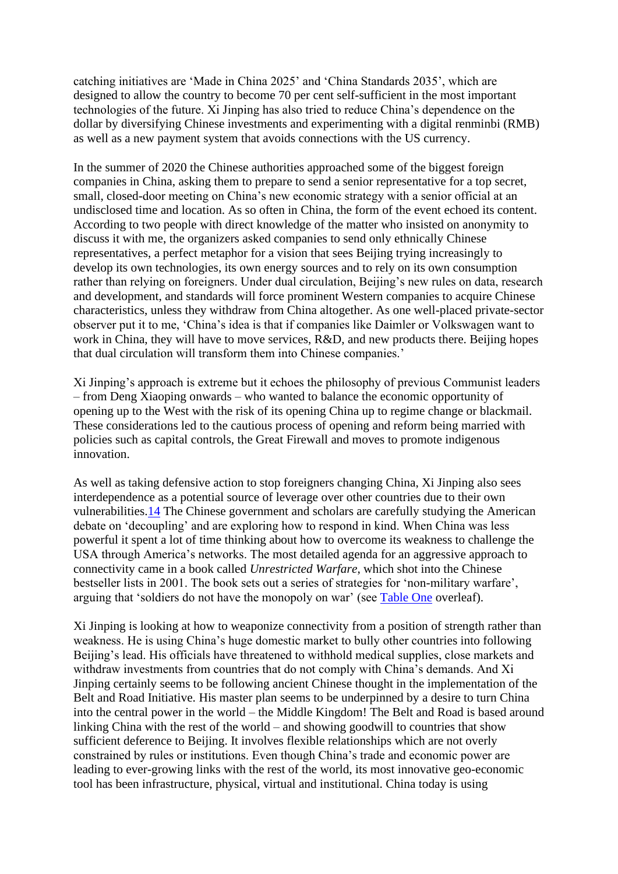catching initiatives are 'Made in China 2025' and 'China Standards 2035', which are designed to allow the country to become 70 per cent self-sufficient in the most important technologies of the future. Xi Jinping has also tried to reduce China's dependence on the dollar by diversifying Chinese investments and experimenting with a digital renminbi (RMB) as well as a new payment system that avoids connections with the US currency.

In the summer of 2020 the Chinese authorities approached some of the biggest foreign companies in China, asking them to prepare to send a senior representative for a top secret, small, closed-door meeting on China's new economic strategy with a senior official at an undisclosed time and location. As so often in China, the form of the event echoed its content. According to two people with direct knowledge of the matter who insisted on anonymity to discuss it with me, the organizers asked companies to send only ethnically Chinese representatives, a perfect metaphor for a vision that sees Beijing trying increasingly to develop its own technologies, its own energy sources and to rely on its own consumption rather than relying on foreigners. Under dual circulation, Beijing's new rules on data, research and development, and standards will force prominent Western companies to acquire Chinese characteristics, unless they withdraw from China altogether. As one well-placed private-sector observer put it to me, 'China's idea is that if companies like Daimler or Volkswagen want to work in China, they will have to move services, R&D, and new products there. Beijing hopes that dual circulation will transform them into Chinese companies.'

Xi Jinping's approach is extreme but it echoes the philosophy of previous Communist leaders – from Deng Xiaoping onwards – who wanted to balance the economic opportunity of opening up to the West with the risk of its opening China up to regime change or blackmail. These considerations led to the cautious process of opening and reform being married with policies such as capital controls, the Great Firewall and moves to promote indigenous innovation.

As well as taking defensive action to stop foreigners changing China, Xi Jinping also sees interdependence as a potential source of leverage over other countries due to their own vulnerabilities[.14](javascript:void(0)) The Chinese government and scholars are carefully studying the American debate on 'decoupling' and are exploring how to respond in kind. When China was less powerful it spent a lot of time thinking about how to overcome its weakness to challenge the USA through America's networks. The most detailed agenda for an aggressive approach to connectivity came in a book called *Unrestricted Warfare*, which shot into the Chinese bestseller lists in 2001. The book sets out a series of strategies for 'non-military warfare', arguing that 'soldiers do not have the monopoly on war' (see [Table One](javascript:void(0)) overleaf).

Xi Jinping is looking at how to weaponize connectivity from a position of strength rather than weakness. He is using China's huge domestic market to bully other countries into following Beijing's lead. His officials have threatened to withhold medical supplies, close markets and withdraw investments from countries that do not comply with China's demands. And Xi Jinping certainly seems to be following ancient Chinese thought in the implementation of the Belt and Road Initiative. His master plan seems to be underpinned by a desire to turn China into the central power in the world – the Middle Kingdom! The Belt and Road is based around linking China with the rest of the world – and showing goodwill to countries that show sufficient deference to Beijing. It involves flexible relationships which are not overly constrained by rules or institutions. Even though China's trade and economic power are leading to ever-growing links with the rest of the world, its most innovative geo-economic tool has been infrastructure, physical, virtual and institutional. China today is using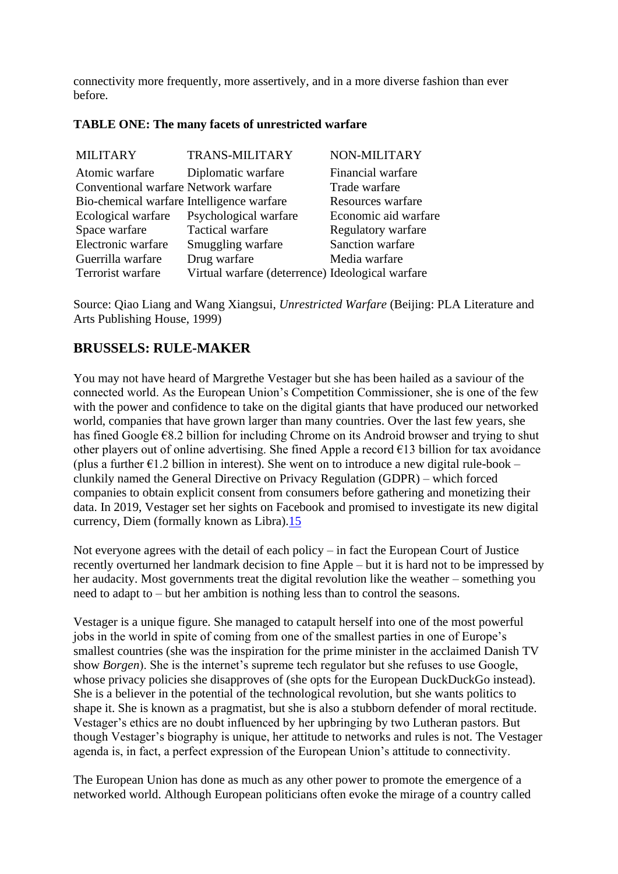connectivity more frequently, more assertively, and in a more diverse fashion than ever before.

#### **TABLE ONE: The many facets of unrestricted warfare**

| <b>MILITARY</b>                           | <b>TRANS-MILITARY</b>                            | NON-MILITARY         |
|-------------------------------------------|--------------------------------------------------|----------------------|
| Atomic warfare Diplomatic warfare         |                                                  | Financial warfare    |
| Conventional warfare Network warfare      |                                                  | Trade warfare        |
| Bio-chemical warfare Intelligence warfare |                                                  | Resources warfare    |
|                                           | Ecological warfare Psychological warfare         | Economic aid warfare |
| Space warfare                             | Tactical warfare                                 | Regulatory warfare   |
| Electronic warfare                        | Smuggling warfare                                | Sanction warfare     |
| Guerrilla warfare                         | Drug warfare                                     | Media warfare        |
| Terrorist warfare                         | Virtual warfare (deterrence) Ideological warfare |                      |

Source: Qiao Liang and Wang Xiangsui, *Unrestricted Warfare* (Beijing: PLA Literature and Arts Publishing House, 1999)

### **BRUSSELS: RULE-MAKER**

You may not have heard of Margrethe Vestager but she has been hailed as a saviour of the connected world. As the European Union's Competition Commissioner, she is one of the few with the power and confidence to take on the digital giants that have produced our networked world, companies that have grown larger than many countries. Over the last few years, she has fined Google €8.2 billion for including Chrome on its Android browser and trying to shut other players out of online advertising. She fined Apple a record  $\epsilon$ 13 billion for tax avoidance (plus a further  $\epsilon$ 1.2 billion in interest). She went on to introduce a new digital rule-book – clunkily named the General Directive on Privacy Regulation (GDPR) – which forced companies to obtain explicit consent from consumers before gathering and monetizing their data. In 2019, Vestager set her sights on Facebook and promised to investigate its new digital currency, Diem (formally known as Libra)[.15](javascript:void(0))

Not everyone agrees with the detail of each policy – in fact the European Court of Justice recently overturned her landmark decision to fine Apple – but it is hard not to be impressed by her audacity. Most governments treat the digital revolution like the weather – something you need to adapt to – but her ambition is nothing less than to control the seasons.

Vestager is a unique figure. She managed to catapult herself into one of the most powerful jobs in the world in spite of coming from one of the smallest parties in one of Europe's smallest countries (she was the inspiration for the prime minister in the acclaimed Danish TV show *Borgen*). She is the internet's supreme tech regulator but she refuses to use Google, whose privacy policies she disapproves of (she opts for the European DuckDuckGo instead). She is a believer in the potential of the technological revolution, but she wants politics to shape it. She is known as a pragmatist, but she is also a stubborn defender of moral rectitude. Vestager's ethics are no doubt influenced by her upbringing by two Lutheran pastors. But though Vestager's biography is unique, her attitude to networks and rules is not. The Vestager agenda is, in fact, a perfect expression of the European Union's attitude to connectivity.

The European Union has done as much as any other power to promote the emergence of a networked world. Although European politicians often evoke the mirage of a country called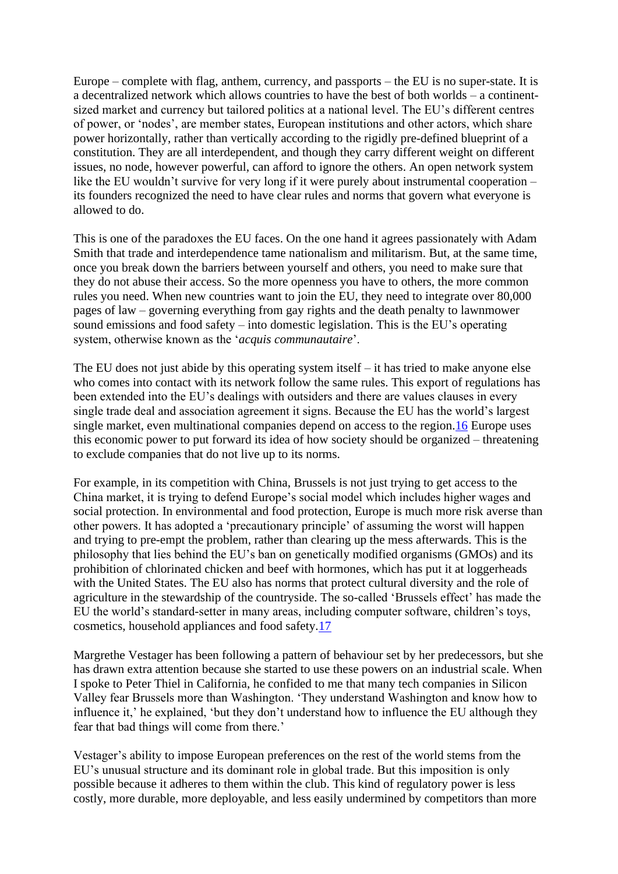Europe – complete with flag, anthem, currency, and passports – the EU is no super-state. It is a decentralized network which allows countries to have the best of both worlds – a continentsized market and currency but tailored politics at a national level. The EU's different centres of power, or 'nodes', are member states, European institutions and other actors, which share power horizontally, rather than vertically according to the rigidly pre-defined blueprint of a constitution. They are all interdependent, and though they carry different weight on different issues, no node, however powerful, can afford to ignore the others. An open network system like the EU wouldn't survive for very long if it were purely about instrumental cooperation – its founders recognized the need to have clear rules and norms that govern what everyone is allowed to do.

This is one of the paradoxes the EU faces. On the one hand it agrees passionately with Adam Smith that trade and interdependence tame nationalism and militarism. But, at the same time, once you break down the barriers between yourself and others, you need to make sure that they do not abuse their access. So the more openness you have to others, the more common rules you need. When new countries want to join the EU, they need to integrate over 80,000 pages of law – governing everything from gay rights and the death penalty to lawnmower sound emissions and food safety – into domestic legislation. This is the EU's operating system, otherwise known as the '*acquis communautaire*'.

The EU does not just abide by this operating system itself – it has tried to make anyone else who comes into contact with its network follow the same rules. This export of regulations has been extended into the EU's dealings with outsiders and there are values clauses in every single trade deal and association agreement it signs. Because the EU has the world's largest single market, even multinational companies depend on access to the region[.16](javascript:void(0)) Europe uses this economic power to put forward its idea of how society should be organized – threatening to exclude companies that do not live up to its norms.

For example, in its competition with China, Brussels is not just trying to get access to the China market, it is trying to defend Europe's social model which includes higher wages and social protection. In environmental and food protection, Europe is much more risk averse than other powers. It has adopted a 'precautionary principle' of assuming the worst will happen and trying to pre-empt the problem, rather than clearing up the mess afterwards. This is the philosophy that lies behind the EU's ban on genetically modified organisms (GMOs) and its prohibition of chlorinated chicken and beef with hormones, which has put it at loggerheads with the United States. The EU also has norms that protect cultural diversity and the role of agriculture in the stewardship of the countryside. The so-called 'Brussels effect' has made the EU the world's standard-setter in many areas, including computer software, children's toys, cosmetics, household appliances and food safety[.17](javascript:void(0))

Margrethe Vestager has been following a pattern of behaviour set by her predecessors, but she has drawn extra attention because she started to use these powers on an industrial scale. When I spoke to Peter Thiel in California, he confided to me that many tech companies in Silicon Valley fear Brussels more than Washington. 'They understand Washington and know how to influence it,' he explained, 'but they don't understand how to influence the EU although they fear that bad things will come from there.'

Vestager's ability to impose European preferences on the rest of the world stems from the EU's unusual structure and its dominant role in global trade. But this imposition is only possible because it adheres to them within the club. This kind of regulatory power is less costly, more durable, more deployable, and less easily undermined by competitors than more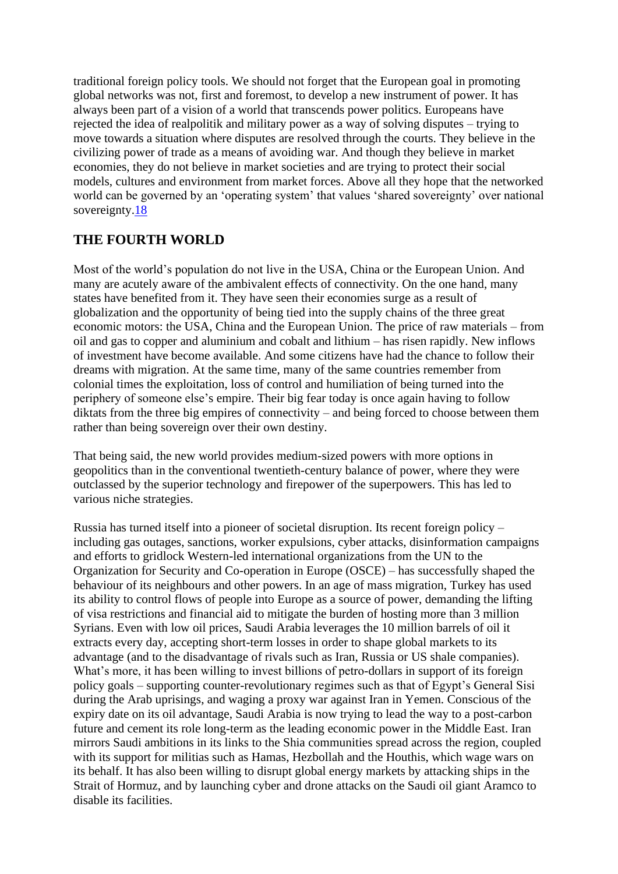traditional foreign policy tools. We should not forget that the European goal in promoting global networks was not, first and foremost, to develop a new instrument of power. It has always been part of a vision of a world that transcends power politics. Europeans have rejected the idea of realpolitik and military power as a way of solving disputes – trying to move towards a situation where disputes are resolved through the courts. They believe in the civilizing power of trade as a means of avoiding war. And though they believe in market economies, they do not believe in market societies and are trying to protect their social models, cultures and environment from market forces. Above all they hope that the networked world can be governed by an 'operating system' that values 'shared sovereignty' over national sovereignty[.18](javascript:void(0))

## **THE FOURTH WORLD**

Most of the world's population do not live in the USA, China or the European Union. And many are acutely aware of the ambivalent effects of connectivity. On the one hand, many states have benefited from it. They have seen their economies surge as a result of globalization and the opportunity of being tied into the supply chains of the three great economic motors: the USA, China and the European Union. The price of raw materials – from oil and gas to copper and aluminium and cobalt and lithium – has risen rapidly. New inflows of investment have become available. And some citizens have had the chance to follow their dreams with migration. At the same time, many of the same countries remember from colonial times the exploitation, loss of control and humiliation of being turned into the periphery of someone else's empire. Their big fear today is once again having to follow diktats from the three big empires of connectivity – and being forced to choose between them rather than being sovereign over their own destiny.

That being said, the new world provides medium-sized powers with more options in geopolitics than in the conventional twentieth-century balance of power, where they were outclassed by the superior technology and firepower of the superpowers. This has led to various niche strategies.

Russia has turned itself into a pioneer of societal disruption. Its recent foreign policy – including gas outages, sanctions, worker expulsions, cyber attacks, disinformation campaigns and efforts to gridlock Western-led international organizations from the UN to the Organization for Security and Co-operation in Europe (OSCE) – has successfully shaped the behaviour of its neighbours and other powers. In an age of mass migration, Turkey has used its ability to control flows of people into Europe as a source of power, demanding the lifting of visa restrictions and financial aid to mitigate the burden of hosting more than 3 million Syrians. Even with low oil prices, Saudi Arabia leverages the 10 million barrels of oil it extracts every day, accepting short-term losses in order to shape global markets to its advantage (and to the disadvantage of rivals such as Iran, Russia or US shale companies). What's more, it has been willing to invest billions of petro-dollars in support of its foreign policy goals – supporting counter-revolutionary regimes such as that of Egypt's General Sisi during the Arab uprisings, and waging a proxy war against Iran in Yemen. Conscious of the expiry date on its oil advantage, Saudi Arabia is now trying to lead the way to a post-carbon future and cement its role long-term as the leading economic power in the Middle East. Iran mirrors Saudi ambitions in its links to the Shia communities spread across the region, coupled with its support for militias such as Hamas, Hezbollah and the Houthis, which wage wars on its behalf. It has also been willing to disrupt global energy markets by attacking ships in the Strait of Hormuz, and by launching cyber and drone attacks on the Saudi oil giant Aramco to disable its facilities.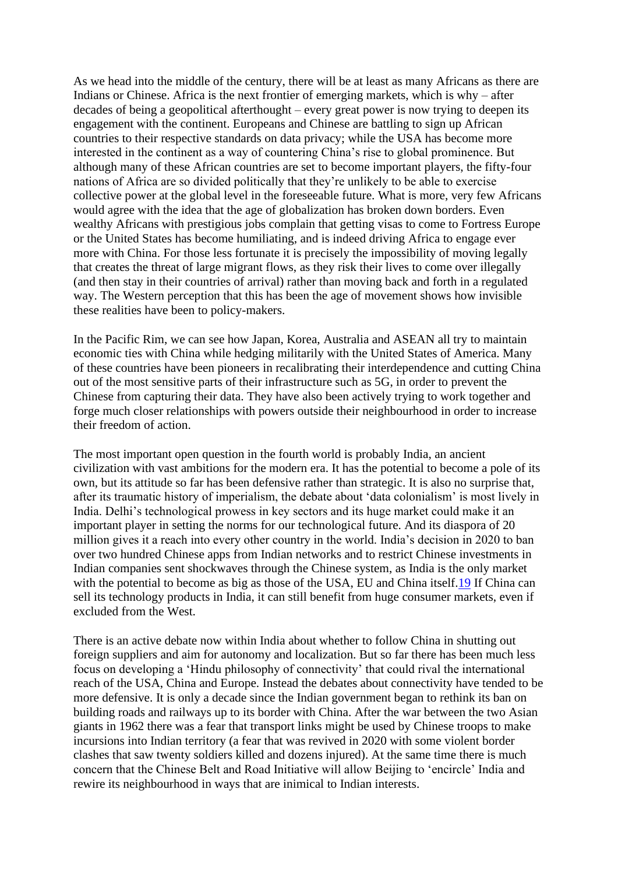As we head into the middle of the century, there will be at least as many Africans as there are Indians or Chinese. Africa is the next frontier of emerging markets, which is why – after decades of being a geopolitical afterthought – every great power is now trying to deepen its engagement with the continent. Europeans and Chinese are battling to sign up African countries to their respective standards on data privacy; while the USA has become more interested in the continent as a way of countering China's rise to global prominence. But although many of these African countries are set to become important players, the fifty-four nations of Africa are so divided politically that they're unlikely to be able to exercise collective power at the global level in the foreseeable future. What is more, very few Africans would agree with the idea that the age of globalization has broken down borders. Even wealthy Africans with prestigious jobs complain that getting visas to come to Fortress Europe or the United States has become humiliating, and is indeed driving Africa to engage ever more with China. For those less fortunate it is precisely the impossibility of moving legally that creates the threat of large migrant flows, as they risk their lives to come over illegally (and then stay in their countries of arrival) rather than moving back and forth in a regulated way. The Western perception that this has been the age of movement shows how invisible these realities have been to policy-makers.

In the Pacific Rim, we can see how Japan, Korea, Australia and ASEAN all try to maintain economic ties with China while hedging militarily with the United States of America. Many of these countries have been pioneers in recalibrating their interdependence and cutting China out of the most sensitive parts of their infrastructure such as 5G, in order to prevent the Chinese from capturing their data. They have also been actively trying to work together and forge much closer relationships with powers outside their neighbourhood in order to increase their freedom of action.

The most important open question in the fourth world is probably India, an ancient civilization with vast ambitions for the modern era. It has the potential to become a pole of its own, but its attitude so far has been defensive rather than strategic. It is also no surprise that, after its traumatic history of imperialism, the debate about 'data colonialism' is most lively in India. Delhi's technological prowess in key sectors and its huge market could make it an important player in setting the norms for our technological future. And its diaspora of 20 million gives it a reach into every other country in the world. India's decision in 2020 to ban over two hundred Chinese apps from Indian networks and to restrict Chinese investments in Indian companies sent shockwaves through the Chinese system, as India is the only market with the potential to become as big as those of the USA, EU and China itself. 19 If China can sell its technology products in India, it can still benefit from huge consumer markets, even if excluded from the West.

There is an active debate now within India about whether to follow China in shutting out foreign suppliers and aim for autonomy and localization. But so far there has been much less focus on developing a 'Hindu philosophy of connectivity' that could rival the international reach of the USA, China and Europe. Instead the debates about connectivity have tended to be more defensive. It is only a decade since the Indian government began to rethink its ban on building roads and railways up to its border with China. After the war between the two Asian giants in 1962 there was a fear that transport links might be used by Chinese troops to make incursions into Indian territory (a fear that was revived in 2020 with some violent border clashes that saw twenty soldiers killed and dozens injured). At the same time there is much concern that the Chinese Belt and Road Initiative will allow Beijing to 'encircle' India and rewire its neighbourhood in ways that are inimical to Indian interests.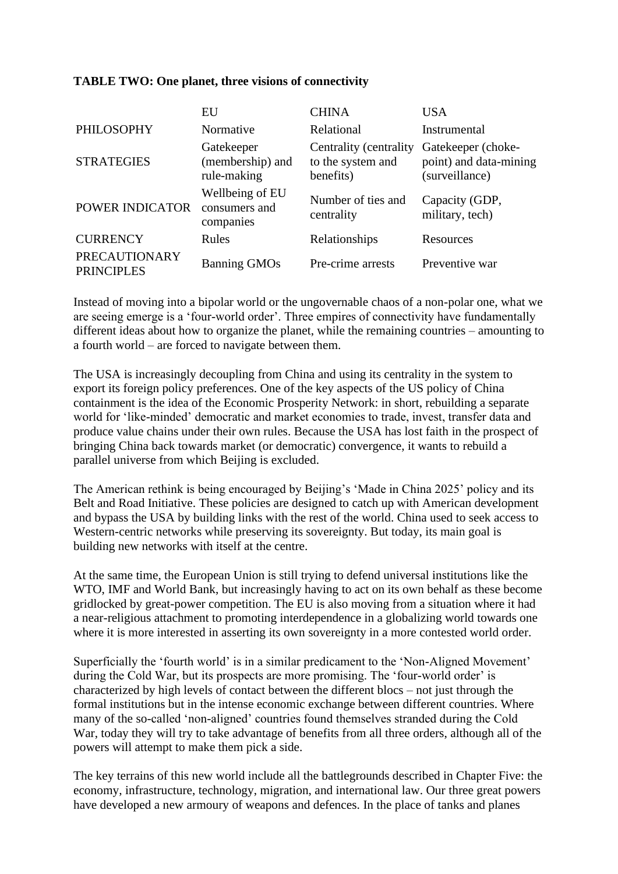#### **TABLE TWO: One planet, three visions of connectivity**

|                                           | EU                                            | CHINA                                                     | <b>USA</b>                                                     |
|-------------------------------------------|-----------------------------------------------|-----------------------------------------------------------|----------------------------------------------------------------|
| <b>PHILOSOPHY</b>                         | Normative                                     | Relational                                                | Instrumental                                                   |
| <b>STRATEGIES</b>                         | Gatekeeper<br>(membership) and<br>rule-making | Centrality (centrality)<br>to the system and<br>benefits) | Gatekeeper (choke-<br>point) and data-mining<br>(surveillance) |
| POWER INDICATOR                           | Wellbeing of EU<br>consumers and<br>companies | Number of ties and<br>centrality                          | Capacity (GDP,<br>military, tech)                              |
| <b>CURRENCY</b>                           | Rules                                         | Relationships                                             | Resources                                                      |
| <b>PRECAUTIONARY</b><br><b>PRINCIPLES</b> | <b>Banning GMOs</b>                           | Pre-crime arrests                                         | Preventive war                                                 |

Instead of moving into a bipolar world or the ungovernable chaos of a non-polar one, what we are seeing emerge is a 'four-world order'. Three empires of connectivity have fundamentally different ideas about how to organize the planet, while the remaining countries – amounting to a fourth world – are forced to navigate between them.

The USA is increasingly decoupling from China and using its centrality in the system to export its foreign policy preferences. One of the key aspects of the US policy of China containment is the idea of the Economic Prosperity Network: in short, rebuilding a separate world for 'like-minded' democratic and market economies to trade, invest, transfer data and produce value chains under their own rules. Because the USA has lost faith in the prospect of bringing China back towards market (or democratic) convergence, it wants to rebuild a parallel universe from which Beijing is excluded.

The American rethink is being encouraged by Beijing's 'Made in China 2025' policy and its Belt and Road Initiative. These policies are designed to catch up with American development and bypass the USA by building links with the rest of the world. China used to seek access to Western-centric networks while preserving its sovereignty. But today, its main goal is building new networks with itself at the centre.

At the same time, the European Union is still trying to defend universal institutions like the WTO, IMF and World Bank, but increasingly having to act on its own behalf as these become gridlocked by great-power competition. The EU is also moving from a situation where it had a near-religious attachment to promoting interdependence in a globalizing world towards one where it is more interested in asserting its own sovereignty in a more contested world order.

Superficially the 'fourth world' is in a similar predicament to the 'Non-Aligned Movement' during the Cold War, but its prospects are more promising. The 'four-world order' is characterized by high levels of contact between the different blocs – not just through the formal institutions but in the intense economic exchange between different countries. Where many of the so-called 'non-aligned' countries found themselves stranded during the Cold War, today they will try to take advantage of benefits from all three orders, although all of the powers will attempt to make them pick a side.

The key terrains of this new world include all the battlegrounds described in Chapter Five: the economy, infrastructure, technology, migration, and international law. Our three great powers have developed a new armoury of weapons and defences. In the place of tanks and planes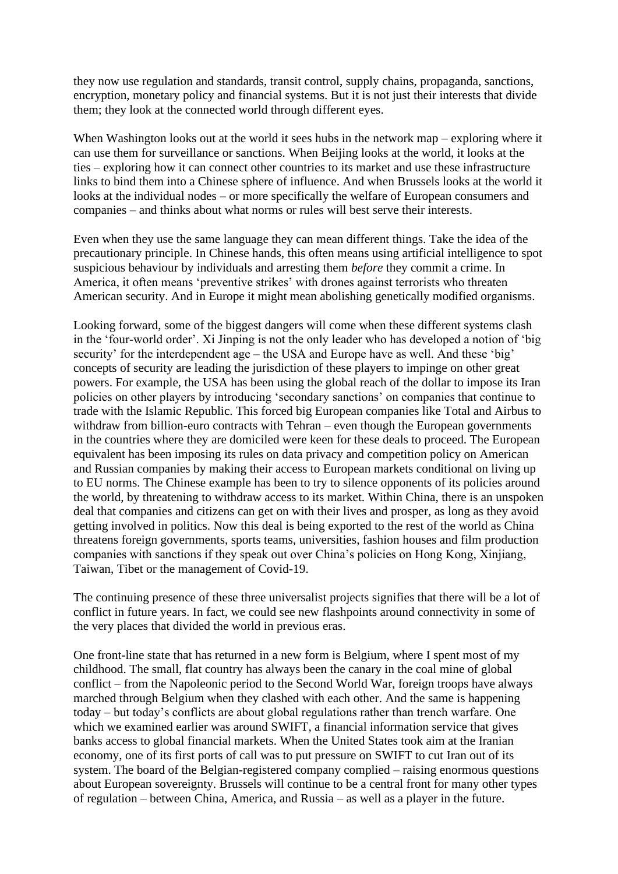they now use regulation and standards, transit control, supply chains, propaganda, sanctions, encryption, monetary policy and financial systems. But it is not just their interests that divide them; they look at the connected world through different eyes.

When Washington looks out at the world it sees hubs in the network map – exploring where it can use them for surveillance or sanctions. When Beijing looks at the world, it looks at the ties – exploring how it can connect other countries to its market and use these infrastructure links to bind them into a Chinese sphere of influence. And when Brussels looks at the world it looks at the individual nodes – or more specifically the welfare of European consumers and companies – and thinks about what norms or rules will best serve their interests.

Even when they use the same language they can mean different things. Take the idea of the precautionary principle. In Chinese hands, this often means using artificial intelligence to spot suspicious behaviour by individuals and arresting them *before* they commit a crime. In America, it often means 'preventive strikes' with drones against terrorists who threaten American security. And in Europe it might mean abolishing genetically modified organisms.

Looking forward, some of the biggest dangers will come when these different systems clash in the 'four-world order'. Xi Jinping is not the only leader who has developed a notion of 'big security' for the interdependent age – the USA and Europe have as well. And these 'big' concepts of security are leading the jurisdiction of these players to impinge on other great powers. For example, the USA has been using the global reach of the dollar to impose its Iran policies on other players by introducing 'secondary sanctions' on companies that continue to trade with the Islamic Republic. This forced big European companies like Total and Airbus to withdraw from billion-euro contracts with Tehran – even though the European governments in the countries where they are domiciled were keen for these deals to proceed. The European equivalent has been imposing its rules on data privacy and competition policy on American and Russian companies by making their access to European markets conditional on living up to EU norms. The Chinese example has been to try to silence opponents of its policies around the world, by threatening to withdraw access to its market. Within China, there is an unspoken deal that companies and citizens can get on with their lives and prosper, as long as they avoid getting involved in politics. Now this deal is being exported to the rest of the world as China threatens foreign governments, sports teams, universities, fashion houses and film production companies with sanctions if they speak out over China's policies on Hong Kong, Xinjiang, Taiwan, Tibet or the management of Covid-19.

The continuing presence of these three universalist projects signifies that there will be a lot of conflict in future years. In fact, we could see new flashpoints around connectivity in some of the very places that divided the world in previous eras.

One front-line state that has returned in a new form is Belgium, where I spent most of my childhood. The small, flat country has always been the canary in the coal mine of global conflict – from the Napoleonic period to the Second World War, foreign troops have always marched through Belgium when they clashed with each other. And the same is happening today – but today's conflicts are about global regulations rather than trench warfare. One which we examined earlier was around SWIFT, a financial information service that gives banks access to global financial markets. When the United States took aim at the Iranian economy, one of its first ports of call was to put pressure on SWIFT to cut Iran out of its system. The board of the Belgian-registered company complied – raising enormous questions about European sovereignty. Brussels will continue to be a central front for many other types of regulation – between China, America, and Russia – as well as a player in the future.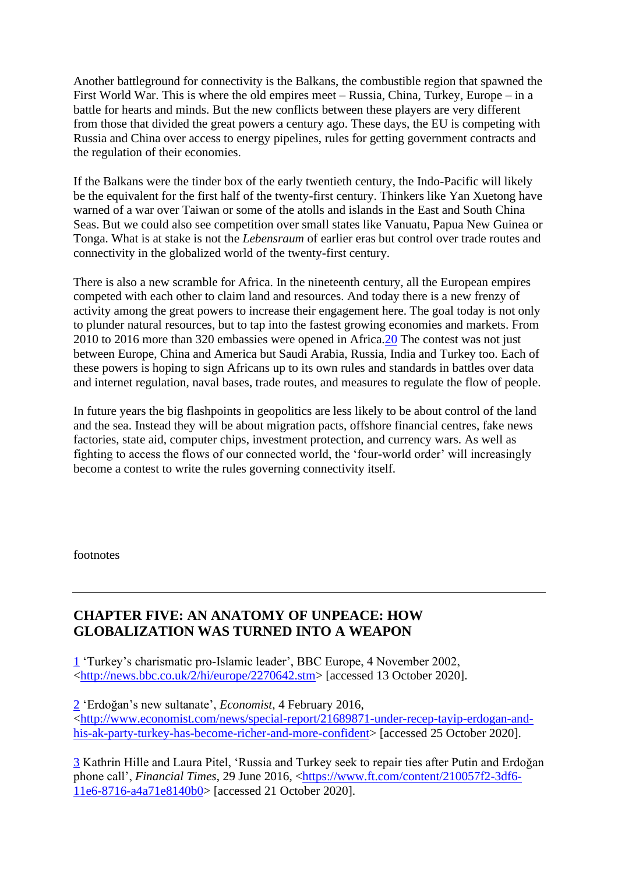Another battleground for connectivity is the Balkans, the combustible region that spawned the First World War. This is where the old empires meet – Russia, China, Turkey, Europe – in a battle for hearts and minds. But the new conflicts between these players are very different from those that divided the great powers a century ago. These days, the EU is competing with Russia and China over access to energy pipelines, rules for getting government contracts and the regulation of their economies.

If the Balkans were the tinder box of the early twentieth century, the Indo-Pacific will likely be the equivalent for the first half of the twenty-first century. Thinkers like Yan Xuetong have warned of a war over Taiwan or some of the atolls and islands in the East and South China Seas. But we could also see competition over small states like Vanuatu, Papua New Guinea or Tonga. What is at stake is not the *Lebensraum* of earlier eras but control over trade routes and connectivity in the globalized world of the twenty-first century.

There is also a new scramble for Africa. In the nineteenth century, all the European empires competed with each other to claim land and resources. And today there is a new frenzy of activity among the great powers to increase their engagement here. The goal today is not only to plunder natural resources, but to tap into the fastest growing economies and markets. From 2010 to 2016 more than 320 embassies were opened in Africa[.20](javascript:void(0)) The contest was not just between Europe, China and America but Saudi Arabia, Russia, India and Turkey too. Each of these powers is hoping to sign Africans up to its own rules and standards in battles over data and internet regulation, naval bases, trade routes, and measures to regulate the flow of people.

In future years the big flashpoints in geopolitics are less likely to be about control of the land and the sea. Instead they will be about migration pacts, offshore financial centres, fake news factories, state aid, computer chips, investment protection, and currency wars. As well as fighting to access the flows of our connected world, the 'four-world order' will increasingly become a contest to write the rules governing connectivity itself.

footnotes

### **CHAPTER FIVE: AN ANATOMY OF UNPEACE: HOW GLOBALIZATION WAS TURNED INTO A WEAPON**

[1](javascript:void(0)) 'Turkey's charismatic pro-Islamic leader', BBC Europe, 4 November 2002, [<http://news.bbc.co.uk/2/hi/europe/2270642.stm>](http://news.bbc.co.uk/2/hi/europe/2270642.stm) [accessed 13 October 2020].

[2](javascript:void(0)) 'Erdoğan's new sultanate', *Economist*, 4 February 2016, [<http://www.economist.com/news/special-report/21689871-under-recep-tayip-erdogan-and](http://www.economist.com/news/special-report/21689871-under-recep-tayip-erdogan-and-his-ak-party-turkey-has-become-richer-and-more-confident)[his-ak-party-turkey-has-become-richer-and-more-confident>](http://www.economist.com/news/special-report/21689871-under-recep-tayip-erdogan-and-his-ak-party-turkey-has-become-richer-and-more-confident) [accessed 25 October 2020].

[3](javascript:void(0)) Kathrin Hille and Laura Pitel, 'Russia and Turkey seek to repair ties after Putin and Erdoğan phone call', *Financial Times*, 29 June 2016, [<https://www.ft.com/content/210057f2-3df6-](https://www.ft.com/content/210057f2-3df6-11e6-8716-a4a71e8140b0) [11e6-8716-a4a71e8140b0>](https://www.ft.com/content/210057f2-3df6-11e6-8716-a4a71e8140b0) [accessed 21 October 2020].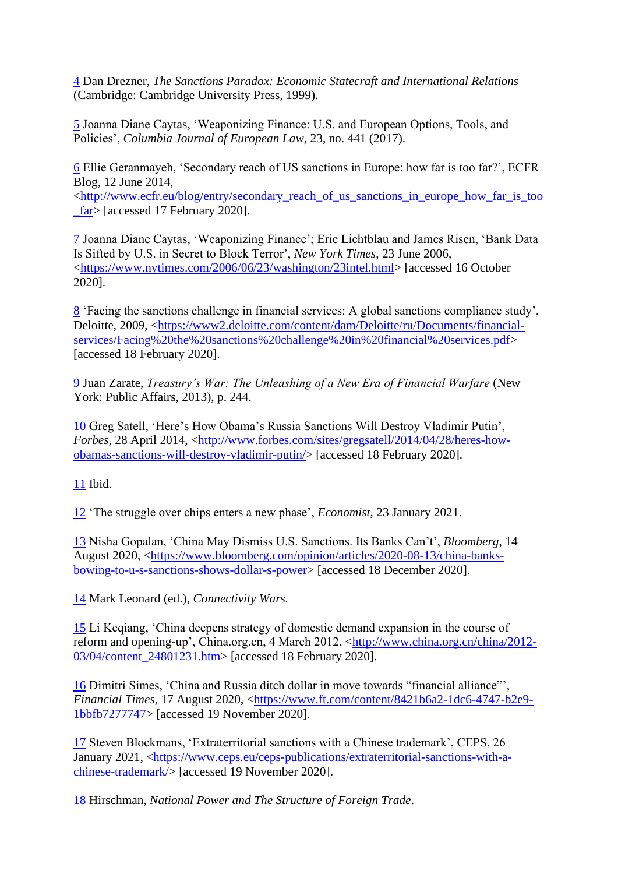[4](javascript:void(0)) Dan Drezner, *The Sanctions Paradox: Economic Statecraft and International Relations* (Cambridge: Cambridge University Press, 1999).

[5](javascript:void(0)) Joanna Diane Caytas, 'Weaponizing Finance: U.S. and European Options, Tools, and Policies', *Columbia Journal of European Law*, 23, no. 441 (2017).

[6](javascript:void(0)) Ellie Geranmayeh, 'Secondary reach of US sanctions in Europe: how far is too far?', ECFR Blog, 12 June 2014,

[<http://www.ecfr.eu/blog/entry/secondary\\_reach\\_of\\_us\\_sanctions\\_in\\_europe\\_how\\_far\\_is\\_too](http://www.ecfr.eu/blog/entry/secondary_reach_of_us_sanctions_in_europe_how_far_is_too_far) [\\_far>](http://www.ecfr.eu/blog/entry/secondary_reach_of_us_sanctions_in_europe_how_far_is_too_far) [accessed 17 February 2020].

[7](javascript:void(0)) Joanna Diane Caytas, 'Weaponizing Finance'; Eric Lichtblau and James Risen, 'Bank Data Is Sifted by U.S. in Secret to Block Terror', *New York Times*, 23 June 2006, [<https://www.nytimes.com/2006/06/23/washington/23intel.html>](https://www.nytimes.com/2006/06/23/washington/23intel.html) [accessed 16 October 2020].

[8](javascript:void(0)) 'Facing the sanctions challenge in financial services: A global sanctions compliance study', Deloitte, 2009, [<https://www2.deloitte.com/content/dam/Deloitte/ru/Documents/financial](https://www2.deloitte.com/content/dam/Deloitte/ru/Documents/financial-services/Facing%20the%20sanctions%20challenge%20in%20financial%20services.pdf)[services/Facing%20the%20sanctions%20challenge%20in%20financial%20services.pdf>](https://www2.deloitte.com/content/dam/Deloitte/ru/Documents/financial-services/Facing%20the%20sanctions%20challenge%20in%20financial%20services.pdf) [accessed 18 February 2020].

[9](javascript:void(0)) Juan Zarate, *Treasury's War: The Unleashing of a New Era of Financial Warfare* (New York: Public Affairs, 2013), p. 244.

[10](javascript:void(0)) Greg Satell, 'Here's How Obama's Russia Sanctions Will Destroy Vladimir Putin', *Forbes*, 28 April 2014, [<http://www.forbes.com/sites/gregsatell/2014/04/28/heres-how](http://www.forbes.com/sites/gregsatell/2014/04/28/heres-how-obamas-sanctions-will-destroy-vladimir-putin/)[obamas-sanctions-will-destroy-vladimir-putin/>](http://www.forbes.com/sites/gregsatell/2014/04/28/heres-how-obamas-sanctions-will-destroy-vladimir-putin/) [accessed 18 February 2020].

[11](javascript:void(0)) Ibid.

[12](javascript:void(0)) 'The struggle over chips enters a new phase', *Economist*, 23 January 2021.

[13](javascript:void(0)) Nisha Gopalan, 'China May Dismiss U.S. Sanctions. Its Banks Can't', *Bloomberg*, 14 August 2020, [<https://www.bloomberg.com/opinion/articles/2020-08-13/china-banks](https://www.bloomberg.com/opinion/articles/2020-08-13/china-banks-bowing-to-u-s-sanctions-shows-dollar-s-power)[bowing-to-u-s-sanctions-shows-dollar-s-power>](https://www.bloomberg.com/opinion/articles/2020-08-13/china-banks-bowing-to-u-s-sanctions-shows-dollar-s-power) [accessed 18 December 2020].

[14](javascript:void(0)) Mark Leonard (ed.), *Connectivity Wars.*

[15](javascript:void(0)) Li Keqiang, 'China deepens strategy of domestic demand expansion in the course of reform and opening-up', China.org.cn, 4 March 2012, [<http://www.china.org.cn/china/2012-](http://www.china.org.cn/china/2012-03/04/content_24801231.htm) [03/04/content\\_24801231.htm>](http://www.china.org.cn/china/2012-03/04/content_24801231.htm) [accessed 18 February 2020].

[16](javascript:void(0)) Dimitri Simes, 'China and Russia ditch dollar in move towards "financial alliance"', *Financial Times*, 17 August 2020, [<https://www.ft.com/content/8421b6a2-1dc6-4747-b2e9-](https://www.ft.com/content/8421b6a2-1dc6-4747-b2e9-1bbfb7277747) [1bbfb7277747>](https://www.ft.com/content/8421b6a2-1dc6-4747-b2e9-1bbfb7277747) [accessed 19 November 2020].

[17](javascript:void(0)) Steven Blockmans, 'Extraterritorial sanctions with a Chinese trademark', CEPS, 26 January 2021, [<https://www.ceps.eu/ceps-publications/extraterritorial-sanctions-with-a](https://www.ceps.eu/ceps-publications/extraterritorial-sanctions-with-a-chinese-trademark/)[chinese-trademark/>](https://www.ceps.eu/ceps-publications/extraterritorial-sanctions-with-a-chinese-trademark/) [accessed 19 November 2020].

[18](javascript:void(0)) Hirschman, *National Power and The Structure of Foreign Trade*.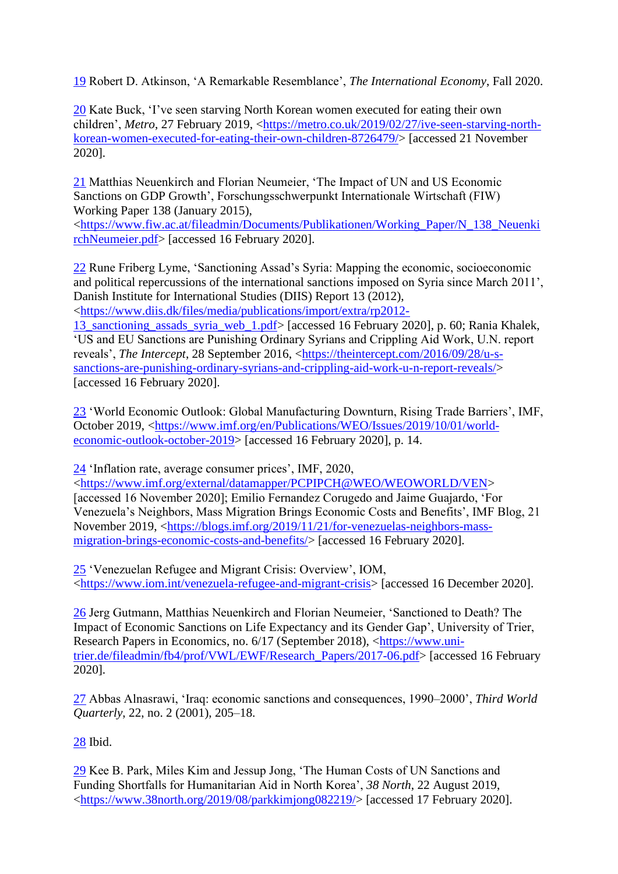[19](javascript:void(0)) Robert D. Atkinson, 'A Remarkable Resemblance', *The International Economy*, Fall 2020.

[20](javascript:void(0)) Kate Buck, 'I've seen starving North Korean women executed for eating their own children', *Metro*, 27 February 2019, [<https://metro.co.uk/2019/02/27/ive-seen-starving-north](https://metro.co.uk/2019/02/27/ive-seen-starving-north-korean-women-executed-for-eating-their-own-children-8726479/)[korean-women-executed-for-eating-their-own-children-8726479/>](https://metro.co.uk/2019/02/27/ive-seen-starving-north-korean-women-executed-for-eating-their-own-children-8726479/) [accessed 21 November 2020].

[21](javascript:void(0)) Matthias Neuenkirch and Florian Neumeier, 'The Impact of UN and US Economic Sanctions on GDP Growth', Forschungsschwerpunkt Internationale Wirtschaft (FIW) Working Paper 138 (January 2015),

[<https://www.fiw.ac.at/fileadmin/Documents/Publikationen/Working\\_Paper/N\\_138\\_Neuenki](https://www.fiw.ac.at/fileadmin/Documents/Publikationen/Working_Paper/N_138_NeuenkirchNeumeier.pdf) [rchNeumeier.pdf>](https://www.fiw.ac.at/fileadmin/Documents/Publikationen/Working_Paper/N_138_NeuenkirchNeumeier.pdf) [accessed 16 February 2020].

[22](javascript:void(0)) Rune Friberg Lyme, 'Sanctioning Assad's Syria: Mapping the economic, socioeconomic and political repercussions of the international sanctions imposed on Syria since March 2011', Danish Institute for International Studies (DIIS) Report 13 (2012),

[<https://www.diis.dk/files/media/publications/import/extra/rp2012-](https://www.diis.dk/files/media/publications/import/extra/rp2012-13_sanctioning_assads_syria_web_1.pdf) [13\\_sanctioning\\_assads\\_syria\\_web\\_1.pdf>](https://www.diis.dk/files/media/publications/import/extra/rp2012-13_sanctioning_assads_syria_web_1.pdf) [accessed 16 February 2020], p. 60; Rania Khalek, 'US and EU Sanctions are Punishing Ordinary Syrians and Crippling Aid Work, U.N. report reveals', *The Intercept*, 28 September 2016, [<https://theintercept.com/2016/09/28/u-s](https://theintercept.com/2016/09/28/u-s-sanctions-are-punishing-ordinary-syrians-and-crippling-aid-work-u-n-report-reveals/)[sanctions-are-punishing-ordinary-syrians-and-crippling-aid-work-u-n-report-reveals/>](https://theintercept.com/2016/09/28/u-s-sanctions-are-punishing-ordinary-syrians-and-crippling-aid-work-u-n-report-reveals/)

[accessed 16 February 2020].

[23](javascript:void(0)) 'World Economic Outlook: Global Manufacturing Downturn, Rising Trade Barriers', IMF, October 2019, [<https://www.imf.org/en/Publications/WEO/Issues/2019/10/01/world](https://www.imf.org/en/Publications/WEO/Issues/2019/10/01/world-economic-outlook-october-2019)[economic-outlook-october-2019>](https://www.imf.org/en/Publications/WEO/Issues/2019/10/01/world-economic-outlook-october-2019) [accessed 16 February 2020], p. 14.

[24](javascript:void(0)) 'Inflation rate, average consumer prices', IMF, 2020,

[<https://www.imf.org/external/datamapper/PCPIPCH@WEO/WEOWORLD/VEN>](https://www.imf.org/external/datamapper/PCPIPCH@WEO/WEOWORLD/VEN) [accessed 16 November 2020]; Emilio Fernandez Corugedo and Jaime Guajardo, 'For Venezuela's Neighbors, Mass Migration Brings Economic Costs and Benefits', IMF Blog, 21 November 2019, [<https://blogs.imf.org/2019/11/21/for-venezuelas-neighbors-mass](https://blogs.imf.org/2019/11/21/for-venezuelas-neighbors-mass-migration-brings-economic-costs-and-benefits/)[migration-brings-economic-costs-and-benefits/>](https://blogs.imf.org/2019/11/21/for-venezuelas-neighbors-mass-migration-brings-economic-costs-and-benefits/) [accessed 16 February 2020].

[25](javascript:void(0)) 'Venezuelan Refugee and Migrant Crisis: Overview', IOM, [<https://www.iom.int/venezuela-refugee-and-migrant-crisis>](https://www.iom.int/venezuela-refugee-and-migrant-crisis) [accessed 16 December 2020].

[26](javascript:void(0)) Jerg Gutmann, Matthias Neuenkirch and Florian Neumeier, 'Sanctioned to Death? The Impact of Economic Sanctions on Life Expectancy and its Gender Gap', University of Trier, Research Papers in Economics, no. 6/17 (September 2018), [<https://www.uni](https://www.uni-trier.de/fileadmin/fb4/prof/VWL/EWF/Research_Papers/2017-06.pdf)[trier.de/fileadmin/fb4/prof/VWL/EWF/Research\\_Papers/2017-06.pdf>](https://www.uni-trier.de/fileadmin/fb4/prof/VWL/EWF/Research_Papers/2017-06.pdf) [accessed 16 February 2020].

[27](javascript:void(0)) Abbas Alnasrawi, 'Iraq: economic sanctions and consequences, 1990–2000', *Third World Quarterly*, 22, no. 2 (2001), 205–18.

[28](javascript:void(0)) Ibid.

[29](javascript:void(0)) Kee B. Park, Miles Kim and Jessup Jong, 'The Human Costs of UN Sanctions and Funding Shortfalls for Humanitarian Aid in North Korea', *38 North*, 22 August 2019, [<https://www.38north.org/2019/08/parkkimjong082219/>](https://www.38north.org/2019/08/parkkimjong082219/) [accessed 17 February 2020].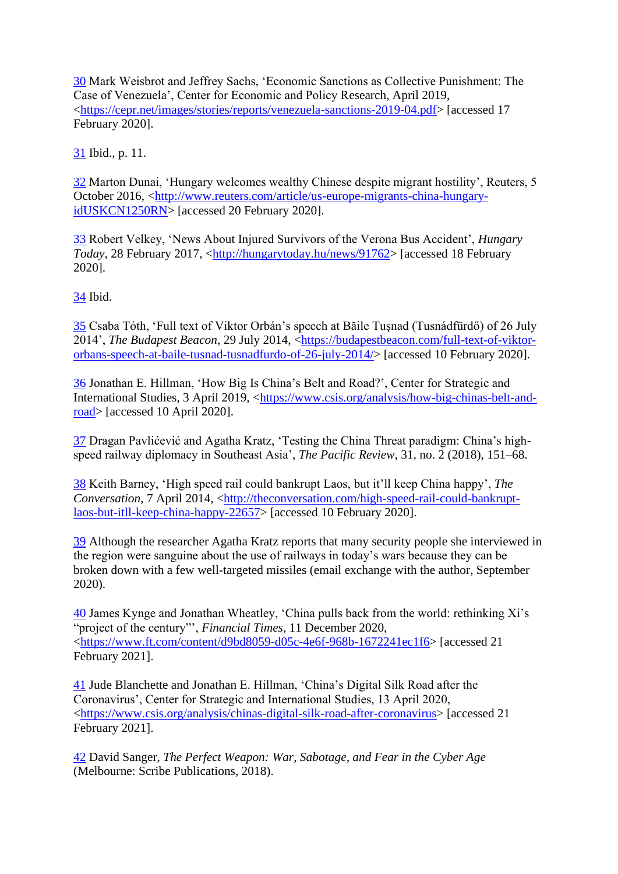[30](javascript:void(0)) Mark Weisbrot and Jeffrey Sachs, 'Economic Sanctions as Collective Punishment: The Case of Venezuela', Center for Economic and Policy Research, April 2019, [<https://cepr.net/images/stories/reports/venezuela-sanctions-2019-04.pdf>](https://cepr.net/images/stories/reports/venezuela-sanctions-2019-04.pdf) [accessed 17 February 2020].

[31](javascript:void(0)) Ibid., p. 11.

[32](javascript:void(0)) Marton Dunai, 'Hungary welcomes wealthy Chinese despite migrant hostility', Reuters, 5 October 2016, [<http://www.reuters.com/article/us-europe-migrants-china-hungary](http://www.reuters.com/article/us-europe-migrants-china-hungary-idUSKCN1250RN)[idUSKCN1250RN>](http://www.reuters.com/article/us-europe-migrants-china-hungary-idUSKCN1250RN) [accessed 20 February 2020].

[33](javascript:void(0)) Robert Velkey, 'News About Injured Survivors of the Verona Bus Accident', *Hungary Today*, 28 February 2017, [<http://hungarytoday.hu/news/91762>](http://hungarytoday.hu/news/91762) [accessed 18 February 2020].

[34](javascript:void(0)) Ibid.

[35](javascript:void(0)) Csaba Tóth, 'Full text of Viktor Orbán's speech at Băile Tuşnad (Tusnádfürdő) of 26 July 2014', *The Budapest Beacon*, 29 July 2014, [<https://budapestbeacon.com/full-text-of-viktor](https://budapestbeacon.com/full-text-of-viktor-orbans-speech-at-baile-tusnad-tusnadfurdo-of-26-july-2014/)[orbans-speech-at-baile-tusnad-tusnadfurdo-of-26-july-2014/>](https://budapestbeacon.com/full-text-of-viktor-orbans-speech-at-baile-tusnad-tusnadfurdo-of-26-july-2014/) [accessed 10 February 2020].

[36](javascript:void(0)) Jonathan E. Hillman, 'How Big Is China's Belt and Road?', Center for Strategic and International Studies, 3 April 2019, [<https://www.csis.org/analysis/how-big-chinas-belt-and](https://www.csis.org/analysis/how-big-chinas-belt-and-road)[road>](https://www.csis.org/analysis/how-big-chinas-belt-and-road) [accessed 10 April 2020].

[37](javascript:void(0)) Dragan Pavlićević and Agatha Kratz, 'Testing the China Threat paradigm: China's highspeed railway diplomacy in Southeast Asia', *The Pacific Review*, 31, no. 2 (2018), 151–68.

[38](javascript:void(0)) Keith Barney, 'High speed rail could bankrupt Laos, but it'll keep China happy', *The Conversation*, 7 April 2014, [<http://theconversation.com/high-speed-rail-could-bankrupt](http://theconversation.com/high-speed-rail-could-bankrupt-laos-but-itll-keep-china-happy-22657)[laos-but-itll-keep-china-happy-22657>](http://theconversation.com/high-speed-rail-could-bankrupt-laos-but-itll-keep-china-happy-22657) [accessed 10 February 2020].

[39](javascript:void(0)) Although the researcher Agatha Kratz reports that many security people she interviewed in the region were sanguine about the use of railways in today's wars because they can be broken down with a few well-targeted missiles (email exchange with the author, September 2020).

[40](javascript:void(0)) James Kynge and Jonathan Wheatley, 'China pulls back from the world: rethinking Xi's "project of the century"', *Financial Times*, 11 December 2020, [<https://www.ft.com/content/d9bd8059-d05c-4e6f-968b-1672241ec1f6>](https://www.ft.com/content/d9bd8059-d05c-4e6f-968b-1672241ec1f6) [accessed 21 February 2021].

[41](javascript:void(0)) Jude Blanchette and Jonathan E. Hillman, 'China's Digital Silk Road after the Coronavirus', Center for Strategic and International Studies, 13 April 2020, [<https://www.csis.org/analysis/chinas-digital-silk-road-after-coronavirus>](https://www.csis.org/analysis/chinas-digital-silk-road-after-coronavirus) [accessed 21 February 2021].

[42](javascript:void(0)) David Sanger, *The Perfect Weapon: War, Sabotage, and Fear in the Cyber Age* (Melbourne: Scribe Publications, 2018).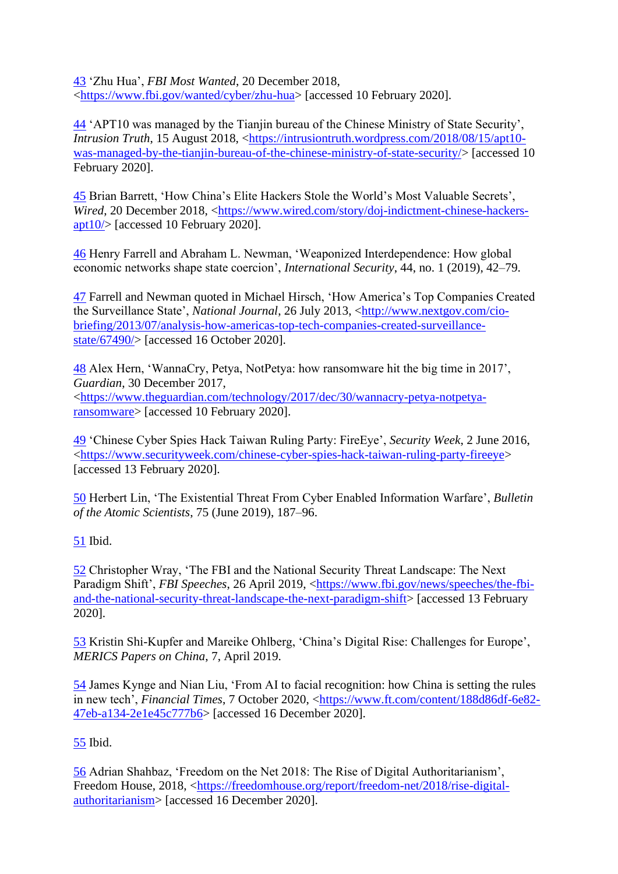[43](javascript:void(0)) 'Zhu Hua', *FBI Most Wanted*, 20 December 2018, [<https://www.fbi.gov/wanted/cyber/zhu-hua>](https://www.fbi.gov/wanted/cyber/zhu-hua) [accessed 10 February 2020].

[44](javascript:void(0)) 'APT10 was managed by the Tianjin bureau of the Chinese Ministry of State Security', *Intrusion Truth*, 15 August 2018, [<https://intrusiontruth.wordpress.com/2018/08/15/apt10](https://intrusiontruth.wordpress.com/2018/08/15/apt10-was-managed-by-the-tianjin-bureau-of-the-chinese-ministry-of-state-security/) [was-managed-by-the-tianjin-bureau-of-the-chinese-ministry-of-state-security/>](https://intrusiontruth.wordpress.com/2018/08/15/apt10-was-managed-by-the-tianjin-bureau-of-the-chinese-ministry-of-state-security/) [accessed 10 February 2020].

[45](javascript:void(0)) Brian Barrett, 'How China's Elite Hackers Stole the World's Most Valuable Secrets', *Wired*, 20 December 2018, [<https://www.wired.com/story/doj-indictment-chinese-hackers](https://www.wired.com/story/doj-indictment-chinese-hackers-apt10/)[apt10/>](https://www.wired.com/story/doj-indictment-chinese-hackers-apt10/) [accessed 10 February 2020].

[46](javascript:void(0)) Henry Farrell and Abraham L. Newman, 'Weaponized Interdependence: How global economic networks shape state coercion', *International Security*, 44, no. 1 (2019), 42–79.

[47](javascript:void(0)) Farrell and Newman quoted in Michael Hirsch, 'How America's Top Companies Created the Surveillance State', *National Journal*, 26 July 2013, [<http://www.nextgov.com/cio](http://www.nextgov.com/cio-briefing/2013/07/analysis-how-americas-top-tech-companies-created-surveillance-state/67490/)[briefing/2013/07/analysis-how-americas-top-tech-companies-created-surveillance](http://www.nextgov.com/cio-briefing/2013/07/analysis-how-americas-top-tech-companies-created-surveillance-state/67490/)[state/67490/>](http://www.nextgov.com/cio-briefing/2013/07/analysis-how-americas-top-tech-companies-created-surveillance-state/67490/) [accessed 16 October 2020].

[48](javascript:void(0)) Alex Hern, 'WannaCry, Petya, NotPetya: how ransomware hit the big time in 2017', *Guardian*, 30 December 2017, [<https://www.theguardian.com/technology/2017/dec/30/wannacry-petya-notpetya](https://www.theguardian.com/technology/2017/dec/30/wannacry-petya-notpetya-ransomware)[ransomware>](https://www.theguardian.com/technology/2017/dec/30/wannacry-petya-notpetya-ransomware) [accessed 10 February 2020].

[49](javascript:void(0)) 'Chinese Cyber Spies Hack Taiwan Ruling Party: FireEye', *Security Week*, 2 June 2016, [<https://www.securityweek.com/chinese-cyber-spies-hack-taiwan-ruling-party-fireeye>](https://www.securityweek.com/chinese-cyber-spies-hack-taiwan-ruling-party-fireeye) [accessed 13 February 2020].

[50](javascript:void(0)) Herbert Lin, 'The Existential Threat From Cyber Enabled Information Warfare', *Bulletin of the Atomic Scientists*, 75 (June 2019), 187–96.

[51](javascript:void(0)) Ibid.

[52](javascript:void(0)) Christopher Wray, 'The FBI and the National Security Threat Landscape: The Next Paradigm Shift', *FBI Speeches*, 26 April 2019, [<https://www.fbi.gov/news/speeches/the-fbi](https://www.fbi.gov/news/speeches/the-fbi-and-the-national-security-threat-landscape-the-next-paradigm-shift)[and-the-national-security-threat-landscape-the-next-paradigm-shift>](https://www.fbi.gov/news/speeches/the-fbi-and-the-national-security-threat-landscape-the-next-paradigm-shift) [accessed 13 February 2020].

[53](javascript:void(0)) Kristin Shi-Kupfer and Mareike Ohlberg, 'China's Digital Rise: Challenges for Europe', *MERICS Papers on China*, 7, April 2019.

[54](javascript:void(0)) James Kynge and Nian Liu, 'From AI to facial recognition: how China is setting the rules in new tech', *Financial Times*, 7 October 2020, [<https://www.ft.com/content/188d86df-6e82-](https://www.ft.com/content/188d86df-6e82-47eb-a134-2e1e45c777b6) [47eb-a134-2e1e45c777b6>](https://www.ft.com/content/188d86df-6e82-47eb-a134-2e1e45c777b6) [accessed 16 December 2020].

### [55](javascript:void(0)) Ibid.

[56](javascript:void(0)) Adrian Shahbaz, 'Freedom on the Net 2018: The Rise of Digital Authoritarianism', Freedom House, 2018, [<https://freedomhouse.org/report/freedom-net/2018/rise-digital](https://freedomhouse.org/report/freedom-net/2018/rise-digital-authoritarianism)[authoritarianism>](https://freedomhouse.org/report/freedom-net/2018/rise-digital-authoritarianism) [accessed 16 December 2020].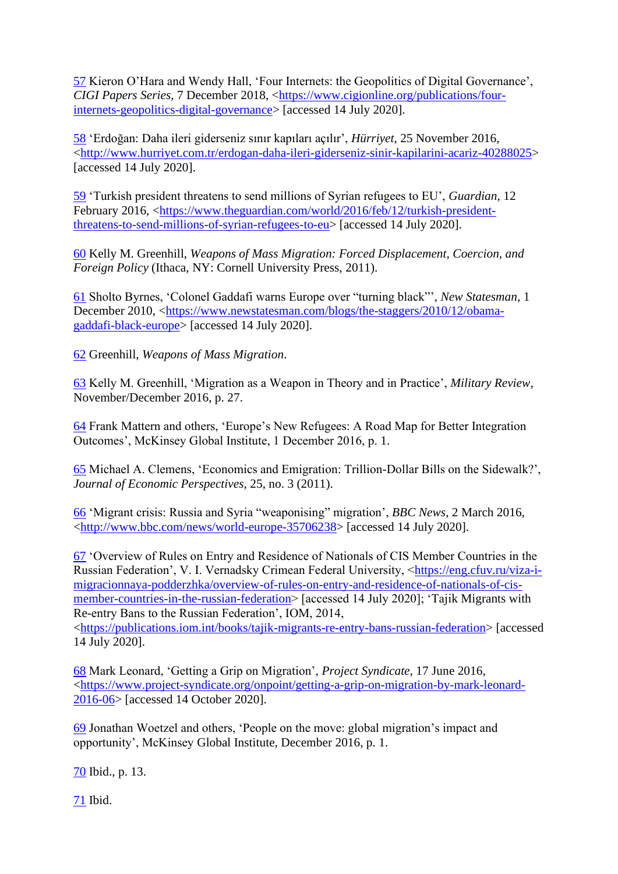[57](javascript:void(0)) Kieron O'Hara and Wendy Hall, 'Four Internets: the Geopolitics of Digital Governance', *CIGI Papers Series*, 7 December 2018, [<https://www.cigionline.org/publications/four](https://www.cigionline.org/publications/four-internets-geopolitics-digital-governance)[internets-geopolitics-digital-governance>](https://www.cigionline.org/publications/four-internets-geopolitics-digital-governance) [accessed 14 July 2020].

[58](javascript:void(0)) 'Erdoğan: Daha ileri giderseniz sınır kapıları açılır', *Hürriyet*, 25 November 2016, [<http://www.hurriyet.com.tr/erdogan-daha-ileri-giderseniz-sinir-kapilarini-acariz-40288025>](http://www.hurriyet.com.tr/erdogan-daha-ileri-giderseniz-sinir-kapilarini-acariz-40288025) [accessed 14 July 2020].

[59](javascript:void(0)) 'Turkish president threatens to send millions of Syrian refugees to EU', *Guardian*, 12 February 2016, [<https://www.theguardian.com/world/2016/feb/12/turkish-president](https://www.theguardian.com/world/2016/feb/12/turkish-president-threatens-to-send-millions-of-syrian-refugees-to-eu)[threatens-to-send-millions-of-syrian-refugees-to-eu>](https://www.theguardian.com/world/2016/feb/12/turkish-president-threatens-to-send-millions-of-syrian-refugees-to-eu) [accessed 14 July 2020].

[60](javascript:void(0)) Kelly M. Greenhill, *Weapons of Mass Migration: Forced Displacement, Coercion, and Foreign Policy* (Ithaca, NY: Cornell University Press, 2011).

[61](javascript:void(0)) Sholto Byrnes, 'Colonel Gaddafi warns Europe over "turning black"', *New Statesman*, 1 December 2010, [<https://www.newstatesman.com/blogs/the-staggers/2010/12/obama](https://www.newstatesman.com/blogs/the-staggers/2010/12/obama-gaddafi-black-europe)[gaddafi-black-europe>](https://www.newstatesman.com/blogs/the-staggers/2010/12/obama-gaddafi-black-europe) [accessed 14 July 2020].

[62](javascript:void(0)) Greenhill, *Weapons of Mass Migration*.

[63](javascript:void(0)) Kelly M. Greenhill, 'Migration as a Weapon in Theory and in Practice', *Military Review*, November/December 2016, p. 27.

[64](javascript:void(0)) Frank Mattern and others, 'Europe's New Refugees: A Road Map for Better Integration Outcomes', McKinsey Global Institute, 1 December 2016, p. 1.

[65](javascript:void(0)) Michael A. Clemens, 'Economics and Emigration: Trillion-Dollar Bills on the Sidewalk?', *Journal of Economic Perspectives*, 25, no. 3 (2011).

[66](javascript:void(0)) 'Migrant crisis: Russia and Syria "weaponising" migration', *BBC News*, 2 March 2016, [<http://www.bbc.com/news/world-europe-35706238>](http://www.bbc.com/news/world-europe-35706238) [accessed 14 July 2020].

[67](javascript:void(0)) 'Overview of Rules on Entry and Residence of Nationals of CIS Member Countries in the Russian Federation', V. I. Vernadsky Crimean Federal University, [<https://eng.cfuv.ru/viza-i](https://eng.cfuv.ru/viza-i-migracionnaya-podderzhka/overview-of-rules-on-entry-and-residence-of-nationals-of-cis-member-countries-in-the-russian-federation)[migracionnaya-podderzhka/overview-of-rules-on-entry-and-residence-of-nationals-of-cis](https://eng.cfuv.ru/viza-i-migracionnaya-podderzhka/overview-of-rules-on-entry-and-residence-of-nationals-of-cis-member-countries-in-the-russian-federation)[member-countries-in-the-russian-federation>](https://eng.cfuv.ru/viza-i-migracionnaya-podderzhka/overview-of-rules-on-entry-and-residence-of-nationals-of-cis-member-countries-in-the-russian-federation) [accessed 14 July 2020]; 'Tajik Migrants with Re-entry Bans to the Russian Federation', IOM, 2014, [<https://publications.iom.int/books/tajik-migrants-re-entry-bans-russian-federation>](https://publications.iom.int/books/tajik-migrants-re-entry-bans-russian-federation) [accessed 14 July 2020].

[68](javascript:void(0)) Mark Leonard, 'Getting a Grip on Migration', *Project Syndicate*, 17 June 2016, [<https://www.project-syndicate.org/onpoint/getting-a-grip-on-migration-by-mark-leonard-](https://www.project-syndicate.org/onpoint/getting-a-grip-on-migration-by-mark-leonard-2016-06)[2016-06>](https://www.project-syndicate.org/onpoint/getting-a-grip-on-migration-by-mark-leonard-2016-06) [accessed 14 October 2020].

[69](javascript:void(0)) Jonathan Woetzel and others, 'People on the move: global migration's impact and opportunity', McKinsey Global Institute, December 2016, p. 1.

[70](javascript:void(0)) Ibid., p. 13.

[71](javascript:void(0)) Ibid.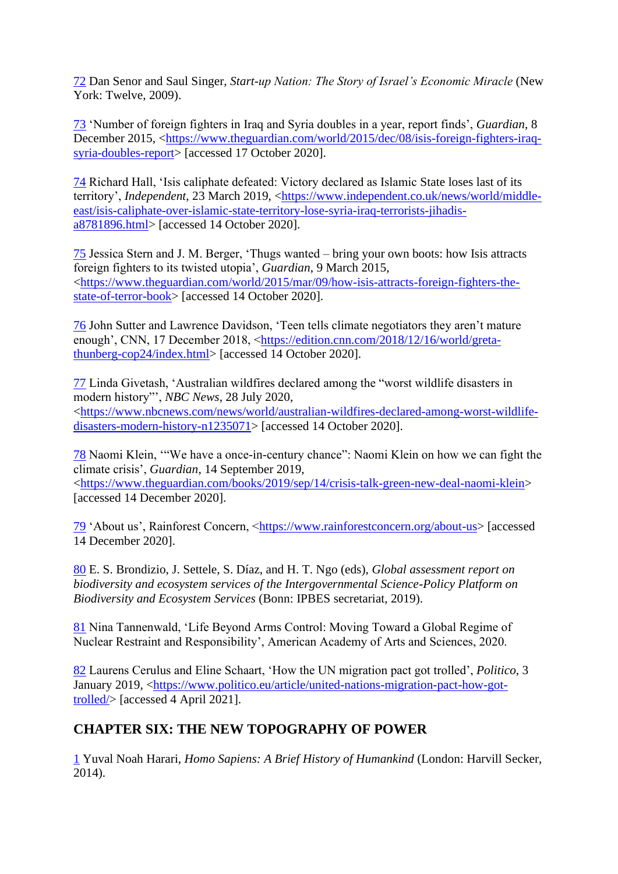[72](javascript:void(0)) Dan Senor and Saul Singer, *Start-up Nation: The Story of Israel's Economic Miracle* (New York: Twelve, 2009).

[73](javascript:void(0)) 'Number of foreign fighters in Iraq and Syria doubles in a year, report finds', *Guardian*, 8 December 2015, [<https://www.theguardian.com/world/2015/dec/08/isis-foreign-fighters-iraq](https://www.theguardian.com/world/2015/dec/08/isis-foreign-fighters-iraq-syria-doubles-report)[syria-doubles-report>](https://www.theguardian.com/world/2015/dec/08/isis-foreign-fighters-iraq-syria-doubles-report) [accessed 17 October 2020].

[74](javascript:void(0)) Richard Hall, 'Isis caliphate defeated: Victory declared as Islamic State loses last of its territory', *Independent*, 23 March 2019, [<https://www.independent.co.uk/news/world/middle](https://www.independent.co.uk/news/world/middle-east/isis-caliphate-over-islamic-state-territory-lose-syria-iraq-terrorists-jihadis-a8781896.html)[east/isis-caliphate-over-islamic-state-territory-lose-syria-iraq-terrorists-jihadis](https://www.independent.co.uk/news/world/middle-east/isis-caliphate-over-islamic-state-territory-lose-syria-iraq-terrorists-jihadis-a8781896.html)[a8781896.html>](https://www.independent.co.uk/news/world/middle-east/isis-caliphate-over-islamic-state-territory-lose-syria-iraq-terrorists-jihadis-a8781896.html) [accessed 14 October 2020].

[75](javascript:void(0)) Jessica Stern and J. M. Berger, 'Thugs wanted – bring your own boots: how Isis attracts foreign fighters to its twisted utopia', *Guardian*, 9 March 2015, [<https://www.theguardian.com/world/2015/mar/09/how-isis-attracts-foreign-fighters-the](https://www.theguardian.com/world/2015/mar/09/how-isis-attracts-foreign-fighters-the-state-of-terror-book)[state-of-terror-book>](https://www.theguardian.com/world/2015/mar/09/how-isis-attracts-foreign-fighters-the-state-of-terror-book) [accessed 14 October 2020].

[76](javascript:void(0)) John Sutter and Lawrence Davidson, 'Teen tells climate negotiators they aren't mature enough', CNN, 17 December 2018, [<https://edition.cnn.com/2018/12/16/world/greta](https://edition.cnn.com/2018/12/16/world/greta-thunberg-cop24/index.html)[thunberg-cop24/index.html>](https://edition.cnn.com/2018/12/16/world/greta-thunberg-cop24/index.html) [accessed 14 October 2020].

[77](javascript:void(0)) Linda Givetash, 'Australian wildfires declared among the "worst wildlife disasters in modern history"', *NBC News*, 28 July 2020, [<https://www.nbcnews.com/news/world/australian-wildfires-declared-among-worst-wildlife](https://www.nbcnews.com/news/world/australian-wildfires-declared-among-worst-wildlife-disasters-modern-history-n1235071)[disasters-modern-history-n1235071>](https://www.nbcnews.com/news/world/australian-wildfires-declared-among-worst-wildlife-disasters-modern-history-n1235071) [accessed 14 October 2020].

[78](javascript:void(0)) Naomi Klein, '"We have a once-in-century chance": Naomi Klein on how we can fight the climate crisis', *Guardian*, 14 September 2019, [<https://www.theguardian.com/books/2019/sep/14/crisis-talk-green-new-deal-naomi-klein>](https://www.theguardian.com/books/2019/sep/14/crisis-talk-green-new-deal-naomi-klein) [accessed 14 December 2020].

[79](javascript:void(0)) 'About us', Rainforest Concern, [<https://www.rainforestconcern.org/about-us>](https://www.rainforestconcern.org/about-us) [accessed] 14 December 2020].

[80](javascript:void(0)) E. S. Brondizio, J. Settele, S. Díaz, and H. T. Ngo (eds), *Global assessment report on biodiversity and ecosystem services of the Intergovernmental Science-Policy Platform on Biodiversity and Ecosystem Services* (Bonn: IPBES secretariat, 2019).

[81](javascript:void(0)) Nina Tannenwald, 'Life Beyond Arms Control: Moving Toward a Global Regime of Nuclear Restraint and Responsibility', American Academy of Arts and Sciences, 2020.

[82](javascript:void(0)) Laurens Cerulus and Eline Schaart, 'How the UN migration pact got trolled', *Politico*, 3 January 2019, [<https://www.politico.eu/article/united-nations-migration-pact-how-got](https://www.politico.eu/article/united-nations-migration-pact-how-got-trolled/)[trolled/>](https://www.politico.eu/article/united-nations-migration-pact-how-got-trolled/) [accessed 4 April 2021].

## **CHAPTER SIX: THE NEW TOPOGRAPHY OF POWER**

[1](javascript:void(0)) Yuval Noah Harari, *Homo Sapiens: A Brief History of Humankind* (London: Harvill Secker, 2014).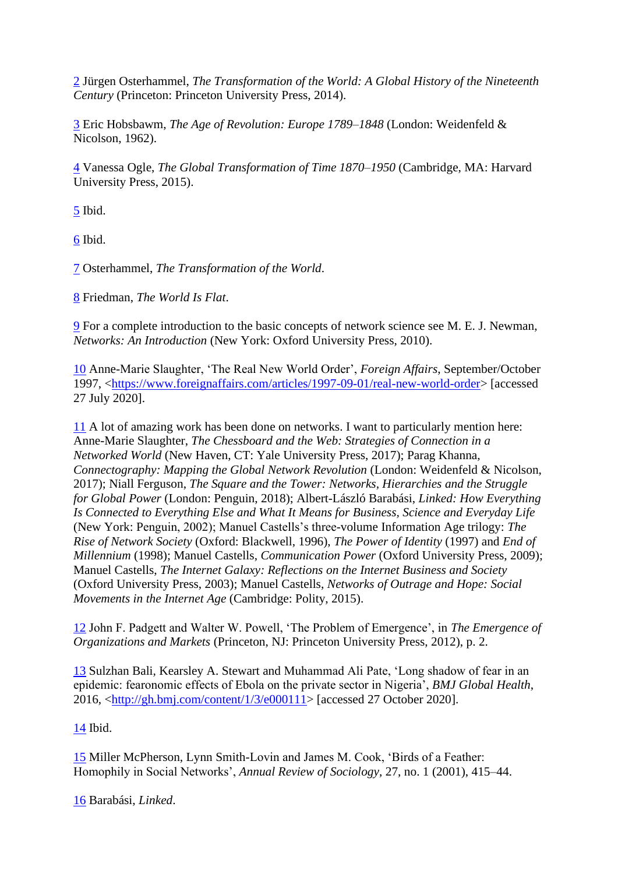[2](javascript:void(0)) Jürgen Osterhammel, *The Transformation of the World: A Global History of the Nineteenth Century* (Princeton: Princeton University Press, 2014).

[3](javascript:void(0)) Eric Hobsbawm, *The Age of Revolution: Europe 1789–1848* (London: Weidenfeld & Nicolson, 1962).

[4](javascript:void(0)) Vanessa Ogle, *The Global Transformation of Time 1870–1950* (Cambridge, MA: Harvard University Press, 2015).

[5](javascript:void(0)) Ibid.

[6](javascript:void(0)) Ibid.

[7](javascript:void(0)) Osterhammel, *The Transformation of the World*.

[8](javascript:void(0)) Friedman, *The World Is Flat*.

[9](javascript:void(0)) For a complete introduction to the basic concepts of network science see M. E. J. Newman, *Networks: An Introduction* (New York: Oxford University Press, 2010).

[10](javascript:void(0)) Anne-Marie Slaughter, 'The Real New World Order', *Foreign Affairs*, September/October 1997, [<https://www.foreignaffairs.com/articles/1997-09-01/real-new-world-order>](https://www.foreignaffairs.com/articles/1997-09-01/real-new-world-order) [accessed 27 July 2020].

[11](javascript:void(0)) A lot of amazing work has been done on networks. I want to particularly mention here: Anne-Marie Slaughter, *The Chessboard and the Web: Strategies of Connection in a Networked World* (New Haven, CT: Yale University Press, 2017); Parag Khanna, *Connectography: Mapping the Global Network Revolution* (London: Weidenfeld & Nicolson, 2017); Niall Ferguson, *The Square and the Tower: Networks, Hierarchies and the Struggle for Global Power* (London: Penguin, 2018); Albert-László Barabási, *Linked: How Everything Is Connected to Everything Else and What It Means for Business, Science and Everyday Life* (New York: Penguin, 2002); Manuel Castells's three-volume Information Age trilogy: *The Rise of Network Society* (Oxford: Blackwell, 1996), *The Power of Identity* (1997) and *End of Millennium* (1998); Manuel Castells, *Communication Power* (Oxford University Press, 2009); Manuel Castells, *The Internet Galaxy: Reflections on the Internet Business and Society* (Oxford University Press, 2003); Manuel Castells, *Networks of Outrage and Hope: Social Movements in the Internet Age* (Cambridge: Polity, 2015).

[12](javascript:void(0)) John F. Padgett and Walter W. Powell, 'The Problem of Emergence', in *The Emergence of Organizations and Markets* (Princeton, NJ: Princeton University Press, 2012), p. 2.

[13](javascript:void(0)) Sulzhan Bali, Kearsley A. Stewart and Muhammad Ali Pate, 'Long shadow of fear in an epidemic: fearonomic effects of Ebola on the private sector in Nigeria', *BMJ Global Health*, 2016, [<http://gh.bmj.com/content/1/3/e000111>](http://gh.bmj.com/content/1/3/e000111) [accessed 27 October 2020].

[14](javascript:void(0)) Ibid.

[15](javascript:void(0)) Miller McPherson, Lynn Smith-Lovin and James M. Cook, 'Birds of a Feather: Homophily in Social Networks', *Annual Review of Sociology*, 27, no. 1 (2001), 415–44.

[16](javascript:void(0)) Barabási, *Linked*.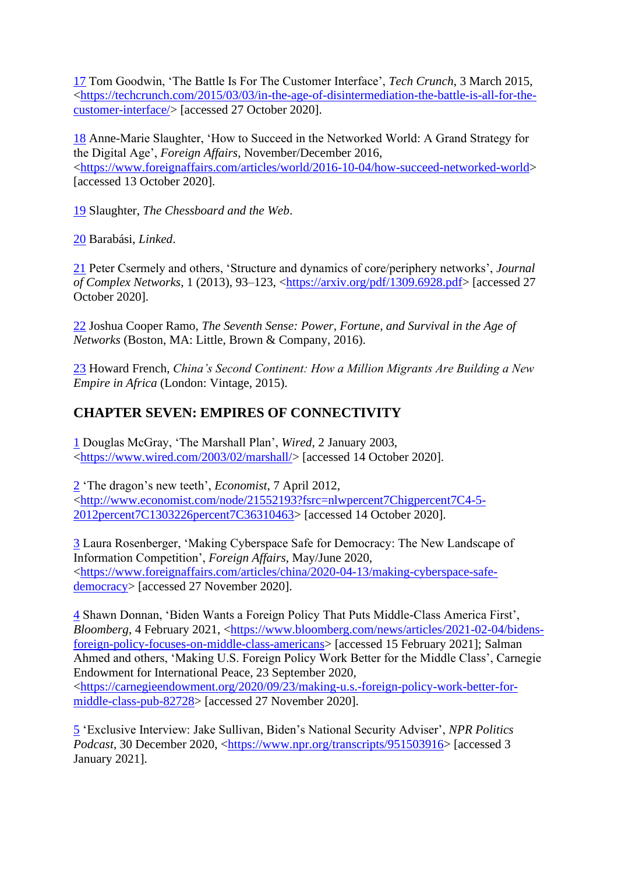[17](javascript:void(0)) Tom Goodwin, 'The Battle Is For The Customer Interface', *Tech Crunch*, 3 March 2015, [<https://techcrunch.com/2015/03/03/in-the-age-of-disintermediation-the-battle-is-all-for-the](https://techcrunch.com/2015/03/03/in-the-age-of-disintermediation-the-battle-is-all-for-the-customer-interface/)[customer-interface/>](https://techcrunch.com/2015/03/03/in-the-age-of-disintermediation-the-battle-is-all-for-the-customer-interface/) [accessed 27 October 2020].

[18](javascript:void(0)) Anne-Marie Slaughter, 'How to Succeed in the Networked World: A Grand Strategy for the Digital Age', *Foreign Affairs*, November/December 2016, [<https://www.foreignaffairs.com/articles/world/2016-10-04/how-succeed-networked-world>](https://www.foreignaffairs.com/articles/world/2016-10-04/how-succeed-networked-world) [accessed 13 October 2020].

[19](javascript:void(0)) Slaughter, *The Chessboard and the Web*.

[20](javascript:void(0)) Barabási, *Linked*.

[21](javascript:void(0)) Peter Csermely and others, 'Structure and dynamics of core/periphery networks', *Journal of Complex Networks*, 1 (2013), 93–123, [<https://arxiv.org/pdf/1309.6928.pdf>](https://arxiv.org/pdf/1309.6928.pdf) [accessed 27 October 2020].

[22](javascript:void(0)) Joshua Cooper Ramo, *The Seventh Sense: Power, Fortune, and Survival in the Age of Networks* (Boston, MA: Little, Brown & Company, 2016).

[23](javascript:void(0)) Howard French, *China's Second Continent: How a Million Migrants Are Building a New Empire in Africa* (London: Vintage, 2015).

## **CHAPTER SEVEN: EMPIRES OF CONNECTIVITY**

[1](javascript:void(0)) Douglas McGray, 'The Marshall Plan', *Wired*, 2 January 2003, [<https://www.wired.com/2003/02/marshall/>](https://www.wired.com/2003/02/marshall/) [accessed 14 October 2020].

[2](javascript:void(0)) 'The dragon's new teeth', *Economist*, 7 April 2012, [<http://www.economist.com/node/21552193?fsrc=nlwpercent7Chigpercent7C4-5-](http://www.economist.com/node/21552193?fsrc=nlwpercent7Chigpercent7C4-5-2012percent7C1303226percent7C36310463) [2012percent7C1303226percent7C36310463>](http://www.economist.com/node/21552193?fsrc=nlwpercent7Chigpercent7C4-5-2012percent7C1303226percent7C36310463) [accessed 14 October 2020].

[3](javascript:void(0)) Laura Rosenberger, 'Making Cyberspace Safe for Democracy: The New Landscape of Information Competition', *Foreign Affairs*, May/June 2020, [<https://www.foreignaffairs.com/articles/china/2020-04-13/making-cyberspace-safe](https://www.foreignaffairs.com/articles/china/2020-04-13/making-cyberspace-safe-democracy)[democracy>](https://www.foreignaffairs.com/articles/china/2020-04-13/making-cyberspace-safe-democracy) [accessed 27 November 2020].

[4](javascript:void(0)) Shawn Donnan, 'Biden Wants a Foreign Policy That Puts Middle-Class America First', *Bloomberg*, 4 February 2021, [<https://www.bloomberg.com/news/articles/2021-02-04/bidens](https://www.bloomberg.com/news/articles/2021-02-04/bidens-foreign-policy-focuses-on-middle-class-americans)[foreign-policy-focuses-on-middle-class-americans>](https://www.bloomberg.com/news/articles/2021-02-04/bidens-foreign-policy-focuses-on-middle-class-americans) [accessed 15 February 2021]; Salman Ahmed and others, 'Making U.S. Foreign Policy Work Better for the Middle Class', Carnegie Endowment for International Peace, 23 September 2020, [<https://carnegieendowment.org/2020/09/23/making-u.s.-foreign-policy-work-better-for](https://carnegieendowment.org/2020/09/23/making-u.s.-foreign-policy-work-better-for-middle-class-pub-82728)[middle-class-pub-82728>](https://carnegieendowment.org/2020/09/23/making-u.s.-foreign-policy-work-better-for-middle-class-pub-82728) [accessed 27 November 2020].

[5](javascript:void(0)) 'Exclusive Interview: Jake Sullivan, Biden's National Security Adviser', *NPR Politics Podcast*, 30 December 2020, [<https://www.npr.org/transcripts/951503916>](https://www.npr.org/transcripts/951503916) [accessed 3 January 2021].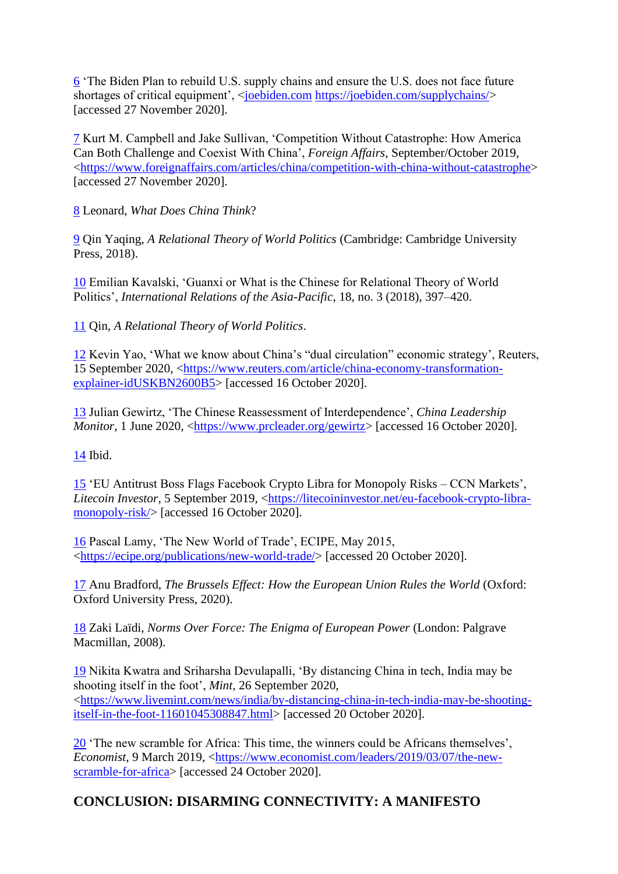[6](javascript:void(0)) 'The Biden Plan to rebuild U.S. supply chains and ensure the U.S. does not face future shortages of critical equipment', [<joebiden.com](http://joebiden.com/) [https://joebiden.com/supplychains/>](https://joebiden.com/supplychains/) [accessed 27 November 2020].

[7](javascript:void(0)) Kurt M. Campbell and Jake Sullivan, 'Competition Without Catastrophe: How America Can Both Challenge and Coexist With China', *Foreign Affairs*, September/October 2019, [<https://www.foreignaffairs.com/articles/china/competition-with-china-without-catastrophe>](https://www.foreignaffairs.com/articles/china/competition-with-china-without-catastrophe) [accessed 27 November 2020].

[8](javascript:void(0)) Leonard, *What Does China Think*?

[9](javascript:void(0)) Qin Yaqing, *A Relational Theory of World Politics* (Cambridge: Cambridge University Press, 2018).

[10](javascript:void(0)) Emilian Kavalski, 'Guanxi or What is the Chinese for Relational Theory of World Politics', *International Relations of the Asia-Pacific*, 18, no. 3 (2018), 397–420.

[11](javascript:void(0)) Qin, *A Relational Theory of World Politics*.

[12](javascript:void(0)) Kevin Yao, 'What we know about China's "dual circulation" economic strategy', Reuters, 15 September 2020, [<https://www.reuters.com/article/china-economy-transformation](https://www.reuters.com/article/china-economy-transformation-explainer-idUSKBN2600B5)[explainer-idUSKBN2600B5>](https://www.reuters.com/article/china-economy-transformation-explainer-idUSKBN2600B5) [accessed 16 October 2020].

[13](javascript:void(0)) Julian Gewirtz, 'The Chinese Reassessment of Interdependence', *China Leadership Monitor*, 1 June 2020, [<https://www.prcleader.org/gewirtz>](https://www.prcleader.org/gewirtz) [accessed 16 October 2020].

[14](javascript:void(0)) Ibid.

[15](javascript:void(0)) 'EU Antitrust Boss Flags Facebook Crypto Libra for Monopoly Risks – CCN Markets', *Litecoin Investor*, 5 September 2019, [<https://litecoininvestor.net/eu-facebook-crypto-libra](https://litecoininvestor.net/eu-facebook-crypto-libra-monopoly-risk/)[monopoly-risk/>](https://litecoininvestor.net/eu-facebook-crypto-libra-monopoly-risk/) [accessed 16 October 2020].

[16](javascript:void(0)) Pascal Lamy, 'The New World of Trade', ECIPE, May 2015, [<https://ecipe.org/publications/new-world-trade/>](https://ecipe.org/publications/new-world-trade/) [accessed 20 October 2020].

[17](javascript:void(0)) Anu Bradford, *The Brussels Effect: How the European Union Rules the World* (Oxford: Oxford University Press, 2020).

[18](javascript:void(0)) Zaki Laïdi, *Norms Over Force: The Enigma of European Power* (London: Palgrave Macmillan, 2008).

[19](javascript:void(0)) Nikita Kwatra and Sriharsha Devulapalli, 'By distancing China in tech, India may be shooting itself in the foot', *Mint*, 26 September 2020, [<https://www.livemint.com/news/india/by-distancing-china-in-tech-india-may-be-shooting](https://www.livemint.com/news/india/by-distancing-china-in-tech-india-may-be-shooting-itself-in-the-foot-11601045308847.html)[itself-in-the-foot-11601045308847.html>](https://www.livemint.com/news/india/by-distancing-china-in-tech-india-may-be-shooting-itself-in-the-foot-11601045308847.html) [accessed 20 October 2020].

[20](javascript:void(0)) 'The new scramble for Africa: This time, the winners could be Africans themselves', *Economist*, 9 March 2019, [<https://www.economist.com/leaders/2019/03/07/the-new](https://www.economist.com/leaders/2019/03/07/the-new-scramble-for-africa)[scramble-for-africa>](https://www.economist.com/leaders/2019/03/07/the-new-scramble-for-africa) [accessed 24 October 2020].

## **CONCLUSION: DISARMING CONNECTIVITY: A MANIFESTO**